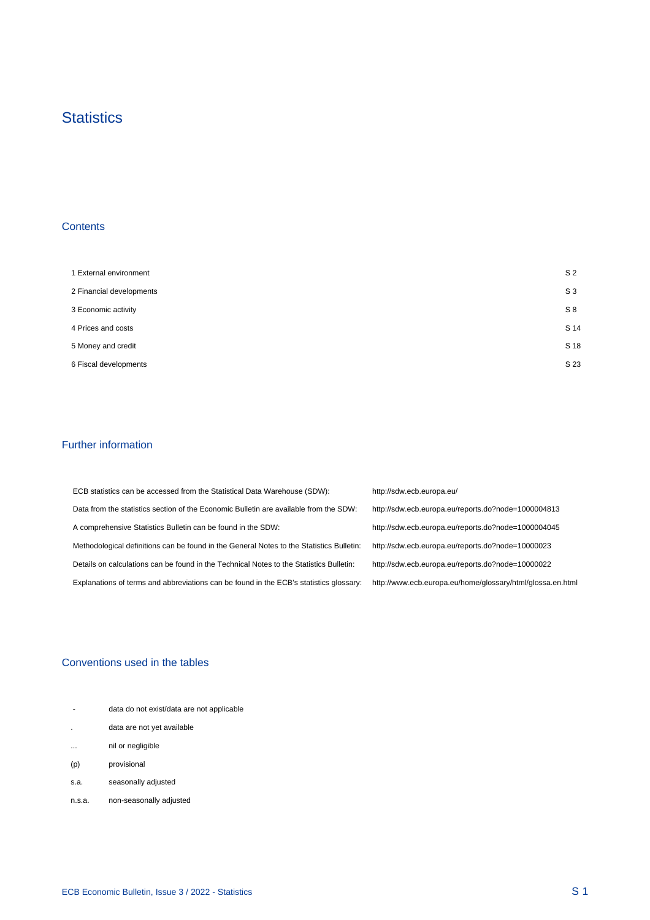## **Statistics**

#### **Contents**

 $\mathcal{A}^{\mathcal{A}}$ 

| 1 External environment   | S <sub>2</sub> |
|--------------------------|----------------|
| 2 Financial developments | S <sub>3</sub> |
| 3 Economic activity      | S8             |
| 4 Prices and costs       | S 14           |
| 5 Money and credit       | S 18           |
| 6 Fiscal developments    | S 23           |

#### Further information

 $\mathcal{A}^{\mathcal{A}}$ 

| ECB statistics can be accessed from the Statistical Data Warehouse (SDW):                | http://sdw.ecb.europa.eu/                                  |
|------------------------------------------------------------------------------------------|------------------------------------------------------------|
| Data from the statistics section of the Economic Bulletin are available from the SDW:    | http://sdw.ecb.europa.eu/reports.do?node=1000004813        |
| A comprehensive Statistics Bulletin can be found in the SDW:                             | http://sdw.ecb.europa.eu/reports.do?node=1000004045        |
| Methodological definitions can be found in the General Notes to the Statistics Bulletin: | http://sdw.ecb.europa.eu/reports.do?node=10000023          |
| Details on calculations can be found in the Technical Notes to the Statistics Bulletin:  | http://sdw.ecb.europa.eu/reports.do?node=10000022          |
| Explanations of terms and abbreviations can be found in the ECB's statistics glossary:   | http://www.ecb.europa.eu/home/glossary/html/glossa.en.html |

#### Conventions used in the tables

| $\sim$                   |                                           |  |
|--------------------------|-------------------------------------------|--|
| $\overline{\phantom{a}}$ | data do not exist/data are not applicable |  |
|                          | data are not yet available                |  |
| $\cdots$                 | nil or negligible                         |  |
| (p)                      | provisional                               |  |
| s.a.                     | seasonally adjusted                       |  |
| n.s.a.                   | non-seasonally adjusted                   |  |

 $\frac{1}{2}$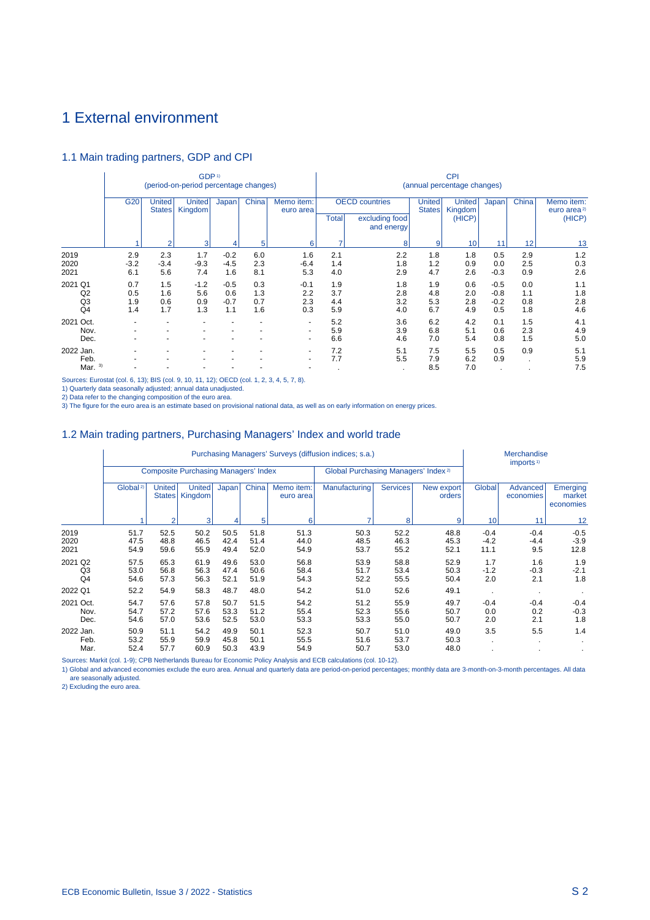## 1 External environment

#### 1.1 Main trading partners, GDP and CPI

|                                          |                          |                          | GDP <sup>1)</sup><br>(period-on-period percentage changes) |                                |                          |                             | <b>CPI</b><br>(annual percentage changes) |                                                       |                                |                                    |                                   |                          |                                                 |  |  |  |
|------------------------------------------|--------------------------|--------------------------|------------------------------------------------------------|--------------------------------|--------------------------|-----------------------------|-------------------------------------------|-------------------------------------------------------|--------------------------------|------------------------------------|-----------------------------------|--------------------------|-------------------------------------------------|--|--|--|
|                                          | G20                      | United<br><b>States</b>  | <b>United</b><br>Kingdom                                   | Japan                          | China                    | Memo item:<br>euro area     | Total                                     | <b>OECD</b> countries<br>excluding food<br>and energy | <b>United</b><br><b>States</b> | <b>United</b><br>Kingdom<br>(HICP) | Japan                             | China                    | Memo item:<br>euro area <sup>2)</sup><br>(HICP) |  |  |  |
|                                          |                          | $\overline{2}$           | 3                                                          |                                | 5                        | 6                           |                                           | 8                                                     | 9                              | 10                                 | 11                                | 12                       | 13                                              |  |  |  |
| 2019<br>2020<br>2021                     | 2.9<br>$-3.2$<br>6.1     | 2.3<br>$-3.4$<br>5.6     | 1.7<br>$-9.3$<br>7.4                                       | $-0.2$<br>$-4.5$<br>1.6        | 6.0<br>2.3<br>8.1        | 1.6<br>$-6.4$<br>5.3        | 2.1<br>1.4<br>4.0                         | 2.2<br>1.8<br>2.9                                     | 1.8<br>1.2<br>4.7              | 1.8<br>0.9<br>2.6                  | 0.5<br>0.0<br>$-0.3$              | 2.9<br>2.5<br>0.9        | 1.2<br>0.3<br>2.6                               |  |  |  |
| 2021<br>Q1<br>Q2<br>Q3<br>Q <sub>4</sub> | 0.7<br>0.5<br>1.9<br>1.4 | 1.5<br>1.6<br>0.6<br>1.7 | $-1.2$<br>5.6<br>0.9<br>1.3                                | $-0.5$<br>0.6<br>$-0.7$<br>1.1 | 0.3<br>1.3<br>0.7<br>1.6 | $-0.1$<br>2.2<br>2.3<br>0.3 | 1.9<br>3.7<br>4.4<br>5.9                  | 1.8<br>2.8<br>3.2<br>4.0                              | 1.9<br>4.8<br>5.3<br>6.7       | 0.6<br>2.0<br>2.8<br>4.9           | $-0.5$<br>$-0.8$<br>$-0.2$<br>0.5 | 0.0<br>1.1<br>0.8<br>1.8 | 1.1<br>1.8<br>2.8<br>4.6                        |  |  |  |
| 2021 Oct.<br>Nov.<br>Dec.                |                          |                          |                                                            |                                | ٠                        | ٠<br>٠<br>$\blacksquare$    | 5.2<br>5.9<br>6.6                         | 3.6<br>3.9<br>4.6                                     | 6.2<br>6.8<br>7.0              | 4.2<br>5.1<br>5.4                  | 0.1<br>0.6<br>0.8                 | 1.5<br>2.3<br>1.5        | 4.1<br>4.9<br>5.0                               |  |  |  |
| 2022 Jan.<br>Feb.<br>3)<br>Mar.          |                          |                          |                                                            |                                |                          | ٠                           | 7.2<br>7.7                                | 5.1<br>5.5                                            | 7.5<br>7.9<br>8.5              | 5.5<br>6.2<br>7.0                  | 0.5<br>0.9<br>٠                   | 0.9<br>$\cdot$           | 5.1<br>5.9<br>7.5                               |  |  |  |

Sources: Eurostat (col. 6, 13); BIS (col. 9, 10, 11, 12); OECD (col. 1, 2, 3, 4, 5, 7, 8).

1) Quarterly data seasonally adjusted; annual data unadjusted.<br>2) Data refer to the changing composition of the euro area.<br>3) The figure for the euro area is an estimate based on provisional national data, as well as on ea

#### 1.2 Main trading partners, Purchasing Managers' Index and world trade

|                           |                      |                         |                                             |                      |                      |                         | Purchasing Managers' Surveys (diffusion indices; s.a.) |                      |                      |                          | Merchandise<br>imports <sup>1)</sup> |                                 |
|---------------------------|----------------------|-------------------------|---------------------------------------------|----------------------|----------------------|-------------------------|--------------------------------------------------------|----------------------|----------------------|--------------------------|--------------------------------------|---------------------------------|
|                           |                      |                         | <b>Composite Purchasing Managers' Index</b> |                      |                      |                         | Global Purchasing Managers' Index <sup>2)</sup>        |                      |                      |                          |                                      |                                 |
|                           | Global <sup>2)</sup> | <b>United</b><br>States | United<br>Kingdom                           | Japan                | China                | Memo item:<br>euro area | Manufacturing                                          | <b>Services</b>      | New export<br>orders | Global                   | Advanced<br>economies                | Emerging<br>market<br>economies |
|                           |                      | $\overline{2}$          | $\overline{3}$                              |                      | 5                    | 6                       |                                                        | 8                    | 9                    | 10                       | 11                                   | 12                              |
| 2019<br>2020<br>2021      | 51.7<br>47.5<br>54.9 | 52.5<br>48.8<br>59.6    | 50.2<br>46.5<br>55.9                        | 50.5<br>42.4<br>49.4 | 51.8<br>51.4<br>52.0 | 51.3<br>44.0<br>54.9    | 50.3<br>48.5<br>53.7                                   | 52.2<br>46.3<br>55.2 | 48.8<br>45.3<br>52.1 | $-0.4$<br>$-4.2$<br>11.1 | $-0.4$<br>$-4.4$<br>9.5              | $-0.5$<br>$-3.9$<br>12.8        |
| 2021 Q2<br>Q3<br>Q4       | 57.5<br>53.0<br>54.6 | 65.3<br>56.8<br>57.3    | 61.9<br>56.3<br>56.3                        | 49.6<br>47.4<br>52.1 | 53.0<br>50.6<br>51.9 | 56.8<br>58.4<br>54.3    | 53.9<br>51.7<br>52.2                                   | 58.8<br>53.4<br>55.5 | 52.9<br>50.3<br>50.4 | 1.7<br>$-1.2$<br>2.0     | 1.6<br>$-0.3$<br>2.1                 | 1.9<br>$-2.1$<br>1.8            |
| 2022 Q1                   | 52.2                 | 54.9                    | 58.3                                        | 48.7                 | 48.0                 | 54.2                    | 51.0                                                   | 52.6                 | 49.1                 |                          |                                      |                                 |
| 2021 Oct.<br>Nov.<br>Dec. | 54.7<br>54.7<br>54.6 | 57.6<br>57.2<br>57.0    | 57.8<br>57.6<br>53.6                        | 50.7<br>53.3<br>52.5 | 51.5<br>51.2<br>53.0 | 54.2<br>55.4<br>53.3    | 51.2<br>52.3<br>53.3                                   | 55.9<br>55.6<br>55.0 | 49.7<br>50.7<br>50.7 | $-0.4$<br>0.0<br>2.0     | $-0.4$<br>0.2<br>2.1                 | $-0.4$<br>$-0.3$<br>1.8         |
| 2022 Jan.<br>Feb.<br>Mar. | 50.9<br>53.2<br>52.4 | 51.1<br>55.9<br>57.7    | 54.2<br>59.9<br>60.9                        | 49.9<br>45.8<br>50.3 | 50.1<br>50.1<br>43.9 | 52.3<br>55.5<br>54.9    | 50.7<br>51.6<br>50.7                                   | 51.0<br>53.7<br>53.0 | 49.0<br>50.3<br>48.0 | 3.5                      | 5.5<br>٠                             | 1.4                             |

Sources: Markit (col. 1-9); CPB Netherlands Bureau for Economic Policy Analysis and ECB calculations (col. 10-12).

1) Global and advanced economies exclude the euro area. Annual and quarterly data are period-on-period percentages; monthly data are 3-month-on-3-month percentages. All data are seasonally adjusted.

2) Excluding the euro area.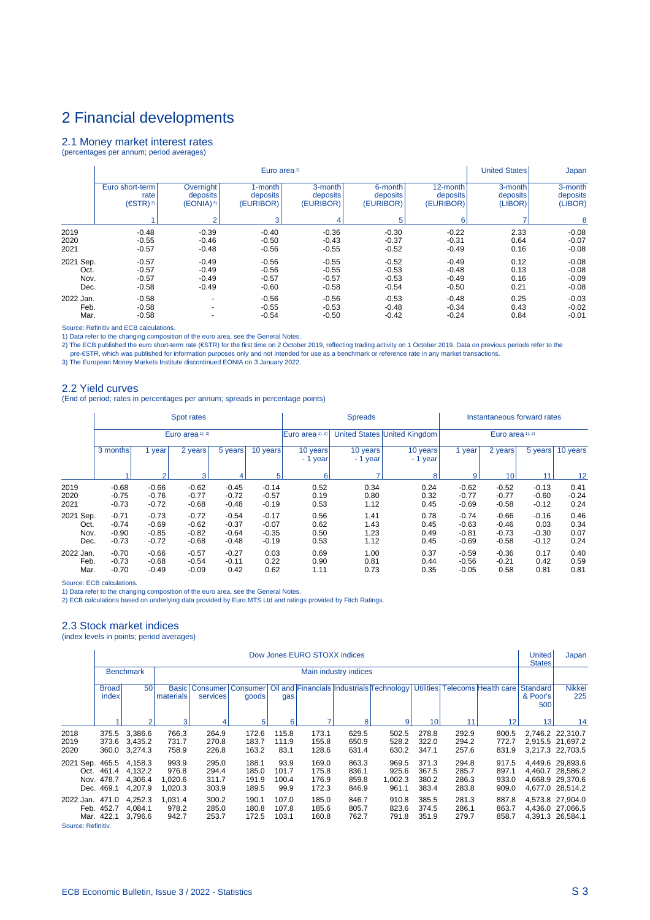#### 2.1 Money market interest rates

(percentages per annum; period averages)

|           |                     |                          | Euro area <sup>1)</sup> |           |           |           | <b>United States</b> | Japan    |
|-----------|---------------------|--------------------------|-------------------------|-----------|-----------|-----------|----------------------|----------|
|           | Euro short-term     | Overnight                | 1-month                 | 3-month   | 6-month   | 12-month  | 3-month              | 3-month  |
|           | rate                | deposits                 | deposits                | deposits  | deposits  | deposits  | deposits             | deposits |
|           | (ESTR) <sup>2</sup> | (EONIA) 3)               | (EURIBOR)               | (EURIBOR) | (EURIBOR) | (EURIBOR) | (LIBOR)              | (LIBOR)  |
|           |                     | 2                        | 3                       | 4         | 5         | 6         |                      | 8        |
| 2019      | $-0.48$             | $-0.39$                  | $-0.40$                 | $-0.36$   | $-0.30$   | $-0.22$   | 2.33                 | $-0.08$  |
| 2020      | $-0.55$             | $-0.46$                  | $-0.50$                 | $-0.43$   | $-0.37$   | $-0.31$   | 0.64                 | $-0.07$  |
| 2021      | $-0.57$             | $-0.48$                  | $-0.56$                 | $-0.55$   | $-0.52$   | $-0.49$   | 0.16                 | $-0.08$  |
| 2021 Sep. | $-0.57$             | $-0.49$                  | $-0.56$                 | $-0.55$   | $-0.52$   | $-0.49$   | 0.12                 | $-0.08$  |
| Oct.      | $-0.57$             | $-0.49$                  | $-0.56$                 | $-0.55$   | $-0.53$   | $-0.48$   | 0.13                 | $-0.08$  |
| Nov.      | $-0.57$             | $-0.49$                  | $-0.57$                 | $-0.57$   | $-0.53$   | $-0.49$   | 0.16                 | $-0.09$  |
| Dec.      | $-0.58$             | $-0.49$                  | $-0.60$                 | $-0.58$   | $-0.54$   | $-0.50$   | 0.21                 | $-0.08$  |
| 2022 Jan. | $-0.58$             | $\overline{\phantom{0}}$ | $-0.56$                 | $-0.56$   | $-0.53$   | $-0.48$   | 0.25                 | $-0.03$  |
| Feb.      | $-0.58$             | $\overline{\phantom{0}}$ | $-0.55$                 | $-0.53$   | $-0.48$   | $-0.34$   | 0.43                 | $-0.02$  |
| Mar.      | $-0.58$             | $\overline{\phantom{0}}$ | $-0.54$                 | $-0.50$   | $-0.42$   | $-0.24$   | 0.84                 | $-0.01$  |

Source: Refinitiv and ECB calculations.

1) Data refer to the changing composition of the euro area, see the General Notes.<br>2) The ECB published the euro short-term rate (€STR) for the first time on 2 October 2019, reflecting trading activity on 1 October 2019.

#### 2.2 Yield curves

(End of period; rates in percentages per annum; spreads in percentage points)

|                                   |                                          |                                          | Spot rates                               |                                          |                                          |                              | <b>Spreads</b>               |                              | Instantaneous forward rates              |                                          |                                       |                              |  |
|-----------------------------------|------------------------------------------|------------------------------------------|------------------------------------------|------------------------------------------|------------------------------------------|------------------------------|------------------------------|------------------------------|------------------------------------------|------------------------------------------|---------------------------------------|------------------------------|--|
|                                   |                                          |                                          | Euro area 1), 2)                         |                                          |                                          | Euro area 1), 2)             |                              | United States United Kingdom | Euro area 1), 2)                         |                                          |                                       |                              |  |
|                                   | 3 months                                 | 1 year                                   | 2 years                                  | 5 years!                                 | 10 years                                 | 10 years<br>- 1 year         | 10 years<br>- 1 year         | 10 years<br>$-1$ year        | 1 year                                   | 2 years                                  | 5 years                               | 10 years                     |  |
|                                   |                                          | $\overline{2}$                           | 3                                        | 4                                        | 5                                        | 6                            |                              | 8                            | 9                                        | 10                                       | 11                                    | 12                           |  |
| 2019<br>2020<br>2021              | $-0.68$<br>$-0.75$<br>$-0.73$            | $-0.66$<br>$-0.76$<br>$-0.72$            | $-0.62$<br>$-0.77$<br>$-0.68$            | $-0.45$<br>$-0.72$<br>$-0.48$            | $-0.14$<br>$-0.57$<br>$-0.19$            | 0.52<br>0.19<br>0.53         | 0.34<br>0.80<br>1.12         | 0.24<br>0.32<br>0.45         | $-0.62$<br>$-0.77$<br>$-0.69$            | $-0.52$<br>$-0.77$<br>$-0.58$            | $-0.13$<br>$-0.60$<br>$-0.12$         | 0.41<br>$-0.24$<br>0.24      |  |
| 2021 Sep.<br>Oct.<br>Nov.<br>Dec. | $-0.71$<br>$-0.74$<br>$-0.90$<br>$-0.73$ | $-0.73$<br>$-0.69$<br>$-0.85$<br>$-0.72$ | $-0.72$<br>$-0.62$<br>$-0.82$<br>$-0.68$ | $-0.54$<br>$-0.37$<br>$-0.64$<br>$-0.48$ | $-0.17$<br>$-0.07$<br>$-0.35$<br>$-0.19$ | 0.56<br>0.62<br>0.50<br>0.53 | 1.41<br>1.43<br>1.23<br>1.12 | 0.78<br>0.45<br>0.49<br>0.45 | $-0.74$<br>$-0.63$<br>$-0.81$<br>$-0.69$ | $-0.66$<br>$-0.46$<br>$-0.73$<br>$-0.58$ | $-0.16$<br>0.03<br>$-0.30$<br>$-0.12$ | 0.46<br>0.34<br>0.07<br>0.24 |  |
| 2022 Jan.<br>Feb.<br>Mar.         | $-0.70$<br>$-0.73$<br>$-0.70$            | $-0.66$<br>$-0.68$<br>$-0.49$            | $-0.57$<br>$-0.54$<br>$-0.09$            | $-0.27$<br>$-0.11$<br>0.42               | 0.03<br>0.22<br>0.62                     | 0.69<br>0.90<br>1.11         | 1.00<br>0.81<br>0.73         | 0.37<br>0.44<br>0.35         | $-0.59$<br>$-0.56$<br>$-0.05$            | $-0.36$<br>$-0.21$<br>0.58               | 0.17<br>0.42<br>0.81                  | 0.40<br>0.59<br>0.81         |  |

Source: ECB calculations.

1) Data refer to the changing composition of the euro area, see the General Notes.

2) ECB calculations based on underlying data provided by Euro MTS Ltd and ratings provided by Fitch Ratings.

#### 2.3 Stock market indices

(index levels in points; period averages)

|                                      |                                                                                                                                                                                                                    |                                          |                                      |                                  |                                  |                                | Dow Jones EURO STOXX indices     |                                  |                                    |                                  |                                  |                                  | <b>United</b><br><b>States</b>     | Japan                                                                        |
|--------------------------------------|--------------------------------------------------------------------------------------------------------------------------------------------------------------------------------------------------------------------|------------------------------------------|--------------------------------------|----------------------------------|----------------------------------|--------------------------------|----------------------------------|----------------------------------|------------------------------------|----------------------------------|----------------------------------|----------------------------------|------------------------------------|------------------------------------------------------------------------------|
|                                      |                                                                                                                                                                                                                    | <b>Benchmark</b>                         |                                      |                                  |                                  |                                |                                  | Main industry indices            |                                    |                                  |                                  |                                  |                                    |                                                                              |
|                                      | 50<br>Oil and Financials Industrials Technology<br><b>Utilities</b><br><b>Broad</b><br>Consumer   Consumer  <br>Telecoms Health care<br><b>Basic</b><br>index<br>materials<br>services<br>goods<br>gas<br>$\Omega$ |                                          |                                      |                                  |                                  |                                |                                  |                                  |                                    |                                  |                                  |                                  | <b>Standard</b><br>& Poor's<br>500 | <b>Nikkei</b><br>225                                                         |
|                                      | 5<br>3<br>6<br>8<br>9<br>10<br>11<br>12                                                                                                                                                                            |                                          |                                      |                                  |                                  |                                |                                  |                                  |                                    |                                  |                                  |                                  | 13                                 | 14                                                                           |
| 2018<br>2019<br>2020                 | 375.5<br>373.6<br>360.0                                                                                                                                                                                            | 3,386.6<br>3.435.2<br>3,274.3            | 766.3<br>731.7<br>758.9              | 264.9<br>270.8<br>226.8          | 172.6<br>183.7<br>163.2          | 115.8<br>111.9<br>83.1         | 173.1<br>155.8<br>128.6          | 629.5<br>650.9<br>631.4          | 502.5<br>528.2<br>630.2            | 278.8<br>322.0<br>347.1          | 292.9<br>294.2<br>257.6          | 800.5<br>772.7<br>831.9          |                                    | 2,746.2 22,310.7<br>2,915.5 21,697.2<br>3,217.3 22,703.5                     |
| 2021                                 | Sep. 465.5<br>Oct. 461.4<br>Nov. 478.7<br>Dec. 469.1                                                                                                                                                               | 4.158.3<br>4.132.2<br>4,306.4<br>4,207.9 | 993.9<br>976.8<br>1,020.6<br>1,020.3 | 295.0<br>294.4<br>311.7<br>303.9 | 188.1<br>185.0<br>191.9<br>189.5 | 93.9<br>101.7<br>100.4<br>99.9 | 169.0<br>175.8<br>176.9<br>172.3 | 863.3<br>836.1<br>859.8<br>846.9 | 969.5<br>925.6<br>1,002.3<br>961.1 | 371.3<br>367.5<br>380.2<br>383.4 | 294.8<br>285.7<br>286.3<br>283.8 | 917.5<br>897.1<br>933.0<br>909.0 |                                    | 4,449.6 29,893.6<br>4,460.7 28,586.2<br>4.668.9 29.370.6<br>4,677.0 28,514.2 |
| 2022 Jan. 471.0<br>Course: Pofinitiv | Feb. 452.7<br>Mar. 422.1                                                                                                                                                                                           | 4.252.3<br>4,084.1<br>3,796.6            | 1.031.4<br>978.2<br>942.7            | 300.2<br>285.0<br>253.7          | 190.1<br>180.8<br>172.5          | 107.0<br>107.8<br>103.1        | 185.0<br>185.6<br>160.8          | 846.7<br>805.7<br>762.7          | 910.8<br>823.6<br>791.8            | 385.5<br>374.5<br>351.9          | 281.3<br>286.1<br>279.7          | 887.8<br>863.7<br>858.7          |                                    | 4,573.8 27,904.0<br>4,436.0 27,066.5<br>4,391.3 26,584.1                     |

Source: Refinitiv.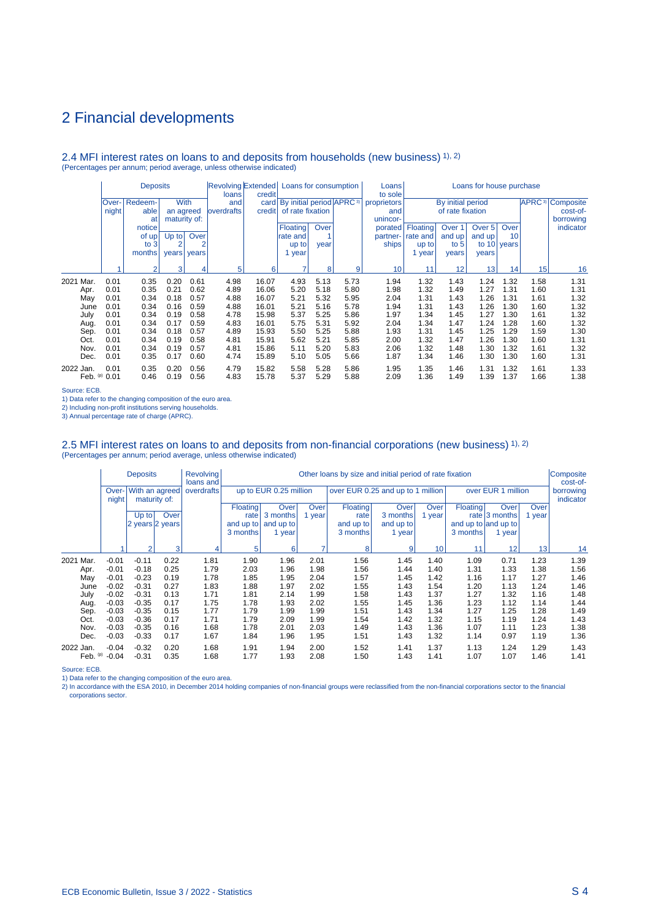#### 2.4 MFI interest rates on loans to and deposits from households (new business) 1), 2) (Percentages per annum; period average, unless otherwise indicated)

|              |       | <b>Deposits</b> |                |       | loans              | Revolving Extended Loans for consumption<br>credit |                                               |      | Loans<br>to sole | Loans for house purchase |          |                   |                 |             |      |                                    |
|--------------|-------|-----------------|----------------|-------|--------------------|----------------------------------------------------|-----------------------------------------------|------|------------------|--------------------------|----------|-------------------|-----------------|-------------|------|------------------------------------|
|              | Over- | Redeem-         | <b>With</b>    |       | and                |                                                    | card   By initial period   APRC <sup>3)</sup> |      |                  | proprietors              |          | By initial period |                 |             |      | <b>APRC</b> <sup>3</sup> Composite |
|              | night | able            | an agreed      |       | <b>loverdrafts</b> | credit                                             | of rate fixation                              |      |                  | and                      |          | of rate fixation  |                 |             |      | cost-of-                           |
|              |       | at              | maturity of:   |       |                    |                                                    |                                               |      |                  | unincor-                 |          |                   |                 |             |      | borrowing                          |
|              |       | notice          |                |       |                    |                                                    | Floating                                      | Over |                  | porated                  | Floating | Over <sub>1</sub> | Over 5          | Over        |      | indicator                          |
|              |       | of up!          | $Up$ to        | Over  |                    |                                                    | rate and                                      |      |                  | partner-                 | rate and | and up            | and up          | 10          |      |                                    |
|              |       | to $3$          | $\overline{2}$ | 2     |                    |                                                    | up to                                         | year |                  | ships                    | up to    | to $5$            |                 | to 10 years |      |                                    |
|              |       | months          | years          | years |                    |                                                    | 1 year                                        |      |                  |                          | year     | years             | years           |             |      |                                    |
|              |       | $\mathfrak{p}$  |                |       | 5                  |                                                    | ۰,                                            |      |                  |                          | 11       | 12                |                 |             | 15   |                                    |
|              |       |                 | 3              | 4     |                    | 6                                                  |                                               | 8    | 9                | 10                       |          |                   | 13 <sub>l</sub> | 14          |      | 16                                 |
| 2021<br>Mar. | 0.01  | 0.35            | 0.20           | 0.61  | 4.98               | 16.07                                              | 4.93                                          | 5.13 | 5.73             | 1.94                     | 1.32     | 1.43              | 1.24            | 1.32        | 1.58 | 1.31                               |
| Apr.         | 0.01  | 0.35            | 0.21           | 0.62  | 4.89               | 16.06                                              | 5.20                                          | 5.18 | 5.80             | 1.98                     | 1.32     | 1.49              | 1.27            | 1.31        | 1.60 | 1.31                               |
| May          | 0.01  | 0.34            | 0.18           | 0.57  | 4.88               | 16.07                                              | 5.21                                          | 5.32 | 5.95             | 2.04                     | 1.31     | 1.43              | 1.26            | 1.31        | 1.61 | 1.32                               |
| June         | 0.01  | 0.34            | 0.16           | 0.59  | 4.88               | 16.01                                              | 5.21                                          | 5.16 | 5.78             | 1.94                     | 1.31     | 1.43              | 1.26            | 1.30        | 1.60 | 1.32                               |
| July         | 0.01  | 0.34            | 0.19           | 0.58  | 4.78               | 15.98                                              | 5.37                                          | 5.25 | 5.86             | 1.97                     | 1.34     | 1.45              | 1.27            | 1.30        | 1.61 | 1.32                               |
| Aug.         | 0.01  | 0.34            | 0.17           | 0.59  | 4.83               | 16.01                                              | 5.75                                          | 5.31 | 5.92             | 2.04                     | 1.34     | 1.47              | 1.24            | 1.28        | 1.60 | 1.32                               |
| Sep.         | 0.01  | 0.34            | 0.18           | 0.57  | 4.89               | 15.93                                              | 5.50                                          | 5.25 | 5.88             | 1.93                     | 1.31     | 1.45              | 1.25            | 1.29        | 1.59 | 1.30                               |
| Oct.         | 0.01  | 0.34            | 0.19           | 0.58  | 4.81               | 15.91                                              | 5.62                                          | 5.21 | 5.85             | 2.00                     | 1.32     | 1.47              | 1.26            | 1.30        | 1.60 | 1.31                               |
| Nov.         | 0.01  | 0.34            | 0.19           | 0.57  | 4.81               | 15.86                                              | 5.11                                          | 5.20 | 5.83             | 2.06                     | 1.32     | 1.48              | 1.30            | 1.32        | 1.61 | 1.32                               |
| Dec.         | 0.01  | 0.35            | 0.17           | 0.60  | 4.74               | 15.89                                              | 5.10                                          | 5.05 | 5.66             | 1.87                     | 1.34     | 1.46              | 1.30            | 1.30        | 1.60 | 1.31                               |
| 2022 Jan.    | 0.01  | 0.35            | 0.20           | 0.56  | 4.79               | 15.82                                              | 5.58                                          | 5.28 | 5.86             | 1.95                     | 1.35     | 1.46              | 1.31            | 1.32        | 1.61 | 1.33                               |
| Feb. $(p)$   | 0.01  | 0.46            | 0.19           | 0.56  | 4.83               | 15.78                                              | 5.37                                          | 5.29 | 5.88             | 2.09                     | 1.36     | 1.49              | 1.39            | 1.37        | 1.66 | 1.38                               |

Source: ECB.

1) Data refer to the changing composition of the euro area.

2) Including non-profit institutions serving households.

3) Annual percentage rate of charge (APRC).

## 2.5 MFI interest rates on loans to and deposits from non-financial corporations (new business) 1), 2)<br>(Percentages per annum; period average, unless otherwise indicated)

|           |            |                | <b>Deposits</b> |                                | <b>Revolving</b><br>loans and | Other loans by size and initial period of rate fixation |                        |             |                                   |             |        |                     |                    |        |                        |
|-----------|------------|----------------|-----------------|--------------------------------|-------------------------------|---------------------------------------------------------|------------------------|-------------|-----------------------------------|-------------|--------|---------------------|--------------------|--------|------------------------|
|           |            | Over-<br>night |                 | With an agreed<br>maturity of: | overdrafts                    |                                                         | up to EUR 0.25 million |             | over EUR 0.25 and up to 1 million |             |        |                     | over EUR 1 million |        | borrowing<br>indicator |
|           |            |                |                 |                                |                               | <b>Floating</b>                                         | Over                   | <b>Over</b> | Floating                          | <b>Over</b> | Over   | Floating            | Over               | Over   |                        |
|           |            |                | $Up$ to         | Over                           |                               | rate                                                    | 3 months               | 1 year      | rate                              | 3 months    | 1 year |                     | rate $ 3$ months   | 1 year |                        |
|           |            |                | 2 years 2 years |                                |                               | and up to                                               | and up to              |             | and up to                         | and up to   |        | and up to and up to |                    |        |                        |
|           |            |                |                 |                                |                               | 3 months                                                | 1 year                 |             | 3 months                          | 1 year      |        | 3 months            | 1 year             |        |                        |
|           |            |                | $\overline{2}$  | 3                              | 4                             | 5                                                       | 6                      |             | 8                                 | 9           | 10     | 11                  | 12                 | 13     | 14                     |
| 2021 Mar. |            | $-0.01$        | $-0.11$         | 0.22                           | 1.81                          | 1.90                                                    | 1.96                   | 2.01        | 1.56                              | 1.45        | 1.40   | 1.09                | 0.71               | 1.23   | 1.39                   |
|           | Apr.       | $-0.01$        | $-0.18$         | 0.25                           | 1.79                          | 2.03                                                    | 1.96                   | 1.98        | 1.56                              | 1.44        | 1.40   | 1.31                | 1.33               | 1.38   | 1.56                   |
|           | May        | $-0.01$        | $-0.23$         | 0.19                           | 1.78                          | 1.85                                                    | 1.95                   | 2.04        | 1.57                              | 1.45        | 1.42   | 1.16                | 1.17               | 1.27   | 1.46                   |
|           | June       | $-0.02$        | $-0.31$         | 0.27                           | 1.83                          | 1.88                                                    | 1.97                   | 2.02        | 1.55                              | 1.43        | 1.54   | 1.20                | 1.13               | 1.24   | 1.46                   |
|           | July       | $-0.02$        | $-0.31$         | 0.13                           | 1.71                          | 1.81                                                    | 2.14                   | 1.99        | 1.58                              | 1.43        | 1.37   | 1.27                | 1.32               | 1.16   | 1.48                   |
|           | Aug.       | $-0.03$        | $-0.35$         | 0.17                           | 1.75                          | 1.78                                                    | 1.93                   | 2.02        | 1.55                              | 1.45        | 1.36   | 1.23                | 1.12               | 1.14   | 1.44                   |
|           | Sep.       | $-0.03$        | $-0.35$         | 0.15                           | 1.77                          | 1.79                                                    | 1.99                   | 1.99        | 1.51                              | 1.43        | 1.34   | 1.27                | 1.25               | 1.28   | 1.49                   |
|           | Oct.       | $-0.03$        | $-0.36$         | 0.17                           | 1.71                          | 1.79                                                    | 2.09                   | 1.99        | 1.54                              | 1.42        | 1.32   | 1.15                | 1.19               | 1.24   | 1.43                   |
|           | Nov.       | $-0.03$        | $-0.35$         | 0.16                           | 1.68                          | 1.78                                                    | 2.01                   | 2.03        | 1.49                              | 1.43        | 1.36   | 1.07                | 1.11               | 1.23   | 1.38                   |
|           | Dec.       | $-0.03$        | $-0.33$         | 0.17                           | 1.67                          | 1.84                                                    | 1.96                   | 1.95        | 1.51                              | 1.43        | 1.32   | 1.14                | 0.97               | 1.19   | 1.36                   |
| 2022 Jan. |            | $-0.04$        | $-0.32$         | 0.20                           | 1.68                          | 1.91                                                    | 1.94                   | 2.00        | 1.52                              | 1.41        | 1.37   | 1.13                | 1.24               | 1.29   | 1.43                   |
|           | Feb. $(p)$ | $-0.04$        | $-0.31$         | 0.35                           | 1.68                          | 1.77                                                    | 1.93                   | 2.08        | 1.50                              | 1.43        | 1.41   | 1.07                | 1.07               | 1.46   | 1.41                   |

Source: ECB.

1) Data refer to the changing composition of the euro area.<br>2) In accordance with the ESA 2010, in December 2014 holding companies of non-financial groups were reclassified from the non-financial corporations sector to the corporations sector.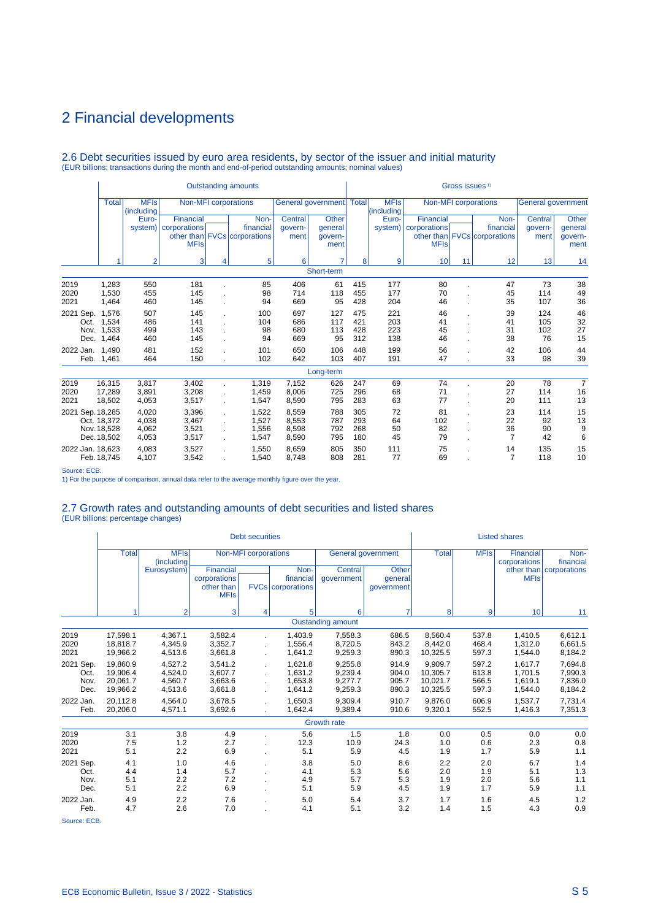# 2.6 Debt securities issued by euro area residents, by sector of the issuer and initial maturity (EUR billions; transactions during the month and end-of-period outstanding amounts; nominal values)

|                           |                                           |                                  |                                          |                     | <b>Outstanding amounts</b>                        |                                  |                                            |                          |                            |                                          | Gross issues <sup>1)</sup> |                                                   |                            |                                     |
|---------------------------|-------------------------------------------|----------------------------------|------------------------------------------|---------------------|---------------------------------------------------|----------------------------------|--------------------------------------------|--------------------------|----------------------------|------------------------------------------|----------------------------|---------------------------------------------------|----------------------------|-------------------------------------|
|                           | <b>Total</b>                              | <b>MFIs</b><br>(including        |                                          |                     | Non-MFI corporations                              |                                  | General government   Total                 |                          | <b>MFIs</b><br>(including) |                                          |                            | Non-MFI corporations                              | General government         |                                     |
|                           |                                           | Euro-<br>system)                 | Financial<br>corporations<br><b>MFIs</b> |                     | Non-<br>financial<br>other than FVCs corporations | Central<br>govern-<br>ment       | <b>Other</b><br>qeneral<br>govern-<br>ment |                          | Euro-<br>system)           | Financial<br>corporations<br><b>MFIs</b> |                            | Non-<br>financial<br>other than FVCs corporations | Central<br>qovern-<br>ment | Other<br>general<br>govern-<br>ment |
|                           |                                           | $\overline{2}$                   | 3                                        | 4                   | 5                                                 | 6                                |                                            | 8                        | 9                          | 10                                       | 11                         | 12                                                | 13                         | 14                                  |
|                           |                                           |                                  |                                          |                     |                                                   |                                  | Short-term                                 |                          |                            |                                          |                            |                                                   |                            |                                     |
| 2019<br>2020<br>2021      | 1,283<br>1,530<br>1,464                   | 550<br>455<br>460                | 181<br>145<br>145                        |                     | 85<br>98<br>94                                    | 406<br>714<br>669                | 61<br>118<br>95                            | 415<br>455<br>428        | 177<br>177<br>204          | 80<br>70<br>46                           |                            | 47<br>45<br>35                                    | 73<br>114<br>107           | 38<br>49<br>36                      |
| 2021 Sep.<br>Oct.<br>Dec. | 1.576<br>1,534<br>Nov. 1,533<br>1,464     | 507<br>486<br>499<br>460         | 145<br>141<br>143<br>145                 |                     | 100<br>104<br>98<br>94                            | 697<br>686<br>680<br>669         | 127<br>117<br>113<br>95                    | 475<br>421<br>428<br>312 | 221<br>203<br>223<br>138   | 46<br>41<br>45<br>46                     |                            | 39<br>41<br>31<br>38                              | 124<br>105<br>102<br>76    | 46<br>32<br>27<br>15                |
| 2022 Jan.                 | 1.490<br>Feb. 1,461                       | 481<br>464                       | 152<br>150                               |                     | 101<br>102                                        | 650<br>642                       | 106<br>103                                 | 448<br>407               | 199<br>191                 | 56<br>47                                 |                            | 42<br>33                                          | 106<br>98                  | 44<br>39                            |
|                           |                                           |                                  |                                          |                     |                                                   |                                  | Long-term                                  |                          |                            |                                          |                            |                                                   |                            |                                     |
| 2019<br>2020<br>2021      | 16,315<br>17,289<br>18,502                | 3,817<br>3,891<br>4,053          | 3,402<br>3,208<br>3,517                  |                     | 1,319<br>1,459<br>1,547                           | 7,152<br>8,006<br>8,590          | 626<br>725<br>795                          | 247<br>296<br>283        | 69<br>68<br>63             | 74<br>71<br>77                           |                            | 20<br>27<br>20                                    | 78<br>114<br>111           | $\overline{7}$<br>16<br>13          |
| 2021 Sep. 18,285          | Oct. 18,372<br>Nov. 18,528<br>Dec. 18,502 | 4,020<br>4,038<br>4,062<br>4,053 | 3,396<br>3,467<br>3,521<br>3,517         | $\mathcal{L}^{\pm}$ | 1,522<br>1,527<br>1.556<br>1,547                  | 8,559<br>8,553<br>8,598<br>8,590 | 788<br>787<br>792<br>795                   | 305<br>293<br>268<br>180 | 72<br>64<br>50<br>45       | 81<br>102<br>82<br>79                    |                            | 23<br>22<br>36<br>$\overline{7}$                  | 114<br>92<br>90<br>42      | 15<br>13<br>9<br>6                  |
| 2022 Jan. 18,623<br>---   | Feb. 18.745                               | 4.083<br>4.107                   | 3,527<br>3,542                           | ÷                   | 1,550<br>1,540                                    | 8,659<br>8.748                   | 805<br>808                                 | 350<br>281               | 111<br>77                  | 75<br>69                                 |                            | 14<br>$\overline{7}$                              | 135<br>118                 | 15<br>10                            |

Source: ECB.

1) For the purpose of comparison, annual data refer to the average monthly figure over the year.

### 2.7 Growth rates and outstanding amounts of debt securities and listed shares

(EUR billions; percentage changes)

|                                                |                                              |                                          |                                                        | <b>Debt securities</b> |                                               |                                          |                                       |                                             |                                  | <b>Listed shares</b>                     |                                          |
|------------------------------------------------|----------------------------------------------|------------------------------------------|--------------------------------------------------------|------------------------|-----------------------------------------------|------------------------------------------|---------------------------------------|---------------------------------------------|----------------------------------|------------------------------------------|------------------------------------------|
|                                                | <b>Total</b>                                 | <b>MFIs</b><br>(including                |                                                        | Non-MFI corporations   |                                               | General government                       |                                       | <b>Total</b>                                | <b>MFIs</b>                      | Financial<br>corporations                | Non-<br>financial                        |
|                                                |                                              | Eurosystem)                              | Financial<br>corporations<br>other than<br><b>MFIs</b> |                        | Non-<br>financial<br><b>FVCs</b> corporations | Central<br>qovernment                    | <b>Other</b><br>general<br>qovernment |                                             |                                  | <b>MFIs</b>                              | other than corporations                  |
|                                                |                                              | $\overline{2}$                           | 3                                                      | 4                      | 5                                             | 6                                        | 7                                     | 8                                           | 9                                | 10                                       | 11                                       |
|                                                |                                              |                                          |                                                        |                        |                                               | <b>Oustanding amount</b>                 |                                       |                                             |                                  |                                          |                                          |
| 2019<br>2020<br>2021                           | 17,598.1<br>18.818.7<br>19,966.2             | 4,367.1<br>4.345.9<br>4,513.6            | 3,582.4<br>3,352.7<br>3,661.8                          |                        | 1,403.9<br>1.556.4<br>1,641.2                 | 7,558.3<br>8,720.5<br>9,259.3            | 686.5<br>843.2<br>890.3               | 8,560.4<br>8.442.0<br>10,325.5              | 537.8<br>468.4<br>597.3          | 1,410.5<br>1.312.0<br>1,544.0            | 6,612.1<br>6,661.5<br>8,184.2            |
| 2021 Sep.<br>Oct.<br>Nov.<br>Dec.              | 19.860.9<br>19.906.4<br>20,061.7<br>19,966.2 | 4,527.2<br>4.524.0<br>4,560.7<br>4,513.6 | 3,541.2<br>3,607.7<br>3,663.6<br>3,661.8               | ×.<br>÷.               | 1,621.8<br>1.631.2<br>1,653.8<br>1,641.2      | 9,255.8<br>9.239.4<br>9,277.7<br>9,259.3 | 914.9<br>904.0<br>905.7<br>890.3      | 9,909.7<br>10.305.7<br>10,021.7<br>10,325.5 | 597.2<br>613.8<br>566.5<br>597.3 | 1.617.7<br>1.701.5<br>1.619.1<br>1,544.0 | 7,694.8<br>7,990.3<br>7,836.0<br>8,184.2 |
| 2022 Jan.<br>Feb.                              | 20.112.8<br>20,206.0                         | 4.564.0<br>4,571.1                       | 3.678.5<br>3,692.6                                     |                        | 1.650.3<br>1,642.4                            | 9.309.4<br>9,389.4                       | 910.7<br>910.6                        | 9.876.0<br>9,320.1                          | 606.9<br>552.5                   | 1.537.7<br>1.416.3                       | 7,731.4<br>7,351.3                       |
|                                                |                                              |                                          |                                                        |                        |                                               | Growth rate                              |                                       |                                             |                                  |                                          |                                          |
| 2019<br>2020<br>2021                           | 3.1<br>7.5<br>5.1                            | 3.8<br>1.2<br>2.2                        | 4.9<br>2.7<br>6.9                                      |                        | 5.6<br>12.3<br>5.1                            | 1.5<br>10.9<br>5.9                       | 1.8<br>24.3<br>4.5                    | 0.0<br>1.0<br>1.9                           | 0.5<br>0.6<br>1.7                | 0.0<br>2.3<br>5.9                        | 0.0<br>0.8<br>1.1                        |
| 2021 Sep.<br>Oct.<br>Nov.<br>Dec.<br>2022 Jan. | 4.1<br>4.4<br>5.1<br>5.1<br>4.9              | 1.0<br>1.4<br>2.2<br>2.2<br>2.2          | 4.6<br>5.7<br>7.2<br>6.9<br>7.6                        |                        | 3.8<br>4.1<br>4.9<br>5.1<br>5.0               | 5.0<br>5.3<br>5.7<br>5.9<br>5.4          | 8.6<br>5.6<br>5.3<br>4.5<br>3.7       | 2.2<br>2.0<br>1.9<br>1.9<br>1.7             | 2.0<br>1.9<br>2.0<br>1.7<br>1.6  | 6.7<br>5.1<br>5.6<br>5.9<br>4.5          | 1.4<br>1.3<br>1.1<br>1.1<br>1.2          |
| Feb.                                           | 4.7                                          | 2.6                                      | 7.0                                                    |                        | 4.1                                           | 5.1                                      | 3.2                                   | 1.4                                         | 1.5                              | 4.3                                      | 0.9                                      |

Source: ECB.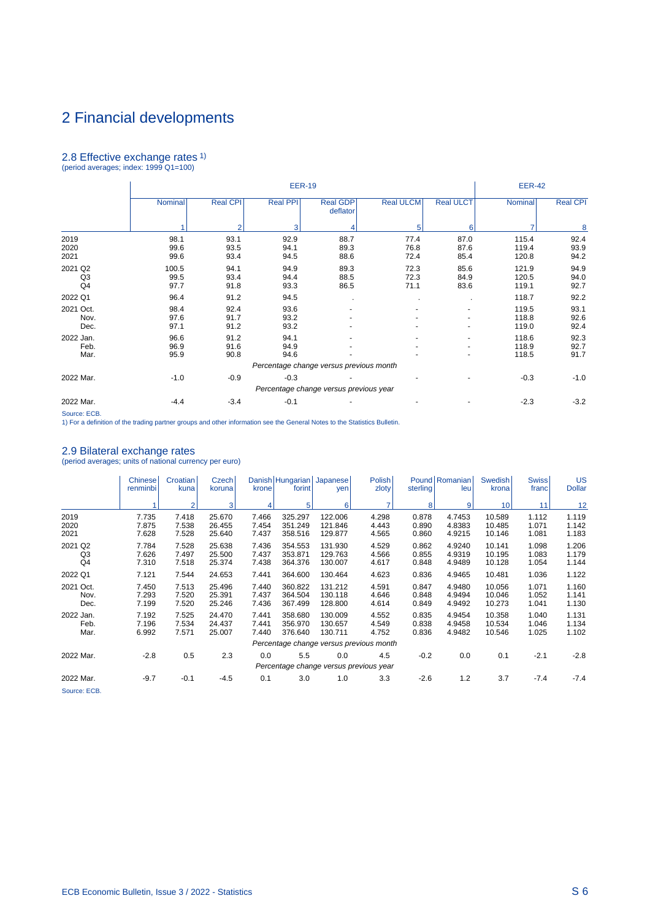# 2.8 Effective exchange rates 1) (period averages; index: 1999 Q1=100)

|                                 |                       |                      | <b>EER-19</b>        |                                         |                      |                      | <b>EER-42</b>           |                      |
|---------------------------------|-----------------------|----------------------|----------------------|-----------------------------------------|----------------------|----------------------|-------------------------|----------------------|
|                                 | Nominal               | <b>Real CPI</b>      | <b>Real PPI</b>      | <b>Real GDP</b><br>deflator             | <b>Real ULCM</b>     | <b>Real ULCT</b>     | Nominal                 | <b>Real CPI</b>      |
|                                 |                       | $\overline{2}$       | 3                    | 4                                       | 5                    | 6                    |                         | 8                    |
| 2019<br>2020<br>2021            | 98.1<br>99.6<br>99.6  | 93.1<br>93.5<br>93.4 | 92.9<br>94.1<br>94.5 | 88.7<br>89.3<br>88.6                    | 77.4<br>76.8<br>72.4 | 87.0<br>87.6<br>85.4 | 115.4<br>119.4<br>120.8 | 92.4<br>93.9<br>94.2 |
| 2021 Q2<br>Q <sub>3</sub><br>Q4 | 100.5<br>99.5<br>97.7 | 94.1<br>93.4<br>91.8 | 94.9<br>94.4<br>93.3 | 89.3<br>88.5<br>86.5                    | 72.3<br>72.3<br>71.1 | 85.6<br>84.9<br>83.6 | 121.9<br>120.5<br>119.1 | 94.9<br>94.0<br>92.7 |
| 2022 Q1                         | 96.4                  | 91.2                 | 94.5                 |                                         |                      |                      | 118.7                   | 92.2                 |
| 2021 Oct.<br>Nov.<br>Dec.       | 98.4<br>97.6<br>97.1  | 92.4<br>91.7<br>91.2 | 93.6<br>93.2<br>93.2 |                                         |                      |                      | 119.5<br>118.8<br>119.0 | 93.1<br>92.6<br>92.4 |
| 2022 Jan.<br>Feb.<br>Mar.       | 96.6<br>96.9<br>95.9  | 91.2<br>91.6<br>90.8 | 94.1<br>94.9<br>94.6 |                                         |                      |                      | 118.6<br>118.9<br>118.5 | 92.3<br>92.7<br>91.7 |
|                                 |                       |                      |                      | Percentage change versus previous month |                      |                      |                         |                      |
| 2022 Mar.                       | $-1.0$                | $-0.9$               | $-0.3$               |                                         |                      |                      | $-0.3$                  | $-1.0$               |
|                                 |                       |                      |                      | Percentage change versus previous year  |                      |                      |                         |                      |
| 2022 Mar.                       | $-4.4$                | $-3.4$               | $-0.1$               |                                         |                      |                      | $-2.3$                  | $-3.2$               |

Source: ECB.

1) For a definition of the trading partner groups and other information see the General Notes to the Statistics Bulletin.

# 2.9 Bilateral exchange rates (period averages; units of national currency per euro)

|                                             | <b>Chinese</b><br>renminbi | Croatian<br>kuna        | Czech<br>koruna            | krone                   | Danish Hungarian Japanese<br>forint | yen                           | Polish<br>zloty                               | sterling                | Pound Romanian<br>leu      | Swedish <sup>1</sup><br>krona | Swiss <sup> </sup><br>franc | <b>US</b><br><b>Dollar</b> |
|---------------------------------------------|----------------------------|-------------------------|----------------------------|-------------------------|-------------------------------------|-------------------------------|-----------------------------------------------|-------------------------|----------------------------|-------------------------------|-----------------------------|----------------------------|
|                                             |                            | $\overline{2}$          | 3                          |                         | 5                                   | 6                             | $\overline{7}$                                | 8                       | 9                          | 10 <sup>1</sup>               | 11                          | 12                         |
| 2019<br>2020<br>2021                        | 7.735<br>7.875<br>7.628    | 7.418<br>7.538<br>7.528 | 25.670<br>26.455<br>25.640 | 7.466<br>7.454<br>7.437 | 325.297<br>351.249<br>358.516       | 122.006<br>121.846<br>129.877 | 4.298<br>4.443<br>4.565                       | 0.878<br>0.890<br>0.860 | 4.7453<br>4.8383<br>4.9215 | 10.589<br>10.485<br>10.146    | 1.112<br>1.071<br>1.081     | 1.119<br>1.142<br>1.183    |
| 2021 Q2<br>Q <sub>3</sub><br>Q <sub>4</sub> | 7.784<br>7.626<br>7.310    | 7.528<br>7.497<br>7.518 | 25.638<br>25.500<br>25.374 | 7.436<br>7.437<br>7.438 | 354.553<br>353.871<br>364.376       | 131.930<br>129.763<br>130.007 | 4.529<br>4.566<br>4.617                       | 0.862<br>0.855<br>0.848 | 4.9240<br>4.9319<br>4.9489 | 10.141<br>10.195<br>10.128    | 1.098<br>1.083<br>1.054     | 1.206<br>1.179<br>1.144    |
| 2022 Q1                                     | 7.121                      | 7.544                   | 24.653                     | 7.441                   | 364.600                             | 130.464                       | 4.623                                         | 0.836                   | 4.9465                     | 10.481                        | 1.036                       | 1.122                      |
| 2021 Oct.<br>Nov.<br>Dec.                   | 7.450<br>7.293<br>7.199    | 7.513<br>7.520<br>7.520 | 25.496<br>25.391<br>25.246 | 7.440<br>7.437<br>7.436 | 360.822<br>364.504<br>367.499       | 131.212<br>130.118<br>128.800 | 4.591<br>4.646<br>4.614                       | 0.847<br>0.848<br>0.849 | 4.9480<br>4.9494<br>4.9492 | 10.056<br>10.046<br>10.273    | 1.071<br>1.052<br>1.041     | 1.160<br>1.141<br>1.130    |
| 2022 Jan.<br>Feb.<br>Mar.                   | 7.192<br>7.196<br>6.992    | 7.525<br>7.534<br>7.571 | 24.470<br>24.437<br>25.007 | 7.441<br>7.441<br>7.440 | 358.680<br>356.970<br>376.640       | 130.009<br>130.657<br>130.711 | 4.552<br>4.549<br>4.752                       | 0.835<br>0.838<br>0.836 | 4.9454<br>4.9458<br>4.9482 | 10.358<br>10.534<br>10.546    | 1.040<br>1.046<br>1.025     | 1.131<br>1.134<br>1.102    |
|                                             |                            |                         |                            |                         |                                     |                               | Percentage change versus previous month       |                         |                            |                               |                             |                            |
| 2022 Mar.                                   | $-2.8$                     | 0.5                     | 2.3                        | 0.0                     | 5.5                                 | 0.0                           | 4.5<br>Percentage change versus previous year | $-0.2$                  | 0.0                        | 0.1                           | $-2.1$                      | $-2.8$                     |
| 2022 Mar.<br>Source: ECB.                   | $-9.7$                     | $-0.1$                  | $-4.5$                     | 0.1                     | 3.0                                 | 1.0                           | 3.3                                           | $-2.6$                  | 1.2                        | 3.7                           | $-7.4$                      | $-7.4$                     |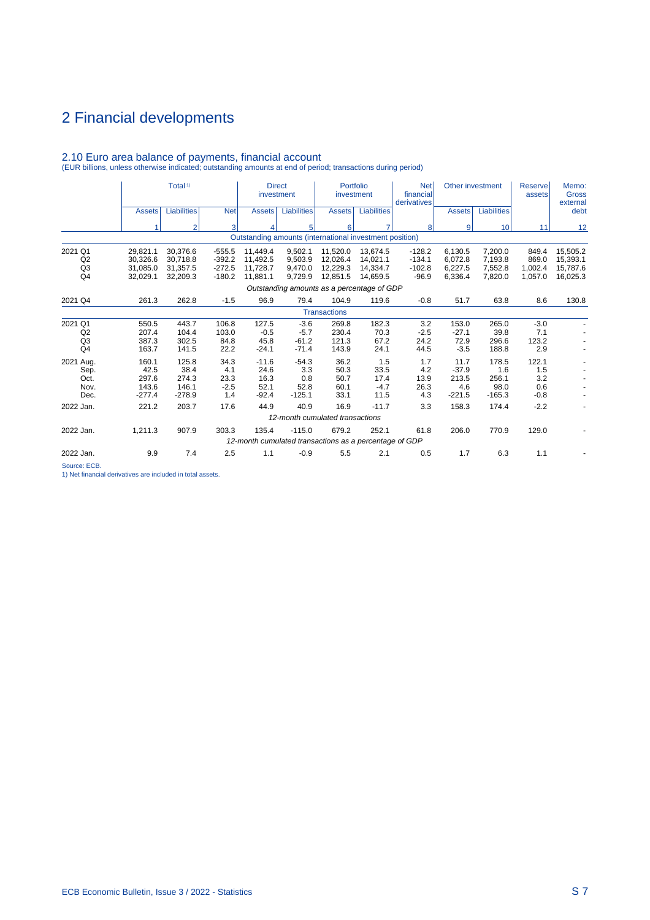|                                                   |                                              | Total <sup>1)</sup>                          |                                              | <b>Direct</b><br>investment                                     |                                           | Portfolio<br>investment                      |                                              | <b>Net</b><br>financial<br>derivatives      | Other investment                            |                                           | <b>Reserve</b><br>assets             | Memo:<br><b>Gross</b><br>external            |
|---------------------------------------------------|----------------------------------------------|----------------------------------------------|----------------------------------------------|-----------------------------------------------------------------|-------------------------------------------|----------------------------------------------|----------------------------------------------|---------------------------------------------|---------------------------------------------|-------------------------------------------|--------------------------------------|----------------------------------------------|
|                                                   | <b>Assets</b>                                | <b>Liabilities</b>                           | <b>Net</b>                                   | <b>Assets</b>                                                   | <b>Liabilities</b>                        | <b>Assets</b>                                | <b>Liabilities</b>                           |                                             | <b>Assets</b>                               | <b>Liabilities</b>                        |                                      | debt                                         |
|                                                   |                                              | $\overline{2}$                               | 3                                            | 4                                                               | 5                                         | 6                                            | 7                                            | 8                                           | 9                                           | 10                                        | 11                                   | 12                                           |
|                                                   |                                              |                                              |                                              | Outstanding amounts (international investment position)         |                                           |                                              |                                              |                                             |                                             |                                           |                                      |                                              |
| 2021 Q1<br>Q2<br>Q <sub>3</sub><br>Q <sub>4</sub> | 29,821.1<br>30,326.6<br>31.085.0<br>32.029.1 | 30,376.6<br>30,718.8<br>31.357.5<br>32,209.3 | $-555.5$<br>$-392.2$<br>$-272.5$<br>$-180.2$ | 11.449.4<br>11,492.5<br>11.728.7<br>11.881.1                    | 9.502.1<br>9,503.9<br>9.470.0<br>9.729.9  | 11,520.0<br>12,026.4<br>12.229.3<br>12,851.5 | 13,674.5<br>14,021.1<br>14.334.7<br>14,659.5 | $-128.2$<br>$-134.1$<br>$-102.8$<br>$-96.9$ | 6.130.5<br>6,072.8<br>6.227.5<br>6.336.4    | 7,200.0<br>7,193.8<br>7,552.8<br>7.820.0  | 849.4<br>869.0<br>1,002.4<br>1.057.0 | 15,505.2<br>15,393.1<br>15,787.6<br>16,025.3 |
|                                                   |                                              |                                              |                                              |                                                                 |                                           | Outstanding amounts as a percentage of GDP   |                                              |                                             |                                             |                                           |                                      |                                              |
| 2021 Q4                                           | 261.3                                        | 262.8                                        | $-1.5$                                       | 96.9                                                            | 79.4                                      | 104.9<br><b>Transactions</b>                 | 119.6                                        | $-0.8$                                      | 51.7                                        | 63.8                                      | 8.6                                  | 130.8                                        |
| 2021 Q1<br>Q2<br>Q <sub>3</sub><br>Q <sub>4</sub> | 550.5<br>207.4<br>387.3<br>163.7             | 443.7<br>104.4<br>302.5<br>141.5             | 106.8<br>103.0<br>84.8<br>22.2               | 127.5<br>$-0.5$<br>45.8<br>$-24.1$                              | $-3.6$<br>$-5.7$<br>$-61.2$<br>$-71.4$    | 269.8<br>230.4<br>121.3<br>143.9             | 182.3<br>70.3<br>67.2<br>24.1                | 3.2<br>$-2.5$<br>24.2<br>44.5               | 153.0<br>$-27.1$<br>72.9<br>$-3.5$          | 265.0<br>39.8<br>296.6<br>188.8           | $-3.0$<br>7.1<br>123.2<br>2.9        |                                              |
| 2021 Aug.<br>Sep.<br>Oct.<br>Nov.<br>Dec.         | 160.1<br>42.5<br>297.6<br>143.6<br>$-277.4$  | 125.8<br>38.4<br>274.3<br>146.1<br>$-278.9$  | 34.3<br>4.1<br>23.3<br>$-2.5$<br>1.4         | $-11.6$<br>24.6<br>16.3<br>52.1<br>$-92.4$                      | $-54.3$<br>3.3<br>0.8<br>52.8<br>$-125.1$ | 36.2<br>50.3<br>50.7<br>60.1<br>33.1         | 1.5<br>33.5<br>17.4<br>$-4.7$<br>11.5        | 1.7<br>4.2<br>13.9<br>26.3<br>4.3           | 11.7<br>$-37.9$<br>213.5<br>4.6<br>$-221.5$ | 178.5<br>1.6<br>256.1<br>98.0<br>$-165.3$ | 122.1<br>1.5<br>3.2<br>0.6<br>$-0.8$ |                                              |
| 2022 Jan.                                         | 221.2                                        | 203.7                                        | 17.6                                         | 44.9                                                            | 40.9                                      | 16.9                                         | $-11.7$                                      | 3.3                                         | 158.3                                       | 174.4                                     | $-2.2$                               |                                              |
|                                                   |                                              |                                              |                                              |                                                                 |                                           | 12-month cumulated transactions              |                                              |                                             |                                             |                                           |                                      |                                              |
| 2022 Jan.                                         | 1,211.3                                      | 907.9                                        | 303.3                                        | 135.4<br>12-month cumulated transactions as a percentage of GDP | $-115.0$                                  | 679.2                                        | 252.1                                        | 61.8                                        | 206.0                                       | 770.9                                     | 129.0                                |                                              |
| 2022 Jan.                                         | 9.9                                          | 7.4                                          | 2.5                                          | 1.1                                                             | $-0.9$                                    | 5.5                                          | 2.1                                          | 0.5                                         | 1.7                                         | 6.3                                       | 1.1                                  |                                              |

# 2.10 Euro area balance of payments, financial account (EUR billions, unless otherwise indicated; outstanding amounts at end of period; transactions during period)

Source: ECB.

1) Net financial derivatives are included in total assets.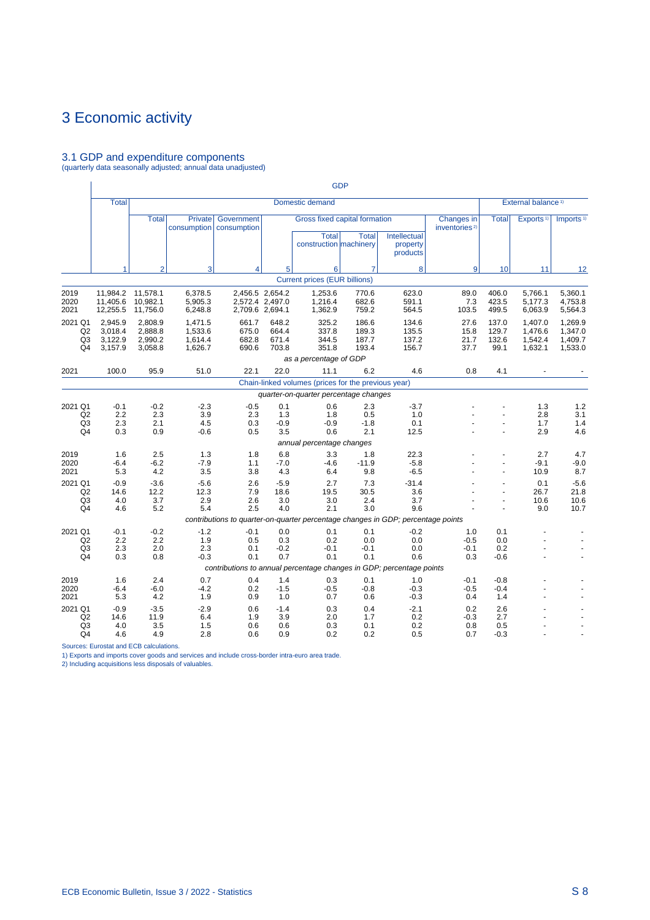# 3.1 GDP and expenditure components (quarterly data seasonally adjusted; annual data unadjusted)

|                                                   |                                          |                                           |                                          |                                                                                  |                                                       |                                                                         | <b>GDP</b>                       |                                      |                                         |                                 |                                          |                                          |
|---------------------------------------------------|------------------------------------------|-------------------------------------------|------------------------------------------|----------------------------------------------------------------------------------|-------------------------------------------------------|-------------------------------------------------------------------------|----------------------------------|--------------------------------------|-----------------------------------------|---------------------------------|------------------------------------------|------------------------------------------|
|                                                   | <b>Total</b>                             |                                           |                                          |                                                                                  |                                                       | Domestic demand                                                         |                                  |                                      |                                         |                                 | External balance <sup>1)</sup>           |                                          |
|                                                   |                                          | <b>Total</b>                              | <b>Private</b><br>consumption            | Government<br>consumption                                                        |                                                       | Gross fixed capital formation<br><b>Total</b><br>construction machinery | <b>Total</b>                     | Intellectual<br>property<br>products | Changes in<br>inventories <sup>2)</sup> | <b>Total</b>                    | Exports <sup>1)</sup>                    | Imports <sup>1)</sup>                    |
|                                                   | 1                                        | $\overline{2}$                            | 3                                        | $\overline{\mathbf{4}}$                                                          | 5                                                     | 6                                                                       | $\overline{7}$                   | 8                                    | 9                                       | 10                              | 11                                       | 12                                       |
|                                                   |                                          |                                           |                                          |                                                                                  |                                                       | <b>Current prices (EUR billions)</b>                                    |                                  |                                      |                                         |                                 |                                          |                                          |
| 2019<br>2020<br>2021                              | 11,405.6<br>12,255.5                     | 11,984.2 11,578.1<br>10,982.1<br>11,756.0 | 6,378.5<br>5,905.3<br>6,248.8            |                                                                                  | 2,456.5 2,654.2<br>2,572.4 2,497.0<br>2,709.6 2,694.1 | 1,253.6<br>1,216.4<br>1,362.9                                           | 770.6<br>682.6<br>759.2          | 623.0<br>591.1<br>564.5              | 89.0<br>7.3<br>103.5                    | 406.0<br>423.5<br>499.5         | 5,766.1<br>5,177.3<br>6,063.9            | 5,360.1<br>4,753.8<br>5,564.3            |
| 2021 Q1<br>Q2<br>Q3<br>Q4                         | 2,945.9<br>3,018.4<br>3,122.9<br>3,157.9 | 2,808.9<br>2,888.8<br>2,990.2<br>3,058.8  | 1,471.5<br>1,533.6<br>1,614.4<br>1,626.7 | 661.7<br>675.0<br>682.8<br>690.6                                                 | 648.2<br>664.4<br>671.4<br>703.8                      | 325.2<br>337.8<br>344.5<br>351.8                                        | 186.6<br>189.3<br>187.7<br>193.4 | 134.6<br>135.5<br>137.2<br>156.7     | 27.6<br>15.8<br>21.7<br>37.7            | 137.0<br>129.7<br>132.6<br>99.1 | 1,407.0<br>1,476.6<br>1,542.4<br>1,632.1 | 1,269.9<br>1,347.0<br>1,409.7<br>1,533.0 |
|                                                   |                                          |                                           |                                          |                                                                                  |                                                       | as a percentage of GDP                                                  |                                  |                                      |                                         |                                 |                                          |                                          |
| 2021                                              | 100.0                                    | 95.9                                      | 51.0                                     | 22.1                                                                             | 22.0                                                  | 11.1                                                                    | 6.2                              | 4.6                                  | 0.8                                     | 4.1                             |                                          |                                          |
|                                                   |                                          |                                           |                                          |                                                                                  |                                                       | Chain-linked volumes (prices for the previous year)                     |                                  |                                      |                                         |                                 |                                          |                                          |
|                                                   |                                          |                                           |                                          |                                                                                  |                                                       | quarter-on-quarter percentage changes                                   |                                  |                                      |                                         |                                 |                                          |                                          |
| 2021 Q1<br>Q2<br>Q <sub>3</sub><br>Q4             | $-0.1$<br>2.2<br>2.3<br>0.3              | $-0.2$<br>2.3<br>2.1<br>0.9               | $-2.3$<br>3.9<br>4.5<br>$-0.6$           | $-0.5$<br>2.3<br>0.3<br>0.5                                                      | 0.1<br>1.3<br>$-0.9$<br>3.5                           | 0.6<br>1.8<br>$-0.9$<br>0.6                                             | 2.3<br>0.5<br>$-1.8$<br>2.1      | $-3.7$<br>1.0<br>0.1<br>12.5         |                                         |                                 | 1.3<br>2.8<br>1.7<br>2.9                 | 1.2<br>3.1<br>1.4<br>4.6                 |
|                                                   |                                          |                                           |                                          |                                                                                  |                                                       | annual percentage changes                                               |                                  |                                      |                                         |                                 |                                          |                                          |
| 2019<br>2020<br>2021                              | 1.6<br>$-6.4$<br>5.3                     | 2.5<br>$-6.2$<br>4.2                      | 1.3<br>$-7.9$<br>3.5                     | 1.8<br>1.1<br>3.8                                                                | 6.8<br>$-7.0$<br>4.3                                  | 3.3<br>$-4.6$<br>6.4                                                    | 1.8<br>$-11.9$<br>9.8            | 22.3<br>$-5.8$<br>$-6.5$             |                                         | ä,                              | 2.7<br>$-9.1$<br>10.9                    | 4.7<br>$-9.0$<br>8.7                     |
| 2021 Q1<br>Q2<br>Q <sub>3</sub><br>Q <sub>4</sub> | $-0.9$<br>14.6<br>4.0<br>4.6             | $-3.6$<br>12.2<br>3.7<br>5.2              | $-5.6$<br>12.3<br>2.9<br>5.4             | 2.6<br>7.9<br>2.6<br>2.5                                                         | $-5.9$<br>18.6<br>3.0<br>4.0                          | 2.7<br>19.5<br>3.0<br>2.1                                               | 7.3<br>30.5<br>2.4<br>3.0        | $-31.4$<br>3.6<br>3.7<br>9.6         |                                         | $\overline{a}$                  | 0.1<br>26.7<br>10.6<br>9.0               | $-5.6$<br>21.8<br>10.6<br>10.7           |
|                                                   |                                          |                                           |                                          | contributions to quarter-on-quarter percentage changes in GDP; percentage points |                                                       |                                                                         |                                  |                                      |                                         |                                 |                                          |                                          |
| 2021 Q1<br>Q2<br>Q <sub>3</sub><br>Q4             | $-0.1$<br>2.2<br>2.3<br>0.3              | $-0.2$<br>2.2<br>2.0<br>0.8               | $-1.2$<br>1.9<br>2.3<br>$-0.3$           | $-0.1$<br>0.5<br>0.1<br>0.1                                                      | 0.0<br>0.3<br>$-0.2$<br>0.7                           | 0.1<br>0.2<br>$-0.1$<br>0.1                                             | 0.1<br>0.0<br>$-0.1$<br>0.1      | $-0.2$<br>0.0<br>0.0<br>0.6          | 1.0<br>$-0.5$<br>$-0.1$<br>0.3          | 0.1<br>0.0<br>0.2<br>$-0.6$     |                                          |                                          |
|                                                   |                                          |                                           |                                          | contributions to annual percentage changes in GDP; percentage points             |                                                       |                                                                         |                                  |                                      |                                         |                                 |                                          |                                          |
| 2019<br>2020<br>2021                              | 1.6<br>$-6.4$<br>5.3                     | 2.4<br>$-6.0$<br>4.2                      | 0.7<br>$-4.2$<br>1.9                     | 0.4<br>0.2<br>0.9                                                                | 1.4<br>$-1.5$<br>1.0                                  | 0.3<br>$-0.5$<br>0.7                                                    | 0.1<br>$-0.8$<br>0.6             | 1.0<br>$-0.3$<br>$-0.3$              | $-0.1$<br>$-0.5$<br>0.4                 | $-0.8$<br>$-0.4$<br>1.4         |                                          |                                          |
| 2021 Q1<br>Q2<br>Q <sub>3</sub><br>Q4             | $-0.9$<br>14.6<br>4.0<br>4.6             | $-3.5$<br>11.9<br>3.5<br>4.9              | $-2.9$<br>6.4<br>1.5<br>2.8              | 0.6<br>1.9<br>0.6<br>0.6                                                         | $-1.4$<br>3.9<br>0.6<br>0.9                           | 0.3<br>2.0<br>0.3<br>0.2                                                | 0.4<br>1.7<br>0.1<br>0.2         | $-2.1$<br>0.2<br>0.2<br>0.5          | 0.2<br>$-0.3$<br>0.8<br>0.7             | 2.6<br>2.7<br>0.5<br>$-0.3$     |                                          |                                          |

Sources: Eurostat and ECB calculations.

1) Exports and imports cover goods and services and include cross-border intra-euro area trade. 2) Including acquisitions less disposals of valuables.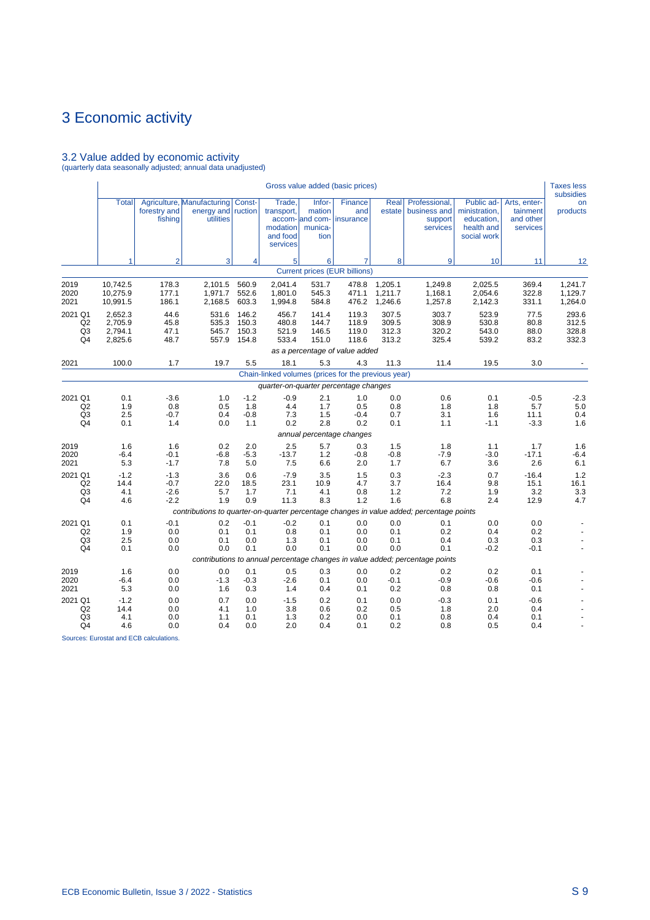# 3.2 Value added by economic activity (quarterly data seasonally adjusted; annual data unadjusted)

|                                                   |                                          |                                      |                                                                        |                                  |                                                          |                                                        | Gross value added (basic prices)      |                                  |                                                                                                          |                                                                        |                                                   | <b>Taxes less</b><br>subsidies   |
|---------------------------------------------------|------------------------------------------|--------------------------------------|------------------------------------------------------------------------|----------------------------------|----------------------------------------------------------|--------------------------------------------------------|---------------------------------------|----------------------------------|----------------------------------------------------------------------------------------------------------|------------------------------------------------------------------------|---------------------------------------------------|----------------------------------|
|                                                   | <b>Total</b>                             | forestry and<br>fishing              | Agriculture, Manufacturing   Const-<br>energy and ruction<br>utilities |                                  | Trade,<br>transport,<br>modation<br>and food<br>services | Infor-<br>mation<br>accom- and com-<br>munica-<br>tion | Finance<br>and<br>insurance           | Real<br>estate                   | Professional,<br>business and<br>support<br>services                                                     | Public ad-<br>ministration,<br>education,<br>health and<br>social work | Arts, enter-<br>tainment<br>and other<br>services | on<br>products                   |
|                                                   | $\mathbf{1}$                             | $\overline{2}$                       | 3                                                                      | 4                                | 5 <sup>1</sup>                                           | 6                                                      | 7                                     | 8                                | 9                                                                                                        | 10                                                                     | 11                                                | 12                               |
|                                                   |                                          |                                      |                                                                        |                                  |                                                          |                                                        | <b>Current prices (EUR billions)</b>  |                                  |                                                                                                          |                                                                        |                                                   |                                  |
| 2019<br>2020<br>2021                              | 10,742.5<br>10,275.9<br>10,991.5         | 178.3<br>177.1<br>186.1              | 2,101.5<br>1,971.7<br>2,168.5                                          | 560.9<br>552.6<br>603.3          | 2,041.4<br>1,801.0<br>1,994.8                            | 531.7<br>545.3<br>584.8                                | 478.8<br>471.1<br>476.2               | 1,205.1<br>1,211.7<br>1,246.6    | 1,249.8<br>1,168.1<br>1,257.8                                                                            | 2.025.5<br>2,054.6<br>2,142.3                                          | 369.4<br>322.8<br>331.1                           | 1,241.7<br>1,129.7<br>1,264.0    |
| 2021 Q1<br>Q2<br>Q3<br>Q4                         | 2,652.3<br>2.705.9<br>2,794.1<br>2,825.6 | 44.6<br>45.8<br>47.1<br>48.7         | 531.6<br>535.3<br>545.7<br>557.9                                       | 146.2<br>150.3<br>150.3<br>154.8 | 456.7<br>480.8<br>521.9<br>533.4                         | 141.4<br>144.7<br>146.5<br>151.0                       | 119.3<br>118.9<br>119.0<br>118.6      | 307.5<br>309.5<br>312.3<br>313.2 | 303.7<br>308.9<br>320.2<br>325.4                                                                         | 523.9<br>530.8<br>543.0<br>539.2                                       | 77.5<br>80.8<br>88.0<br>83.2                      | 293.6<br>312.5<br>328.8<br>332.3 |
| 2021                                              | 100.0                                    | 1.7                                  | 19.7                                                                   | 5.5                              | 18.1                                                     | 5.3                                                    | as a percentage of value added<br>4.3 | 11.3                             | 11.4                                                                                                     | 19.5                                                                   | 3.0                                               |                                  |
|                                                   |                                          |                                      |                                                                        |                                  | Chain-linked volumes (prices for the previous year)      |                                                        |                                       |                                  |                                                                                                          |                                                                        |                                                   |                                  |
|                                                   |                                          |                                      |                                                                        |                                  | quarter-on-quarter percentage changes                    |                                                        |                                       |                                  |                                                                                                          |                                                                        |                                                   |                                  |
| 2021 Q1<br>Q2<br>Q <sub>3</sub><br>Q4             | 0.1<br>1.9<br>2.5<br>0.1                 | $-3.6$<br>0.8<br>$-0.7$<br>1.4       | 1.0<br>0.5<br>0.4<br>0.0                                               | $-1.2$<br>1.8<br>$-0.8$<br>1.1   | $-0.9$<br>4.4<br>7.3<br>0.2                              | 2.1<br>1.7<br>1.5<br>2.8                               | 1.0<br>0.5<br>$-0.4$<br>0.2           | 0.0<br>0.8<br>0.7<br>0.1         | 0.6<br>1.8<br>3.1<br>1.1                                                                                 | 0.1<br>1.8<br>1.6<br>$-1.1$                                            | $-0.5$<br>5.7<br>11.1<br>$-3.3$                   | $-2.3$<br>5.0<br>0.4<br>1.6      |
|                                                   |                                          |                                      |                                                                        |                                  |                                                          |                                                        | annual percentage changes             |                                  |                                                                                                          |                                                                        |                                                   |                                  |
| 2019<br>2020<br>2021                              | 1.6<br>$-6.4$<br>5.3                     | 1.6<br>$-0.1$<br>$-1.7$              | 0.2<br>$-6.8$<br>7.8                                                   | 2.0<br>$-5.3$<br>5.0             | 2.5<br>$-13.7$<br>7.5                                    | 5.7<br>1.2<br>6.6                                      | 0.3<br>$-0.8$<br>2.0                  | 1.5<br>$-0.8$<br>1.7             | 1.8<br>$-7.9$<br>6.7                                                                                     | 1.1<br>$-3.0$<br>3.6                                                   | 1.7<br>$-17.1$<br>2.6                             | 1.6<br>$-6.4$<br>6.1             |
| 2021 Q1<br>Q2<br>Q3<br>Q4                         | $-1.2$<br>14.4<br>4.1<br>4.6             | $-1.3$<br>$-0.7$<br>$-2.6$<br>$-2.2$ | 3.6<br>22.0<br>5.7<br>1.9                                              | 0.6<br>18.5<br>1.7<br>0.9        | $-7.9$<br>23.1<br>7.1<br>11.3                            | 3.5<br>10.9<br>4.1<br>8.3                              | 1.5<br>4.7<br>0.8<br>1.2              | 0.3<br>3.7<br>1.2<br>1.6         | $-2.3$<br>16.4<br>7.2<br>6.8                                                                             | 0.7<br>9.8<br>1.9<br>2.4                                               | $-16.4$<br>15.1<br>3.2<br>12.9                    | 1.2<br>16.1<br>3.3<br>4.7        |
|                                                   |                                          |                                      |                                                                        |                                  |                                                          |                                                        |                                       |                                  | contributions to quarter-on-quarter percentage changes in value added; percentage points                 |                                                                        |                                                   |                                  |
| 2021 Q1<br>Q <sub>2</sub><br>Q <sub>3</sub><br>Q4 | 0.1<br>1.9<br>2.5<br>0.1                 | $-0.1$<br>0.0<br>0.0<br>0.0          | 0.2<br>0.1<br>0.1<br>0.0                                               | $-0.1$<br>0.1<br>0.0<br>0.1      | $-0.2$<br>0.8<br>1.3<br>0.0                              | 0.1<br>0.1<br>0.1<br>0.1                               | 0.0<br>0.0<br>0.0<br>0.0              | 0.0<br>0.1<br>0.1<br>0.0         | 0.1<br>0.2<br>0.4<br>0.1<br>contributions to annual percentage changes in value added; percentage points | 0.0<br>0.4<br>0.3<br>$-0.2$                                            | 0.0<br>0.2<br>0.3<br>$-0.1$                       | ÷.                               |
| 2019<br>2020<br>2021                              | 1.6<br>$-6.4$<br>5.3                     | 0.0<br>0.0<br>0.0                    | 0.0<br>$-1.3$<br>1.6                                                   | 0.1<br>$-0.3$<br>0.3             | 0.5<br>$-2.6$<br>1.4                                     | 0.3<br>0.1<br>0.4                                      | 0.0<br>0.0<br>0.1                     | 0.2<br>$-0.1$<br>0.2             | 0.2<br>$-0.9$<br>0.8                                                                                     | 0.2<br>$-0.6$<br>0.8                                                   | 0.1<br>$-0.6$<br>0.1                              |                                  |
| 2021 Q1<br>Q2<br>Q <sub>3</sub><br>Q <sub>4</sub> | $-1.2$<br>14.4<br>4.1<br>4.6             | 0.0<br>0.0<br>0.0<br>0.0             | 0.7<br>4.1<br>1.1<br>0.4                                               | 0.0<br>1.0<br>0.1<br>0.0         | $-1.5$<br>3.8<br>1.3<br>2.0                              | 0.2<br>0.6<br>0.2<br>0.4                               | 0.1<br>0.2<br>0.0<br>0.1              | 0.0<br>0.5<br>0.1<br>0.2         | $-0.3$<br>1.8<br>0.8<br>0.8                                                                              | 0.1<br>2.0<br>0.4<br>0.5                                               | $-0.6$<br>0.4<br>0.1<br>0.4                       |                                  |

Sources: Eurostat and ECB calculations.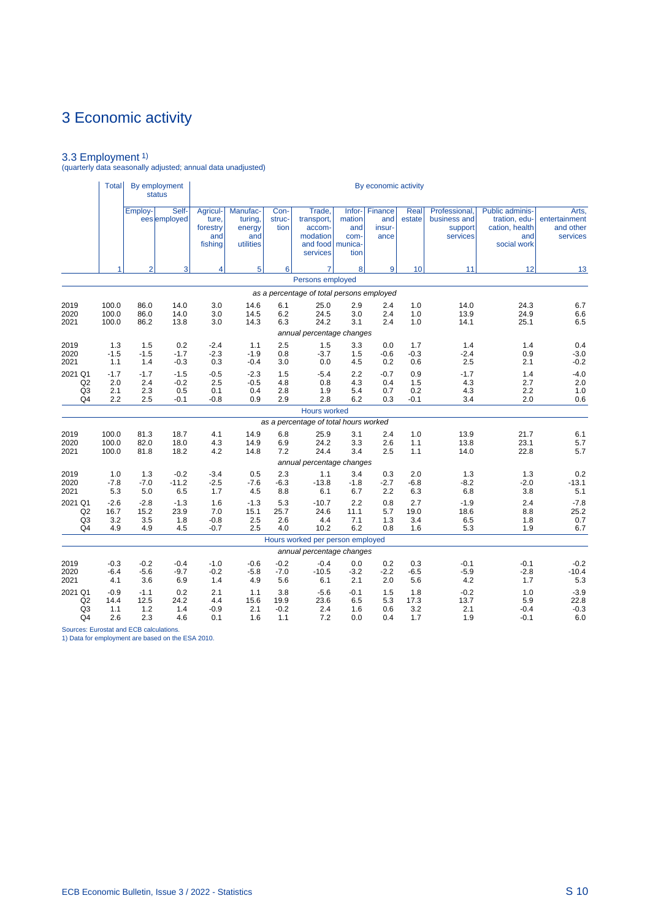3.3 Employment 1) (quarterly data seasonally adjusted; annual data unadjusted)

|                                                               | <b>Total</b>                 |                              | By employment<br><b>status</b>    |                                                 |                                                   |                              |                                                                              |                               | By economic activity                    |                             |                                                      |                                                                                 |                                                 |
|---------------------------------------------------------------|------------------------------|------------------------------|-----------------------------------|-------------------------------------------------|---------------------------------------------------|------------------------------|------------------------------------------------------------------------------|-------------------------------|-----------------------------------------|-----------------------------|------------------------------------------------------|---------------------------------------------------------------------------------|-------------------------------------------------|
|                                                               |                              | Employ-                      | Self-<br>ees employed             | Agricul-<br>ture.<br>forestry<br>and<br>fishing | Manufac-<br>turing,<br>energy<br>and<br>utilities | Con-<br>struc-<br>tion       | Trade.<br>transport,<br>accom-<br>modation<br>and food   munica-<br>services | mation<br>and<br>com-<br>tion | Infor- Finance<br>and<br>insur-<br>ance | Real<br>estate              | Professional,<br>business and<br>support<br>services | <b>Public adminis-</b><br>tration, edu-<br>cation, health<br>and<br>social work | Arts,<br>entertainment<br>and other<br>services |
|                                                               | 1                            | $\overline{2}$               | 3                                 | 4                                               | 5                                                 | 6                            | $\overline{7}$                                                               | 8                             | 9                                       | 10                          | 11                                                   | 12                                                                              | 13                                              |
|                                                               |                              |                              |                                   |                                                 |                                                   |                              | Persons employed                                                             |                               |                                         |                             |                                                      |                                                                                 |                                                 |
|                                                               |                              |                              |                                   |                                                 |                                                   |                              | as a percentage of total persons employed                                    |                               |                                         |                             |                                                      |                                                                                 |                                                 |
| 2019<br>2020<br>2021                                          | 100.0<br>100.0<br>100.0      | 86.0<br>86.0<br>86.2         | 14.0<br>14.0<br>13.8              | 3.0<br>3.0<br>3.0                               | 14.6<br>14.5<br>14.3                              | 6.1<br>6.2<br>6.3            | 25.0<br>24.5<br>24.2                                                         | 2.9<br>3.0<br>3.1             | 2.4<br>2.4<br>2.4                       | 1.0<br>1.0<br>1.0           | 14.0<br>13.9<br>14.1                                 | 24.3<br>24.9<br>25.1                                                            | 6.7<br>6.6<br>6.5                               |
|                                                               |                              |                              |                                   |                                                 |                                                   |                              | annual percentage changes                                                    |                               |                                         |                             |                                                      |                                                                                 |                                                 |
| 2019<br>2020<br>2021                                          | 1.3<br>$-1.5$<br>1.1         | 1.5<br>$-1.5$<br>1.4         | 0.2<br>$-1.7$<br>$-0.3$           | $-2.4$<br>$-2.3$<br>0.3                         | 1.1<br>$-1.9$<br>$-0.4$                           | 2.5<br>0.8<br>3.0            | 1.5<br>$-3.7$<br>0.0                                                         | 3.3<br>1.5<br>4.5             | 0.0<br>$-0.6$<br>0.2                    | 1.7<br>$-0.3$<br>0.6        | 1.4<br>$-2.4$<br>2.5                                 | 1.4<br>0.9<br>2.1                                                               | 0.4<br>$-3.0$<br>$-0.2$                         |
| 2021 Q1<br>Q <sub>2</sub><br>Q <sub>3</sub><br>Q <sub>4</sub> | $-1.7$<br>2.0<br>2.1<br>2.2  | $-1.7$<br>2.4<br>2.3<br>2.5  | $-1.5$<br>$-0.2$<br>0.5<br>$-0.1$ | $-0.5$<br>2.5<br>0.1<br>$-0.8$                  | $-2.3$<br>$-0.5$<br>0.4<br>0.9                    | 1.5<br>4.8<br>2.8<br>2.9     | $-5.4$<br>0.8<br>1.9<br>2.8                                                  | 2.2<br>4.3<br>5.4<br>6.2      | $-0.7$<br>0.4<br>0.7<br>0.3             | 0.9<br>1.5<br>0.2<br>$-0.1$ | $-1.7$<br>4.3<br>4.3<br>3.4                          | 1.4<br>2.7<br>2.2<br>2.0                                                        | $-4.0$<br>2.0<br>1.0<br>0.6                     |
|                                                               |                              |                              |                                   |                                                 |                                                   |                              | <b>Hours worked</b>                                                          |                               |                                         |                             |                                                      |                                                                                 |                                                 |
|                                                               |                              |                              |                                   |                                                 |                                                   |                              | as a percentage of total hours worked                                        |                               |                                         |                             |                                                      |                                                                                 |                                                 |
| 2019<br>2020<br>2021                                          | 100.0<br>100.0<br>100.0      | 81.3<br>82.0<br>81.8         | 18.7<br>18.0<br>18.2              | 4.1<br>4.3<br>4.2                               | 14.9<br>14.9<br>14.8                              | 6.8<br>6.9<br>7.2            | 25.9<br>24.2<br>24.4<br>annual percentage changes                            | 3.1<br>3.3<br>3.4             | 2.4<br>2.6<br>2.5                       | 1.0<br>1.1<br>1.1           | 13.9<br>13.8<br>14.0                                 | 21.7<br>23.1<br>22.8                                                            | 6.1<br>5.7<br>5.7                               |
| 2019                                                          | 1.0                          | 1.3                          | $-0.2$                            | $-3.4$                                          | 0.5                                               | 2.3                          | 1.1                                                                          | 3.4                           | 0.3                                     | 2.0                         | 1.3                                                  | 1.3                                                                             | 0.2                                             |
| 2020<br>2021                                                  | $-7.8$<br>5.3                | $-7.0$<br>5.0                | $-11.2$<br>6.5                    | $-2.5$<br>1.7                                   | $-7.6$<br>4.5                                     | $-6.3$<br>8.8                | $-13.8$<br>6.1                                                               | $-1.8$<br>6.7                 | $-2.7$<br>2.2                           | $-6.8$<br>6.3               | $-8.2$<br>6.8                                        | $-2.0$<br>3.8                                                                   | $-13.1$<br>5.1                                  |
| 2021 Q1<br>Q2<br>Q <sub>3</sub><br>Q4                         | $-2.6$<br>16.7<br>3.2<br>4.9 | $-2.8$<br>15.2<br>3.5<br>4.9 | $-1.3$<br>23.9<br>1.8<br>4.5      | 1.6<br>7.0<br>$-0.8$<br>$-0.7$                  | $-1.3$<br>15.1<br>2.5<br>2.5                      | 5.3<br>25.7<br>2.6<br>4.0    | $-10.7$<br>24.6<br>4.4<br>10.2                                               | 2.2<br>11.1<br>7.1<br>6.2     | 0.8<br>5.7<br>1.3<br>0.8                | 2.7<br>19.0<br>3.4<br>1.6   | $-1.9$<br>18.6<br>6.5<br>5.3                         | 2.4<br>8.8<br>1.8<br>1.9                                                        | $-7.8$<br>25.2<br>0.7<br>6.7                    |
|                                                               |                              |                              |                                   |                                                 |                                                   |                              | Hours worked per person employed                                             |                               |                                         |                             |                                                      |                                                                                 |                                                 |
|                                                               |                              |                              |                                   |                                                 |                                                   |                              | annual percentage changes                                                    |                               |                                         |                             |                                                      |                                                                                 |                                                 |
| 2019<br>2020<br>2021                                          | $-0.3$<br>$-6.4$<br>4.1      | $-0.2$<br>$-5.6$<br>3.6      | $-0.4$<br>$-9.7$<br>6.9           | $-1.0$<br>$-0.2$<br>1.4                         | $-0.6$<br>$-5.8$<br>4.9                           | $-0.2$<br>$-7.0$<br>5.6      | $-0.4$<br>$-10.5$<br>6.1                                                     | 0.0<br>$-3.2$<br>2.1          | 0.2<br>$-2.2$<br>2.0                    | 0.3<br>$-6.5$<br>5.6        | $-0.1$<br>$-5.9$<br>4.2                              | $-0.1$<br>$-2.8$<br>1.7                                                         | $-0.2$<br>$-10.4$<br>5.3                        |
| 2021 Q1<br>Q <sub>2</sub><br>Q <sub>3</sub><br>Q4             | $-0.9$<br>14.4<br>1.1<br>2.6 | $-1.1$<br>12.5<br>1.2<br>2.3 | 0.2<br>24.2<br>1.4<br>4.6         | 2.1<br>4.4<br>$-0.9$<br>0.1                     | 1.1<br>15.6<br>2.1<br>1.6                         | 3.8<br>19.9<br>$-0.2$<br>1.1 | $-5.6$<br>23.6<br>2.4<br>7.2                                                 | $-0.1$<br>6.5<br>1.6<br>0.0   | 1.5<br>5.3<br>0.6<br>0.4                | 1.8<br>17.3<br>3.2<br>1.7   | $-0.2$<br>13.7<br>2.1<br>1.9                         | 1.0<br>5.9<br>$-0.4$<br>$-0.1$                                                  | $-3.9$<br>22.8<br>$-0.3$<br>6.0                 |

Sources: Eurostat and ECB calculations. 1) Data for employment are based on the ESA 2010.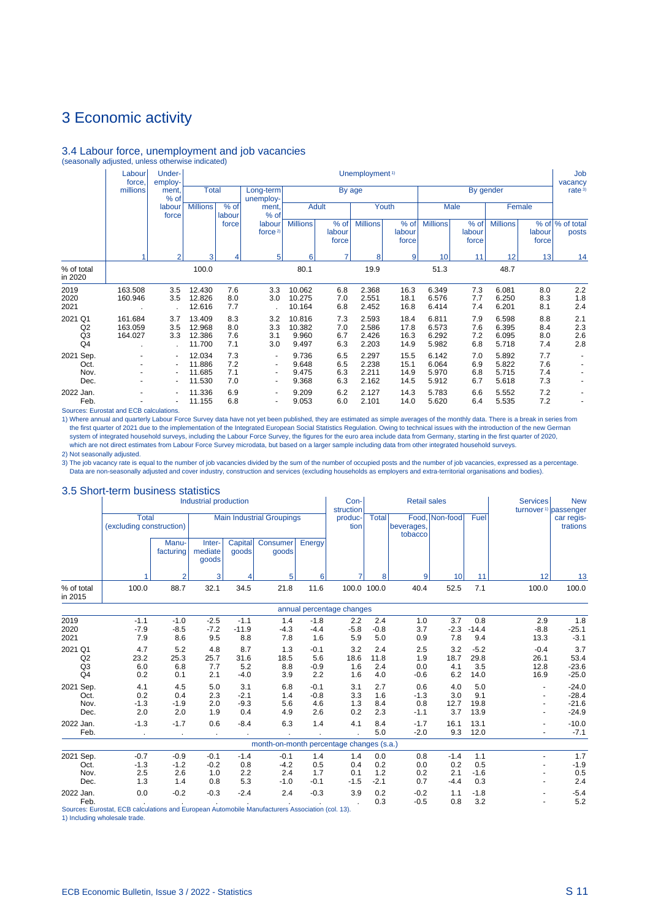## 3.4 Labour force, unemployment and job vacancies (seasonally adjusted, unless otherwise indicated)

|                                                   | Labour<br>force,              | Under-<br>employ-                                                                        |                                      |                          |                                                                                                              |                                    |                          | Unemployment <sup>1)</sup>       |                              |                                  |                          |                                  |                          | Job<br>vacancy            |
|---------------------------------------------------|-------------------------------|------------------------------------------------------------------------------------------|--------------------------------------|--------------------------|--------------------------------------------------------------------------------------------------------------|------------------------------------|--------------------------|----------------------------------|------------------------------|----------------------------------|--------------------------|----------------------------------|--------------------------|---------------------------|
|                                                   | millions                      | ment.<br>% of                                                                            | <b>Total</b>                         |                          | Long-term<br>unemploy-                                                                                       |                                    |                          | By age                           |                              |                                  |                          | By gender                        |                          | rate <sup>3)</sup>        |
|                                                   |                               | labour<br>force                                                                          | <b>Millions</b>                      | % of<br>labour           | ment,<br>% of                                                                                                |                                    | <b>Adult</b>             |                                  | Youth                        |                                  | Male                     |                                  | Female                   |                           |
|                                                   |                               |                                                                                          |                                      | force                    | labour<br>force $2$                                                                                          | <b>Millions</b>                    | % of<br>labour<br>force  | <b>Millions</b>                  | % of<br>labour<br>force      | <b>Millions</b>                  | % of<br>labour<br>force  | <b>Millions</b>                  | labour<br>force          | % of  % of total<br>posts |
|                                                   |                               | $\overline{2}$                                                                           | 3                                    | 4                        | 5                                                                                                            | 6                                  | 7                        | 8                                | 9                            | 10                               | 11                       | 12                               | 13                       | 14                        |
| % of total<br>in 2020                             |                               |                                                                                          | 100.0                                |                          |                                                                                                              | 80.1                               |                          | 19.9                             |                              | 51.3                             |                          | 48.7                             |                          |                           |
| 2019<br>2020<br>2021                              | 163.508<br>160.946            | 3.5<br>3.5                                                                               | 12.430<br>12.826<br>12.616           | 7.6<br>8.0<br>7.7        | 3.3<br>3.0                                                                                                   | 10.062<br>10.275<br>10.164         | 6.8<br>7.0<br>6.8        | 2.368<br>2.551<br>2.452          | 16.3<br>18.1<br>16.8         | 6.349<br>6.576<br>6.414          | 7.3<br>7.7<br>7.4        | 6.081<br>6.250<br>6.201          | 8.0<br>8.3<br>8.1        | 2.2<br>1.8<br>2.4         |
| 2021 Q1<br>Q2<br>Q <sub>3</sub><br>Q <sub>4</sub> | 161.684<br>163.059<br>164.027 | 3.7<br>3.5<br>3.3                                                                        | 13.409<br>12.968<br>12.386<br>11.700 | 8.3<br>8.0<br>7.6<br>7.1 | 3.2<br>3.3<br>3.1<br>3.0                                                                                     | 10.816<br>10.382<br>9.960<br>9.497 | 7.3<br>7.0<br>6.7<br>6.3 | 2.593<br>2.586<br>2.426<br>2.203 | 18.4<br>17.8<br>16.3<br>14.9 | 6.811<br>6.573<br>6.292<br>5.982 | 7.9<br>7.6<br>7.2<br>6.8 | 6.598<br>6.395<br>6.095<br>5.718 | 8.8<br>8.4<br>8.0<br>7.4 | 2.1<br>2.3<br>2.6<br>2.8  |
| 2021 Sep.<br>Oct.<br>Nov.<br>Dec.                 |                               | $\overline{\phantom{a}}$<br>$\blacksquare$<br>$\overline{\phantom{a}}$<br>$\blacksquare$ | 12.034<br>11.886<br>11.685<br>11.530 | 7.3<br>7.2<br>7.1<br>7.0 | $\overline{\phantom{a}}$<br>$\overline{\phantom{a}}$<br>$\overline{\phantom{a}}$<br>$\overline{\phantom{a}}$ | 9.736<br>9.648<br>9.475<br>9.368   | 6.5<br>6.5<br>6.3<br>6.3 | 2.297<br>2.238<br>2.211<br>2.162 | 15.5<br>15.1<br>14.9<br>14.5 | 6.142<br>6.064<br>5.970<br>5.912 | 7.0<br>6.9<br>6.8<br>6.7 | 5.892<br>5.822<br>5.715<br>5.618 | 7.7<br>7.6<br>7.4<br>7.3 | ٠                         |
| 2022 Jan.<br>Feb.                                 |                               | $\frac{1}{2}$<br>-                                                                       | 11.336<br>11.155                     | 6.9<br>6.8               | $\overline{\phantom{a}}$                                                                                     | 9.209<br>9.053                     | 6.2<br>6.0               | 2.127<br>2.101                   | 14.3<br>14.0                 | 5.783<br>5.620                   | 6.6<br>6.4               | 5.552<br>5.535                   | 7.2<br>7.2               |                           |

Sources: Eurostat and ECB calculations.

1) Where annual and quarterly Labour Force Survey data have not yet been published, they are estimated as simple averages of the monthly data. There is a break in series from<br>the first quarter of 2021 due to the implementa 2) Not seasonally adjusted.

3) The job vacancy rate is equal to the number of job vacancies divided by the sum of the number of occupied posts and the number of job vacancies, expressed as a percentage. Data are non-seasonally adjusted and cover industry, construction and services (excluding households as employers and extra-territorial organisations and bodies).

#### 3.5 Short-term business statistics

|                                       |                                                                                                         |                                | Industrial production          |                                |                                          |                                | Con-<br>struction           |                             | <b>Retail sales</b>            |                                |                               | <b>Services</b>                | <b>New</b><br>turnover <sup>1)</sup> passenger |
|---------------------------------------|---------------------------------------------------------------------------------------------------------|--------------------------------|--------------------------------|--------------------------------|------------------------------------------|--------------------------------|-----------------------------|-----------------------------|--------------------------------|--------------------------------|-------------------------------|--------------------------------|------------------------------------------------|
|                                       | <b>Total</b><br>(excluding construction)                                                                |                                |                                |                                | <b>Main Industrial Groupings</b>         |                                | produc-<br>tion             | <b>Total</b>                | beverages,<br>tobacco          | Food, Non-food                 | Fuel                          |                                | car regis-<br>trations                         |
|                                       |                                                                                                         | Manu-<br>facturing             | Inter-<br>mediate<br>goods     | Capital<br>goods               | Consumer<br>goods                        | Energy                         |                             |                             |                                |                                |                               |                                |                                                |
|                                       |                                                                                                         | $\overline{2}$                 | 3                              |                                | 5                                        | 6                              |                             | 8                           | 9                              | 10                             | 11                            | 12                             | 13                                             |
| % of total<br>in 2015                 | 100.0                                                                                                   | 88.7                           | 32.1                           | 34.5                           | 21.8                                     | 11.6                           |                             | 100.0 100.0                 | 40.4                           | 52.5                           | 7.1                           | 100.0                          | 100.0                                          |
|                                       |                                                                                                         |                                |                                |                                |                                          |                                | annual percentage changes   |                             |                                |                                |                               |                                |                                                |
| 2019<br>2020<br>2021                  | $-1.1$<br>$-7.9$<br>7.9                                                                                 | $-1.0$<br>$-8.5$<br>8.6        | $-2.5$<br>$-7.2$<br>9.5        | $-1.1$<br>$-11.9$<br>8.8       | 1.4<br>$-4.3$<br>7.8                     | $-1.8$<br>$-4.4$<br>1.6        | 2.2<br>$-5.8$<br>5.9        | 2.4<br>$-0.8$<br>5.0        | 1.0<br>3.7<br>0.9              | 3.7<br>$-2.3$<br>7.8           | 0.8<br>$-14.4$<br>9.4         | 2.9<br>$-8.8$<br>13.3          | 1.8<br>$-25.1$<br>$-3.1$                       |
| 2021 Q1<br>Q2<br>Q <sub>3</sub><br>Q4 | 4.7<br>23.2<br>6.0<br>0.2                                                                               | 5.2<br>25.3<br>6.8<br>0.1      | 4.8<br>25.7<br>7.7<br>2.1      | 8.7<br>31.6<br>5.2<br>$-4.0$   | 1.3<br>18.5<br>8.8<br>3.9                | $-0.1$<br>5.6<br>$-0.9$<br>2.2 | 3.2<br>18.6<br>1.6<br>1.6   | 2.4<br>11.8<br>2.4<br>4.0   | 2.5<br>1.9<br>0.0<br>$-0.6$    | 3.2<br>18.7<br>4.1<br>6.2      | $-5.2$<br>29.8<br>3.5<br>14.0 | $-0.4$<br>26.1<br>12.8<br>16.9 | 3.7<br>53.4<br>$-23.6$<br>$-25.0$              |
| 2021 Sep.<br>Oct.<br>Nov.<br>Dec.     | 4.1<br>0.2<br>$-1.3$<br>2.0                                                                             | 4.5<br>0.4<br>$-1.9$<br>2.0    | 5.0<br>2.3<br>2.0<br>1.9       | 3.1<br>$-2.1$<br>$-9.3$<br>0.4 | 6.8<br>1.4<br>5.6<br>4.9                 | $-0.1$<br>$-0.8$<br>4.6<br>2.6 | 3.1<br>3.3<br>1.3<br>0.2    | 2.7<br>1.6<br>8.4<br>2.3    | 0.6<br>$-1.3$<br>0.8<br>$-1.1$ | 4.0<br>3.0<br>12.7<br>3.7      | 5.0<br>9.1<br>19.8<br>13.9    |                                | $-24.0$<br>$-28.4$<br>$-21.6$<br>$-24.9$       |
| 2022 Jan.<br>Feb.                     | $-1.3$<br>$\bullet$                                                                                     | $-1.7$<br>$\sim$               | 0.6<br>$\sim$                  | $-8.4$                         | 6.3                                      | 1.4                            | 4.1                         | 8.4<br>5.0                  | $-1.7$<br>$-2.0$               | 16.1<br>9.3                    | 13.1<br>12.0                  |                                | $-10.0$<br>$-7.1$                              |
|                                       |                                                                                                         |                                |                                |                                | month-on-month percentage changes (s.a.) |                                |                             |                             |                                |                                |                               |                                |                                                |
| 2021 Sep.<br>Oct.<br>Nov.<br>Dec.     | $-0.7$<br>$-1.3$<br>2.5<br>1.3                                                                          | $-0.9$<br>$-1.2$<br>2.6<br>1.4 | $-0.1$<br>$-0.2$<br>1.0<br>0.8 | $-1.4$<br>0.8<br>2.2<br>5.3    | $-0.1$<br>$-4.2$<br>2.4<br>$-1.0$        | 1.4<br>0.5<br>1.7<br>$-0.1$    | 1.4<br>0.4<br>0.1<br>$-1.5$ | 0.0<br>0.2<br>1.2<br>$-2.1$ | 0.8<br>0.0<br>0.2<br>0.7       | $-1.4$<br>0.2<br>2.1<br>$-4.4$ | 1.1<br>0.5<br>$-1.6$<br>0.3   | $\ddot{\phantom{1}}$           | 1.7<br>$-1.9$<br>0.5<br>2.4                    |
| 2022 Jan.<br>Feb.                     | 0.0<br>Sources: Eurostat, ECB calculations and European Automobile Manufacturers Association (col. 13). | $-0.2$                         | $-0.3$                         | $-2.4$                         | 2.4                                      | $-0.3$                         | 3.9                         | 0.2<br>0.3                  | $-0.2$<br>$-0.5$               | 1.1<br>0.8                     | $-1.8$<br>3.2                 |                                | $-5.4$<br>5.2                                  |

1) Including wholesale trade.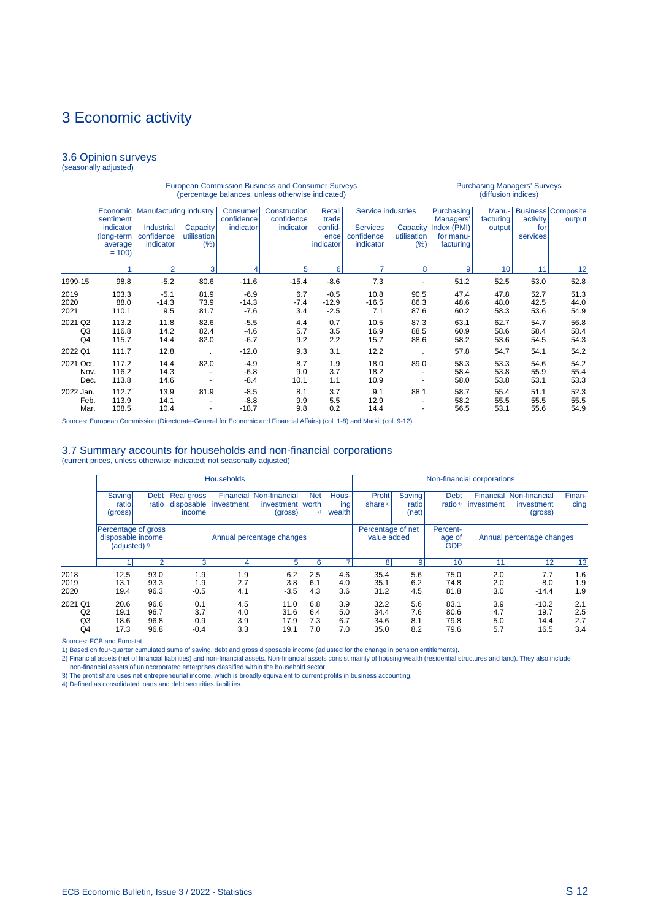#### 3.6 Opinion surveys (seasonally adjusted)

|                                             |                                               |                                              |                                |                             | <b>European Commission Business and Consumer Surveys</b><br>(percentage balances, unless otherwise indicated) |                              |                                            | <b>Purchasing Managers' Surveys</b><br>(diffusion indices) |                                       |                      |                      |                                     |
|---------------------------------------------|-----------------------------------------------|----------------------------------------------|--------------------------------|-----------------------------|---------------------------------------------------------------------------------------------------------------|------------------------------|--------------------------------------------|------------------------------------------------------------|---------------------------------------|----------------------|----------------------|-------------------------------------|
|                                             | Economic<br>sentiment                         | <b>Manufacturing industry</b>                |                                | Consumer<br>confidence      | Construction<br>confidence                                                                                    | Retail<br>trade              | Service industries                         |                                                            | Purchasing<br>Managers'               | Manu-<br>facturing   | activity             | <b>Business Composite</b><br>output |
|                                             | indicator<br>(long-term<br>average<br>$= 100$ | <b>Industrial</b><br>confidence<br>indicator | Capacity<br>utilisation<br>(%) | indicator                   | indicator                                                                                                     | confid-<br>ence<br>indicator | <b>Services</b><br>confidence<br>indicator | Capacity<br>utilisation<br>(%)                             | Index (PMI)<br>for manu-<br>facturing | output               | for<br>services      |                                     |
|                                             |                                               | $\overline{2}$                               | 3                              |                             | 5                                                                                                             | 6                            | 7                                          | 8                                                          | 9                                     | 10 <sup>1</sup>      | 11                   | 12                                  |
| 1999-15                                     | 98.8                                          | $-5.2$                                       | 80.6                           | $-11.6$                     | $-15.4$                                                                                                       | $-8.6$                       | 7.3                                        |                                                            | 51.2                                  | 52.5                 | 53.0                 | 52.8                                |
| 2019<br>2020<br>2021                        | 103.3<br>88.0<br>110.1                        | $-5.1$<br>$-14.3$<br>9.5                     | 81.9<br>73.9<br>81.7           | $-6.9$<br>$-14.3$<br>$-7.6$ | 6.7<br>$-7.4$<br>3.4                                                                                          | $-0.5$<br>$-12.9$<br>$-2.5$  | 10.8<br>$-16.5$<br>7.1                     | 90.5<br>86.3<br>87.6                                       | 47.4<br>48.6<br>60.2                  | 47.8<br>48.0<br>58.3 | 52.7<br>42.5<br>53.6 | 51.3<br>44.0<br>54.9                |
| 2021 Q2<br>Q <sub>3</sub><br>Q <sub>4</sub> | 113.2<br>116.8<br>115.7                       | 11.8<br>14.2<br>14.4                         | 82.6<br>82.4<br>82.0           | $-5.5$<br>$-4.6$<br>$-6.7$  | 4.4<br>5.7<br>9.2                                                                                             | 0.7<br>3.5<br>2.2            | 10.5<br>16.9<br>15.7                       | 87.3<br>88.5<br>88.6                                       | 63.1<br>60.9<br>58.2                  | 62.7<br>58.6<br>53.6 | 54.7<br>58.4<br>54.5 | 56.8<br>58.4<br>54.3                |
| 2022 Q1                                     | 111.7                                         | 12.8                                         |                                | $-12.0$                     | 9.3                                                                                                           | 3.1                          | 12.2                                       |                                                            | 57.8                                  | 54.7                 | 54.1                 | 54.2                                |
| 2021 Oct.<br>Nov.<br>Dec.                   | 117.2<br>116.2<br>113.8                       | 14.4<br>14.3<br>14.6                         | 82.0                           | $-4.9$<br>$-6.8$<br>$-8.4$  | 8.7<br>9.0<br>10.1                                                                                            | 1.9<br>3.7<br>1.1            | 18.0<br>18.2<br>10.9                       | 89.0                                                       | 58.3<br>58.4<br>58.0                  | 53.3<br>53.8<br>53.8 | 54.6<br>55.9<br>53.1 | 54.2<br>55.4<br>53.3                |
| 2022 Jan.<br>Feb.<br>Mar.                   | 112.7<br>113.9<br>108.5                       | 13.9<br>14.1<br>10.4                         | 81.9<br>٠                      | $-8.5$<br>$-8.8$<br>$-18.7$ | 8.1<br>9.9<br>9.8                                                                                             | 3.7<br>5.5<br>0.2            | 9.1<br>12.9<br>14.4                        | 88.1                                                       | 58.7<br>58.2<br>56.5                  | 55.4<br>55.5<br>53.1 | 51.1<br>55.5<br>55.6 | 52.3<br>55.5<br>54.9                |

Sources: European Commission (Directorate-General for Economic and Financial Affairs) (col. 1-8) and Markit (col. 9-12).

#### 3.7 Summary accounts for households and non-financial corporations

(current prices, unless otherwise indicated; not seasonally adjusted)

|                           |                              |                                                                                                                                     |                                    | <b>Households</b>        |                                              |                          |                          |                               |                                  |                                    | Non-financial corporations |                                                  |                          |
|---------------------------|------------------------------|-------------------------------------------------------------------------------------------------------------------------------------|------------------------------------|--------------------------|----------------------------------------------|--------------------------|--------------------------|-------------------------------|----------------------------------|------------------------------------|----------------------------|--------------------------------------------------|--------------------------|
|                           | Saving<br>ratio<br>(gross)   | <b>Debt</b><br>ratio                                                                                                                | Real gross<br>disposable<br>income | Financial<br>investment  | Non-financial<br>investment worth<br>(gross) | <b>Net</b><br>2)         | Hous-<br>ing<br>wealth   | Profit<br>share <sup>3)</sup> | <b>Saving</b><br>ratio<br>(net)  | <b>Debt</b><br>ratio <sup>4)</sup> | investment                 | Financial Non-financial<br>investment<br>(gross) | Finan-<br>cing           |
|                           |                              | Percentage of gross<br>disposable income<br>Annual percentage changes<br>(adjusted) <sup>1)</sup><br>31<br>$\mathcal{D}$<br>51<br>6 |                                    |                          |                                              |                          |                          |                               | Percentage of net<br>value added | Percent-<br>age of<br><b>GDP</b>   |                            | Annual percentage changes                        |                          |
|                           |                              |                                                                                                                                     |                                    |                          |                                              |                          |                          | 8                             | 9                                | 10                                 | 11                         | 12                                               | 13                       |
| 2018<br>2019<br>2020      | 12.5<br>13.1<br>19.4         | 93.0<br>93.3<br>96.3                                                                                                                | 1.9<br>1.9<br>$-0.5$               | 1.9<br>2.7<br>4.1        | 6.2<br>3.8<br>$-3.5$                         | 2.5<br>6.1<br>4.3        | 4.6<br>4.0<br>3.6        | 35.4<br>35.1<br>31.2          | 5.6<br>6.2<br>4.5                | 75.0<br>74.8<br>81.8               | 2.0<br>2.0<br>3.0          | 7.7<br>8.0<br>$-14.4$                            | 1.6<br>1.9<br>1.9        |
| 2021 Q1<br>Q2<br>Q3<br>Q4 | 20.6<br>19.1<br>18.6<br>17.3 | 96.6<br>96.7<br>96.8<br>96.8                                                                                                        | 0.1<br>3.7<br>0.9<br>$-0.4$        | 4.5<br>4.0<br>3.9<br>3.3 | 11.0<br>31.6<br>17.9<br>19.1                 | 6.8<br>6.4<br>7.3<br>7.0 | 3.9<br>5.0<br>6.7<br>7.0 | 32.2<br>34.4<br>34.6<br>35.0  | 5.6<br>7.6<br>8.1<br>8.2         | 83.1<br>80.6<br>79.8<br>79.6       | 3.9<br>4.7<br>5.0<br>5.7   | $-10.2$<br>19.7<br>14.4<br>16.5                  | 2.1<br>2.5<br>2.7<br>3.4 |

Sources: ECB and Eurostat.

1) Based on four-quarter cumulated sums of saving, debt and gross disposable income (adjusted for the change in pension entitlements).

2) Financial assets (net of financial liabilities) and non-financial assets. Non-financial assets consist mainly of housing wealth (residential structures and land). They also include non-financial assets of unincorporated enterprises classified within the household sector. 3) The profit share uses net entrepreneurial income, which is broadly equivalent to current profits in business accounting. 4) Defined as consolidated loans and debt securities liabilities.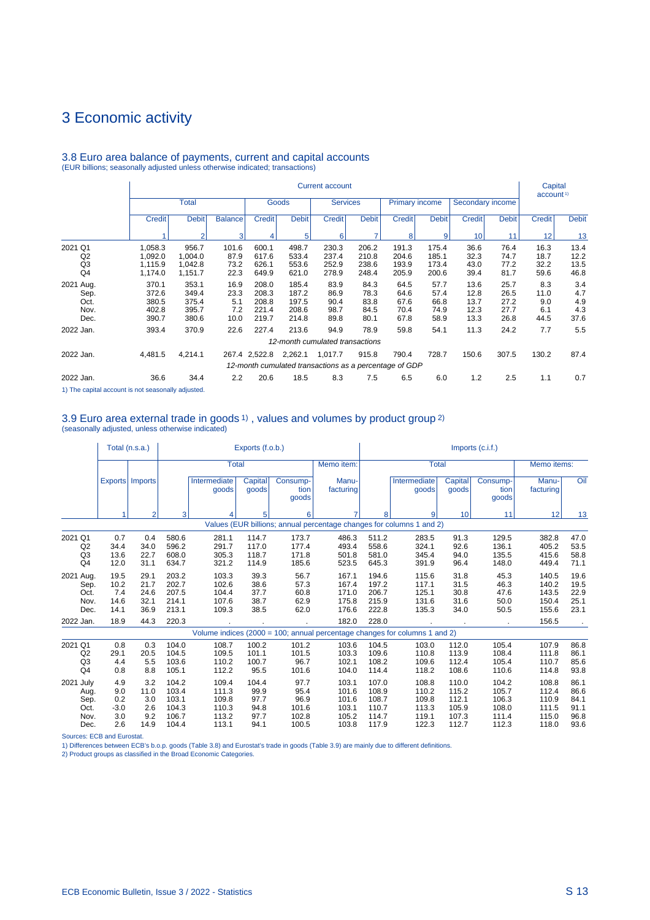|                                                   |                                                      |                                                      |                                            |                                                    |                                                    | <b>Current account</b>               |                                      |                                                                 |                                               |                                              |                                      | Capital<br>account <sup>1)</sup>          |                                  |
|---------------------------------------------------|------------------------------------------------------|------------------------------------------------------|--------------------------------------------|----------------------------------------------------|----------------------------------------------------|--------------------------------------|--------------------------------------|-----------------------------------------------------------------|-----------------------------------------------|----------------------------------------------|--------------------------------------|-------------------------------------------|----------------------------------|
|                                                   |                                                      | <b>Total</b>                                         |                                            |                                                    | Goods                                              | <b>Services</b>                      |                                      | <b>Primary income</b>                                           |                                               | Secondary income                             |                                      |                                           |                                  |
|                                                   | <b>Credit</b>                                        | <b>Debit</b>                                         | <b>Balance</b>                             | Credit                                             | <b>Debit</b>                                       | <b>Credit</b>                        | <b>Debit</b>                         | <b>Credit</b>                                                   | <b>Debit</b>                                  | <b>Credit</b>                                | <b>Debit</b>                         | <b>Credit</b>                             | <b>Debit</b>                     |
|                                                   |                                                      | $\overline{2}$                                       | 3                                          | 4                                                  | 5                                                  | 6                                    |                                      | 8                                                               | 9                                             | 10                                           | 11                                   | 12                                        | 13                               |
| 2021 Q1<br>Q2<br>Q <sub>3</sub><br>Q <sub>4</sub> | 1,058.3<br>1,092.0<br>1,115.9                        | 956.7<br>1,004.0<br>1,042.8                          | 101.6<br>87.9<br>73.2                      | 600.1<br>617.6<br>626.1                            | 498.7<br>533.4<br>553.6                            | 230.3<br>237.4<br>252.9<br>278.9     | 206.2<br>210.8<br>238.6<br>248.4     | 191.3<br>204.6<br>193.9                                         | 175.4<br>185.1<br>173.4                       | 36.6<br>32.3<br>43.0                         | 76.4<br>74.7<br>77.2<br>81.7         | 16.3<br>18.7<br>32.2                      | 13.4<br>12.2<br>13.5<br>46.8     |
| 2021 Aug.<br>Sep.<br>Oct.<br>Nov.<br>Dec.         | 1,174.0<br>370.1<br>372.6<br>380.5<br>402.8<br>390.7 | 1,151.7<br>353.1<br>349.4<br>375.4<br>395.7<br>380.6 | 22.3<br>16.9<br>23.3<br>5.1<br>7.2<br>10.0 | 649.9<br>208.0<br>208.3<br>208.8<br>221.4<br>219.7 | 621.0<br>185.4<br>187.2<br>197.5<br>208.6<br>214.8 | 83.9<br>86.9<br>90.4<br>98.7<br>89.8 | 84.3<br>78.3<br>83.8<br>84.5<br>80.1 | 205.9<br>64.5<br>64.6<br>67.6<br>70.4<br>67.8                   | 200.6<br>57.7<br>57.4<br>66.8<br>74.9<br>58.9 | 39.4<br>13.6<br>12.8<br>13.7<br>12.3<br>13.3 | 25.7<br>26.5<br>27.2<br>27.7<br>26.8 | 59.6<br>8.3<br>11.0<br>9.0<br>6.1<br>44.5 | 3.4<br>4.7<br>4.9<br>4.3<br>37.6 |
| 2022 Jan.                                         | 393.4                                                | 370.9                                                | 22.6                                       | 227.4                                              | 213.6                                              | 94.9                                 | 78.9                                 | 59.8                                                            | 54.1                                          | 11.3                                         | 24.2                                 | 7.7                                       | 5.5                              |
|                                                   |                                                      |                                                      |                                            |                                                    |                                                    | 12-month cumulated transactions      |                                      |                                                                 |                                               |                                              |                                      |                                           |                                  |
| 2022 Jan.                                         | 4,481.5                                              | 4,214.1                                              |                                            | 267.4 2,522.8                                      | 2,262.1                                            | 1,017.7                              | 915.8                                | 790.4<br>12-month cumulated transactions as a percentage of GDP | 728.7                                         | 150.6                                        | 307.5                                | 130.2                                     | 87.4                             |
| 2022 Jan.                                         | 36.6                                                 | 34.4                                                 | 2.2                                        | 20.6                                               | 18.5                                               | 8.3                                  | 7.5                                  | 6.5                                                             | 6.0                                           | 1.2                                          | 2.5                                  | 1.1                                       | 0.7                              |

# 3.8 Euro area balance of payments, current and capital accounts (EUR billions; seasonally adjusted unless otherwise indicated; transactions)

1) The capital account is not seasonally adjusted.

# 3.9 Euro area external trade in goods 1) , values and volumes by product group 2) (seasonally adjusted, unless otherwise indicated)

|                                                   |                                           | Total (n.s.a.)                           |                                                    |                                                    | Exports (f.o.b.)                              |                                                 |                                                    |                                                    |                                                                            |                                                    | $Imports$ (c.i.f.)                                 |                                                    |                                              |
|---------------------------------------------------|-------------------------------------------|------------------------------------------|----------------------------------------------------|----------------------------------------------------|-----------------------------------------------|-------------------------------------------------|----------------------------------------------------|----------------------------------------------------|----------------------------------------------------------------------------|----------------------------------------------------|----------------------------------------------------|----------------------------------------------------|----------------------------------------------|
|                                                   |                                           |                                          |                                                    | Total                                              |                                               |                                                 | Memo item:                                         |                                                    | <b>Total</b>                                                               |                                                    |                                                    | Memo items:                                        |                                              |
|                                                   |                                           | Exports   Imports                        |                                                    | Intermediate<br>goods                              | Capital<br>goods                              | Consump-<br>tion<br>goods                       | Manu-<br>facturing                                 |                                                    | Intermediate<br>goods                                                      | Capital<br>goods                                   | Consump-<br>tion<br>goods                          | Manu-<br>facturing                                 | Oil                                          |
|                                                   |                                           | 2                                        | 3                                                  |                                                    | 5                                             | 6                                               |                                                    | 8                                                  | 9                                                                          | 10                                                 | 11                                                 | 12                                                 | 13                                           |
|                                                   |                                           |                                          |                                                    |                                                    |                                               |                                                 |                                                    |                                                    | Values (EUR billions; annual percentage changes for columns 1 and 2)       |                                                    |                                                    |                                                    |                                              |
| 2021 Q1<br>Q2<br>Q3<br>Q <sub>4</sub>             | 0.7<br>34.4<br>13.6<br>12.0               | 0.4<br>34.0<br>22.7<br>31.1              | 580.6<br>596.2<br>608.0<br>634.7                   | 281.1<br>291.7<br>305.3<br>321.2                   | 114.7<br>117.0<br>118.7<br>114.9              | 173.7<br>177.4<br>171.8<br>185.6                | 486.3<br>493.4<br>501.8<br>523.5                   | 511.2<br>558.6<br>581.0<br>645.3                   | 283.5<br>324.1<br>345.4<br>391.9                                           | 91.3<br>92.6<br>94.0<br>96.4                       | 129.5<br>136.1<br>135.5<br>148.0                   | 382.8<br>405.2<br>415.6<br>449.4                   | 47.0<br>53.5<br>58.8<br>71.1                 |
| 2021 Aug.<br>Sep.<br>Oct.<br>Nov.<br>Dec.         | 19.5<br>10.2<br>7.4<br>14.6<br>14.1       | 29.1<br>21.7<br>24.6<br>32.1<br>36.9     | 203.2<br>202.7<br>207.5<br>214.1<br>213.1          | 103.3<br>102.6<br>104.4<br>107.6<br>109.3          | 39.3<br>38.6<br>37.7<br>38.7<br>38.5          | 56.7<br>57.3<br>60.8<br>62.9<br>62.0            | 167.1<br>167.4<br>171.0<br>175.8<br>176.6          | 194.6<br>197.2<br>206.7<br>215.9<br>222.8          | 115.6<br>117.1<br>125.1<br>131.6<br>135.3                                  | 31.8<br>31.5<br>30.8<br>31.6<br>34.0               | 45.3<br>46.3<br>47.6<br>50.0<br>50.5               | 140.5<br>140.2<br>143.5<br>150.4<br>155.6          | 19.6<br>19.5<br>22.9<br>25.1<br>23.1         |
| 2022 Jan.                                         | 18.9                                      | 44.3                                     | 220.3                                              |                                                    |                                               |                                                 | 182.0                                              | 228.0                                              |                                                                            |                                                    |                                                    | 156.5                                              |                                              |
|                                                   |                                           |                                          |                                                    |                                                    |                                               |                                                 |                                                    |                                                    | Volume indices (2000 = 100; annual percentage changes for columns 1 and 2) |                                                    |                                                    |                                                    |                                              |
| 2021 Q1<br>Q2<br>Q3<br>Q <sub>4</sub>             | 0.8<br>29.1<br>4.4<br>0.8                 | 0.3<br>20.5<br>5.5<br>8.8                | 104.0<br>104.5<br>103.6<br>105.1                   | 108.7<br>109.5<br>110.2<br>112.2                   | 100.2<br>101.1<br>100.7<br>95.5               | 101.2<br>101.5<br>96.7<br>101.6                 | 103.6<br>103.3<br>102.1<br>104.0                   | 104.5<br>109.6<br>108.2<br>114.4                   | 103.0<br>110.8<br>109.6<br>118.2                                           | 112.0<br>113.9<br>112.4<br>108.6                   | 105.4<br>108.4<br>105.4<br>110.6                   | 107.9<br>111.8<br>110.7<br>114.8                   | 86.8<br>86.1<br>85.6<br>93.8                 |
| 2021 July<br>Aug.<br>Sep.<br>Oct.<br>Nov.<br>Dec. | 4.9<br>9.0<br>0.2<br>$-3.0$<br>3.0<br>2.6 | 3.2<br>11.0<br>3.0<br>2.6<br>9.2<br>14.9 | 104.2<br>103.4<br>103.1<br>104.3<br>106.7<br>104.4 | 109.4<br>111.3<br>109.8<br>110.3<br>113.2<br>113.1 | 104.4<br>99.9<br>97.7<br>94.8<br>97.7<br>94.1 | 97.7<br>95.4<br>96.9<br>101.6<br>102.8<br>100.5 | 103.1<br>101.6<br>101.6<br>103.1<br>105.2<br>103.8 | 107.0<br>108.9<br>108.7<br>110.7<br>114.7<br>117.9 | 108.8<br>110.2<br>109.8<br>113.3<br>119.1<br>122.3                         | 110.0<br>115.2<br>112.1<br>105.9<br>107.3<br>112.7 | 104.2<br>105.7<br>106.3<br>108.0<br>111.4<br>112.3 | 108.8<br>112.4<br>110.9<br>111.5<br>115.0<br>118.0 | 86.1<br>86.6<br>84.1<br>91.1<br>96.8<br>93.6 |

Sources: ECB and Eurostat.

1) Differences between ECB's b.o.p. goods (Table 3.8) and Eurostat's trade in goods (Table 3.9) are mainly due to different definitions.<br>2) Product groups as classified in the Broad Economic Categories.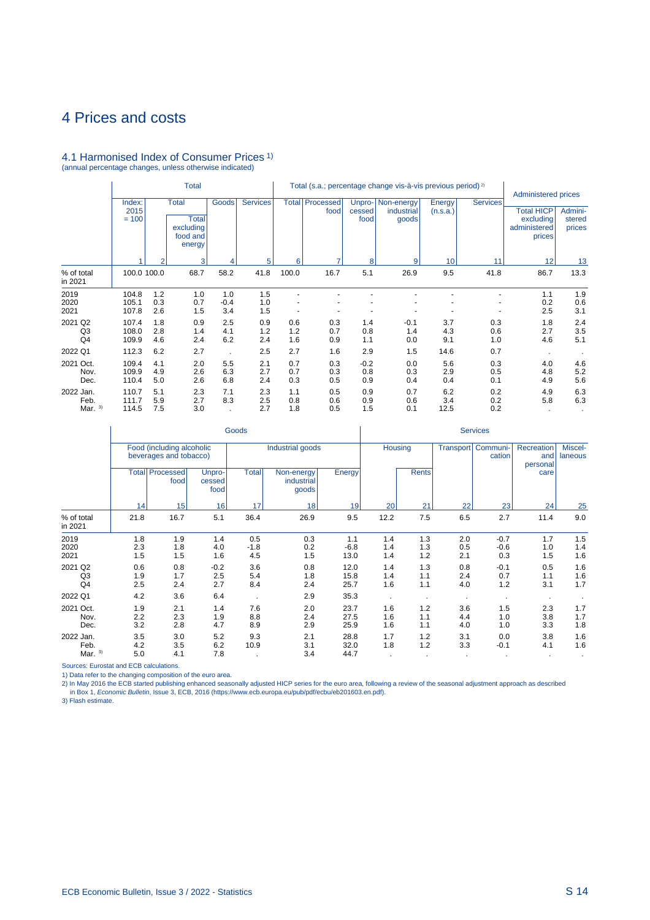# 4.1 Harmonised Index of Consumer Prices 1) (annual percentage changes, unless otherwise indicated)

|                                |                           |                   | <b>Total</b>                                                    |                      |                   |                   |                   |                          | Total (s.a.; percentage change vis-à-vis previous period) <sup>2)</sup> |                    |                   | Administered prices                                      |                             |
|--------------------------------|---------------------------|-------------------|-----------------------------------------------------------------|----------------------|-------------------|-------------------|-------------------|--------------------------|-------------------------------------------------------------------------|--------------------|-------------------|----------------------------------------------------------|-----------------------------|
|                                | Index:<br>2015<br>$= 100$ |                   | <b>Total</b><br><b>Total</b><br>excluding<br>food and<br>energy | <b>Goods</b>         | <b>Services</b>   | <b>Total</b>      | Processed<br>food | Unpro-<br>cessed<br>food | Non-energy<br>industrial<br>goods                                       | Energy<br>(n.s.a.) | <b>Services</b>   | <b>Total HICP</b><br>excluding<br>administered<br>prices | Admini-<br>stered<br>prices |
|                                |                           | $\overline{2}$    | 3                                                               |                      | 5                 | 6                 | ۰                 | 8                        | 9                                                                       | 10                 | 11                | 12                                                       | 13                          |
| % of total<br>in 2021          | 100.0 100.0               |                   | 68.7                                                            | 58.2                 | 41.8              | 100.0             | 16.7              | 5.1                      | 26.9                                                                    | 9.5                | 41.8              | 86.7                                                     | 13.3                        |
| 2019<br>2020<br>2021           | 104.8<br>105.1<br>107.8   | 1.2<br>0.3<br>2.6 | 1.0<br>0.7<br>1.5                                               | 1.0<br>$-0.4$<br>3.4 | 1.5<br>1.0<br>1.5 |                   |                   |                          |                                                                         |                    |                   | 1.1<br>0.2<br>2.5                                        | 1.9<br>0.6<br>3.1           |
| 2021 Q2<br>Q3<br>Q4            | 107.4<br>108.0<br>109.9   | 1.8<br>2.8<br>4.6 | 0.9<br>1.4<br>2.4                                               | 2.5<br>4.1<br>6.2    | 0.9<br>1.2<br>2.4 | 0.6<br>1.2<br>1.6 | 0.3<br>0.7<br>0.9 | 1.4<br>0.8<br>1.1        | $-0.1$<br>1.4<br>0.0                                                    | 3.7<br>4.3<br>9.1  | 0.3<br>0.6<br>1.0 | 1.8<br>2.7<br>4.6                                        | 2.4<br>3.5<br>5.1           |
| 2022 Q1                        | 112.3                     | 6.2               | 2.7                                                             |                      | 2.5               | 2.7               | 1.6               | 2.9                      | 1.5                                                                     | 14.6               | 0.7               |                                                          |                             |
| 2021 Oct.<br>Nov.<br>Dec.      | 109.4<br>109.9<br>110.4   | 4.1<br>4.9<br>5.0 | 2.0<br>2.6<br>2.6                                               | 5.5<br>6.3<br>6.8    | 2.1<br>2.7<br>2.4 | 0.7<br>0.7<br>0.3 | 0.3<br>0.3<br>0.5 | $-0.2$<br>0.8<br>0.9     | 0.0<br>0.3<br>0.4                                                       | 5.6<br>2.9<br>0.4  | 0.3<br>0.5<br>0.1 | 4.0<br>4.8<br>4.9                                        | 4.6<br>5.2<br>5.6           |
| 2022 Jan.<br>Feb.<br>Mar. $3)$ | 110.7<br>111.7<br>114.5   | 5.1<br>5.9<br>7.5 | 2.3<br>2.7<br>3.0                                               | 7.1<br>8.3           | 2.3<br>2.5<br>2.7 | 1.1<br>0.8<br>1.8 | 0.5<br>0.6<br>0.5 | 0.9<br>0.9<br>1.5        | 0.7<br>0.6<br>0.1                                                       | 6.2<br>3.4<br>12.5 | 0.2<br>0.2<br>0.2 | 4.9<br>5.8                                               | 6.3<br>6.3                  |

|                                             |                   |                                                     |                          | Goods                |                                   |                       |                   |                   |                   | <b>Services</b>         |                               |                    |
|---------------------------------------------|-------------------|-----------------------------------------------------|--------------------------|----------------------|-----------------------------------|-----------------------|-------------------|-------------------|-------------------|-------------------------|-------------------------------|--------------------|
|                                             |                   | Food (including alcoholic<br>beverages and tobacco) |                          |                      | Industrial goods                  |                       | Housing           |                   | <b>Transport</b>  | Communi-<br>cation      | Recreation<br>and<br>personal | Miscel-<br>laneous |
|                                             |                   | <b>Total Processed</b><br>food                      | Unpro-<br>cessed<br>food | <b>Total</b>         | Non-energy<br>industrial<br>goods | Energy                |                   | <b>Rents</b>      |                   |                         | care                          |                    |
|                                             | 14                | 15                                                  | 16                       | 17                   | 18                                | 19                    | 20                | 21                | 22                | 23                      | 24                            | 25                 |
| % of total<br>in 2021                       | 21.8              | 16.7                                                | 5.1                      | 36.4                 | 26.9                              | 9.5                   | 12.2              | 7.5               | 6.5               | 2.7                     | 11.4                          | 9.0                |
| 2019<br>2020<br>2021                        | 1.8<br>2.3<br>1.5 | 1.9<br>1.8<br>1.5                                   | 1.4<br>4.0<br>1.6        | 0.5<br>$-1.8$<br>4.5 | 0.3<br>0.2<br>1.5                 | 1.1<br>$-6.8$<br>13.0 | 1.4<br>1.4<br>1.4 | 1.3<br>1.3<br>1.2 | 2.0<br>0.5<br>2.1 | $-0.7$<br>$-0.6$<br>0.3 | 1.7<br>1.0<br>1.5             | 1.5<br>1.4<br>1.6  |
| 2021 Q2<br>Q <sub>3</sub><br>Q <sub>4</sub> | 0.6<br>1.9<br>2.5 | 0.8<br>1.7<br>2.4                                   | $-0.2$<br>2.5<br>2.7     | 3.6<br>5.4<br>8.4    | 0.8<br>1.8<br>2.4                 | 12.0<br>15.8<br>25.7  | 1.4<br>1.4<br>1.6 | 1.3<br>1.1<br>1.1 | 0.8<br>2.4<br>4.0 | $-0.1$<br>0.7<br>1.2    | 0.5<br>1.1<br>3.1             | 1.6<br>1.6<br>1.7  |
| 2022 Q1                                     | 4.2               | 3.6                                                 | 6.4                      | $\cdot$              | 2.9                               | 35.3                  |                   |                   |                   |                         |                               |                    |
| 2021 Oct.<br>Nov.<br>Dec.                   | 1.9<br>2.2<br>3.2 | 2.1<br>2.3<br>2.8                                   | 1.4<br>1.9<br>4.7        | 7.6<br>8.8<br>8.9    | 2.0<br>2.4<br>2.9                 | 23.7<br>27.5<br>25.9  | 1.6<br>1.6<br>1.6 | 1.2<br>1.1<br>1.1 | 3.6<br>4.4<br>4.0 | 1.5<br>1.0<br>1.0       | 2.3<br>3.8<br>3.3             | 1.7<br>1.7<br>1.8  |
| 2022 Jan.<br>Feb.<br>Mar. $3)$              | 3.5<br>4.2<br>5.0 | 3.0<br>3.5<br>4.1                                   | 5.2<br>6.2<br>7.8        | 9.3<br>10.9          | 2.1<br>3.1<br>3.4                 | 28.8<br>32.0<br>44.7  | 1.7<br>1.8        | 1.2<br>1.2        | 3.1<br>3.3        | 0.0<br>$-0.1$           | 3.8<br>4.1                    | 1.6<br>1.6         |

Sources: Eurostat and ECB calculations.

1) Data refer to the changing composition of the euro area.<br>2) In May 2016 the ECB started publishing enhanced seasonally adjusted HICP series for the euro area, following a review of the seasonal adjustment approach as de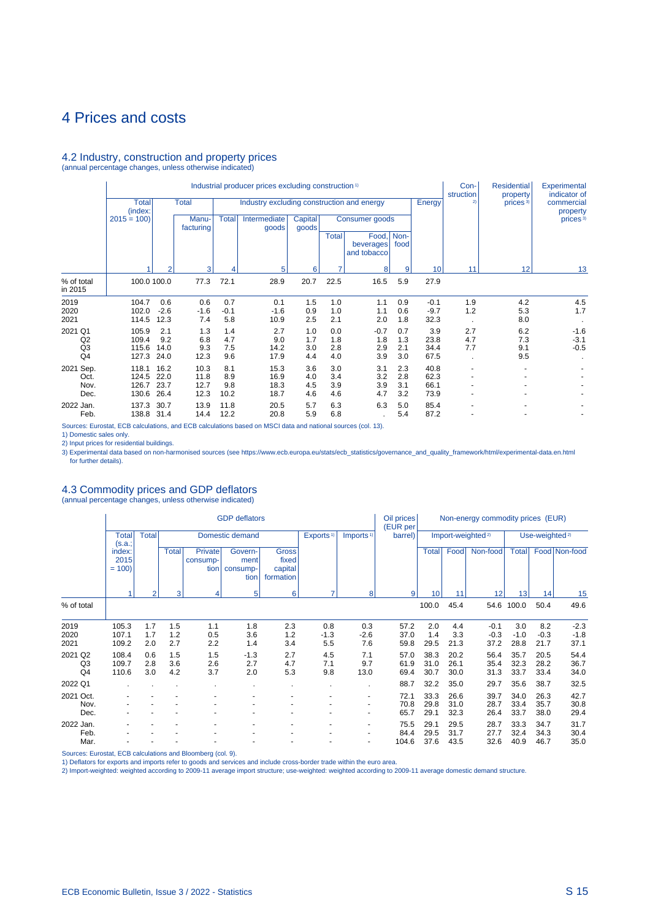#### 4.2 Industry, construction and property prices

(annual percentage changes, unless otherwise indicated)

|                                                   |                                  |                              |                              |                           | Industrial producer prices excluding construction <sup>1)</sup> |                          |                          |                                   |                          |                              | Con-<br>struction | <b>Residential</b><br>property | Experimental<br>indicator of |
|---------------------------------------------------|----------------------------------|------------------------------|------------------------------|---------------------------|-----------------------------------------------------------------|--------------------------|--------------------------|-----------------------------------|--------------------------|------------------------------|-------------------|--------------------------------|------------------------------|
|                                                   | <b>Total</b><br>(index:          |                              | <b>Total</b>                 |                           | Industry excluding construction and energy                      |                          |                          |                                   |                          | Energy                       | 2)                | prices <sup>3)</sup>           | commercial<br>property       |
|                                                   | $2015 = 100$                     |                              | Manu-<br>facturing           | <b>Total</b>              | Intermediate<br>goods                                           | <b>Capital</b><br>goods  |                          | Consumer goods                    |                          |                              |                   |                                | prices $3$                   |
|                                                   |                                  |                              |                              |                           |                                                                 |                          | <b>Total</b>             | Food,<br>beverages<br>and tobacco | Non-<br>food             |                              |                   |                                |                              |
|                                                   |                                  |                              | 3                            | 4                         | 5                                                               | 6                        |                          | 8                                 | 9                        | 10                           | 11                | 12                             | 13                           |
| % of total<br>in 2015                             | 100.0 100.0                      |                              | 77.3                         | 72.1                      | 28.9                                                            | 20.7                     | 22.5                     | 16.5                              | 5.9                      | 27.9                         |                   |                                |                              |
| 2019                                              | 104.7                            | 0.6                          | 0.6                          | 0.7                       | 0.1                                                             | 1.5                      | 1.0                      | 1.1                               | 0.9                      | $-0.1$                       | 1.9               | 4.2                            | 4.5                          |
| 2020<br>2021                                      | 102.0<br>114.5                   | $-2.6$<br>12.3               | $-1.6$<br>7.4                | $-0.1$<br>5.8             | $-1.6$<br>10.9                                                  | 0.9<br>2.5               | 1.0<br>2.1               | 1.1<br>2.0                        | 0.6<br>1.8               | $-9.7$<br>32.3               | 1.2               | 5.3<br>8.0                     | 1.7                          |
| 2021 Q1<br>Q <sub>2</sub><br>Q <sub>3</sub><br>Q4 | 105.9<br>109.4<br>115.6<br>127.3 | 2.1<br>9.2<br>14.0<br>24.0   | 1.3<br>6.8<br>9.3<br>12.3    | 1.4<br>4.7<br>7.5<br>9.6  | 2.7<br>9.0<br>14.2<br>17.9                                      | 1.0<br>1.7<br>3.0<br>4.4 | 0.0<br>1.8<br>2.8<br>4.0 | $-0.7$<br>1.8<br>2.9<br>3.9       | 0.7<br>1.3<br>2.1<br>3.0 | 3.9<br>23.8<br>34.4<br>67.5  | 2.7<br>4.7<br>7.7 | 6.2<br>7.3<br>9.1<br>9.5       | $-1.6$<br>$-3.1$<br>$-0.5$   |
| 2021 Sep.<br>Oct.<br>Nov.<br>Dec.                 | 118.1<br>124.5<br>126.7<br>130.6 | 16.2<br>22.0<br>23.7<br>26.4 | 10.3<br>11.8<br>12.7<br>12.3 | 8.1<br>8.9<br>9.8<br>10.2 | 15.3<br>16.9<br>18.3<br>18.7                                    | 3.6<br>4.0<br>4.5<br>4.6 | 3.0<br>3.4<br>3.9<br>4.6 | 3.1<br>3.2<br>3.9<br>4.7          | 2.3<br>2.8<br>3.1<br>3.2 | 40.8<br>62.3<br>66.1<br>73.9 |                   |                                |                              |
| 2022 Jan.<br>Feb.                                 | 137.3<br>138.8 31.4              | 30.7                         | 13.9<br>14.4                 | 11.8<br>12.2              | 20.5<br>20.8                                                    | 5.7<br>5.9               | 6.3<br>6.8               | 6.3                               | 5.0<br>5.4               | 85.4<br>87.2                 |                   |                                |                              |

Sources: Eurostat, ECB calculations, and ECB calculations based on MSCI data and national sources (col. 13).

1) Domestic sales only.<br>2) Input prices for residential buildings.<br>3) Experimental data based on non-harmonised sources (see https://www.ecb.europa.eu/stats/ecb\_statistics/governance\_and\_quality\_framework/html/experimental

# 4.3 Commodity prices and GDP deflators (annual percentage changes, unless otherwise indicated)

|                                 |                           |                   |                   |                               | <b>GDP</b> deflators                |                                               |                       |                                                      | Oil prices<br>(EUR per |                      |                      | Non-energy commodity prices (EUR) |                       |                            |                          |
|---------------------------------|---------------------------|-------------------|-------------------|-------------------------------|-------------------------------------|-----------------------------------------------|-----------------------|------------------------------------------------------|------------------------|----------------------|----------------------|-----------------------------------|-----------------------|----------------------------|--------------------------|
|                                 | <b>Total</b><br>(s.a.;    | <b>Total</b>      |                   |                               | Domestic demand                     |                                               | Exports <sup>1)</sup> | Imports <sup>1)</sup>                                | barrel)                |                      |                      | Import-weighted <sup>2)</sup>     |                       | Use-weighted <sup>2)</sup> |                          |
|                                 | index:<br>2015<br>$= 100$ |                   | <b>Total</b>      | Private<br>consump-<br>tion l | Govern-<br>ment<br>consump-<br>tion | <b>Gross</b><br>fixed<br>capital<br>formation |                       |                                                      |                        | <b>Total</b>         | Food                 | Non-food                          | <b>Total</b>          |                            | Food Non-food            |
|                                 |                           | $\overline{2}$    | 3                 | 4                             | 5                                   | 6                                             | 7                     | 8 <sup>1</sup>                                       | 9                      | 10 <sup>1</sup>      | 11                   | 12                                | 13                    | 14                         | 15                       |
| % of total                      |                           |                   |                   |                               |                                     |                                               |                       |                                                      |                        | 100.0                | 45.4                 |                                   | 54.6 100.0            | 50.4                       | 49.6                     |
| 2019<br>2020<br>2021            | 105.3<br>107.1<br>109.2   | 1.7<br>1.7<br>2.0 | 1.5<br>1.2<br>2.7 | 1.1<br>0.5<br>2.2             | 1.8<br>3.6<br>1.4                   | 2.3<br>1.2<br>3.4                             | 0.8<br>$-1.3$<br>5.5  | 0.3<br>$-2.6$<br>7.6                                 | 57.2<br>37.0<br>59.8   | 2.0<br>1.4<br>29.5   | 4.4<br>3.3<br>21.3   | $-0.1$<br>$-0.3$<br>37.2          | 3.0<br>$-1.0$<br>28.8 | 8.2<br>$-0.3$<br>21.7      | $-2.3$<br>$-1.8$<br>37.1 |
| 2021 Q2<br>Q3<br>Q <sub>4</sub> | 108.4<br>109.7<br>110.6   | 0.6<br>2.8<br>3.0 | 1.5<br>3.6<br>4.2 | 1.5<br>2.6<br>3.7             | $-1.3$<br>2.7<br>2.0                | 2.7<br>4.7<br>5.3                             | 4.5<br>7.1<br>9.8     | 7.1<br>9.7<br>13.0                                   | 57.0<br>61.9<br>69.4   | 38.3<br>31.0<br>30.7 | 20.2<br>26.1<br>30.0 | 56.4<br>35.4<br>31.3              | 35.7<br>32.3<br>33.7  | 20.5<br>28.2<br>33.4       | 54.4<br>36.7<br>34.0     |
| 2022 Q1                         |                           |                   |                   |                               |                                     |                                               |                       |                                                      | 88.7                   | 32.2                 | 35.0                 | 29.7                              | 35.6                  | 38.7                       | 32.5                     |
| 2021 Oct.<br>Nov.<br>Dec.       |                           |                   |                   |                               |                                     |                                               |                       | $\overline{\phantom{a}}$<br>$\overline{\phantom{a}}$ | 72.1<br>70.8<br>65.7   | 33.3<br>29.8<br>29.1 | 26.6<br>31.0<br>32.3 | 39.7<br>28.7<br>26.4              | 34.0<br>33.4<br>33.7  | 26.3<br>35.7<br>38.0       | 42.7<br>30.8<br>29.4     |
| 2022 Jan.<br>Feb.<br>Mar.       |                           |                   |                   |                               |                                     |                                               |                       | $\overline{a}$                                       | 75.5<br>84.4<br>104.6  | 29.1<br>29.5<br>37.6 | 29.5<br>31.7<br>43.5 | 28.7<br>27.7<br>32.6              | 33.3<br>32.4<br>40.9  | 34.7<br>34.3<br>46.7       | 31.7<br>30.4<br>35.0     |

Sources: Eurostat, ECB calculations and Bloomberg (col. 9).

1) Deflators for exports and imports refer to goods and services and include cross-border trade within the euro area.<br>2) Import-weighted: weighted according to 2009-11 average import structure; use-weighted: weighted accor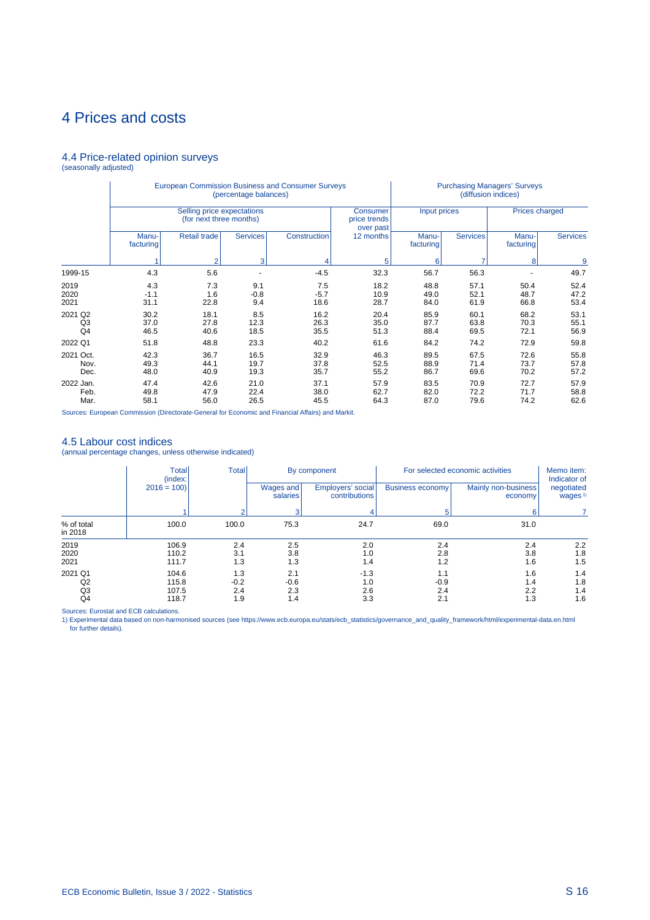## 4.4 Price-related opinion surveys (seasonally adjusted)

|                                 |                       |                                                       | (percentage balances) | <b>European Commission Business and Consumer Surveys</b> |                                              |                      | (diffusion indices)  | <b>Purchasing Managers' Surveys</b> |                      |
|---------------------------------|-----------------------|-------------------------------------------------------|-----------------------|----------------------------------------------------------|----------------------------------------------|----------------------|----------------------|-------------------------------------|----------------------|
|                                 |                       | Selling price expectations<br>(for next three months) |                       |                                                          | <b>Consumer</b><br>price trends<br>over past | Input prices         |                      | <b>Prices charged</b>               |                      |
|                                 | Manu-<br>facturing    | Retail trade                                          | <b>Services</b>       | Construction                                             | 12 months                                    | Manu-<br>facturing   | <b>Services</b>      | Manu-<br>facturing                  | <b>Services</b>      |
|                                 |                       | 2                                                     | 3                     |                                                          | 5                                            | 6                    |                      | 8                                   | 9                    |
| 1999-15                         | 4.3                   | 5.6                                                   |                       | $-4.5$                                                   | 32.3                                         | 56.7                 | 56.3                 |                                     | 49.7                 |
| 2019<br>2020<br>2021            | 4.3<br>$-1.1$<br>31.1 | 7.3<br>1.6<br>22.8                                    | 9.1<br>$-0.8$<br>9.4  | 7.5<br>$-5.7$<br>18.6                                    | 18.2<br>10.9<br>28.7                         | 48.8<br>49.0<br>84.0 | 57.1<br>52.1<br>61.9 | 50.4<br>48.7<br>66.8                | 52.4<br>47.2<br>53.4 |
| 2021 Q2<br>Q <sub>3</sub><br>Q4 | 30.2<br>37.0<br>46.5  | 18.1<br>27.8<br>40.6                                  | 8.5<br>12.3<br>18.5   | 16.2<br>26.3<br>35.5                                     | 20.4<br>35.0<br>51.3                         | 85.9<br>87.7<br>88.4 | 60.1<br>63.8<br>69.5 | 68.2<br>70.3<br>72.1                | 53.1<br>55.1<br>56.9 |
| 2022 Q1                         | 51.8                  | 48.8                                                  | 23.3                  | 40.2                                                     | 61.6                                         | 84.2                 | 74.2                 | 72.9                                | 59.8                 |
| 2021 Oct.<br>Nov.<br>Dec.       | 42.3<br>49.3<br>48.0  | 36.7<br>44.1<br>40.9                                  | 16.5<br>19.7<br>19.3  | 32.9<br>37.8<br>35.7                                     | 46.3<br>52.5<br>55.2                         | 89.5<br>88.9<br>86.7 | 67.5<br>71.4<br>69.6 | 72.6<br>73.7<br>70.2                | 55.8<br>57.8<br>57.2 |
| 2022 Jan.<br>Feb.<br>Mar.       | 47.4<br>49.8<br>58.1  | 42.6<br>47.9<br>56.0                                  | 21.0<br>22.4<br>26.5  | 37.1<br>38.0<br>45.5                                     | 57.9<br>62.7<br>64.3                         | 83.5<br>82.0<br>87.0 | 70.9<br>72.2<br>79.6 | 72.7<br>71.7<br>74.2                | 57.9<br>58.8<br>62.6 |

Sources: European Commission (Directorate-General for Economic and Financial Affairs) and Markit.

4.5 Labour cost indices (annual percentage changes, unless otherwise indicated)

|                       | <b>Total</b><br>(index: | <b>Total</b>         |                       | By component                       |                          | For selected economic activities | Memo item:<br>Indicator of       |
|-----------------------|-------------------------|----------------------|-----------------------|------------------------------------|--------------------------|----------------------------------|----------------------------------|
|                       | $2016 = 100$            |                      | Wages and<br>salaries | Employers' social<br>contributions | <b>Business economy!</b> | Mainly non-business<br>economy   | negotiated<br>wages <sup>1</sup> |
|                       |                         |                      |                       |                                    |                          | ค                                |                                  |
| % of total<br>in 2018 | 100.0                   | 100.0                | 75.3                  | 24.7                               | 69.0                     | 31.0                             |                                  |
| 2019<br>2020<br>2021  | 106.9<br>110.2<br>111.7 | 2.4<br>3.1<br>1.3    | 2.5<br>3.8<br>1.3     | 2.0<br>1.0<br>1.4                  | 2.4<br>2.8<br>1.2        | 2.4<br>3.8<br>1.6                | 2.2<br>1.8<br>1.5                |
| 2021 Q1<br>Q2<br>Q3   | 104.6<br>115.8<br>107.5 | 1.3<br>$-0.2$<br>2.4 | 2.1<br>$-0.6$<br>2.3  | $-1.3$<br>1.0<br>2.6               | 1.1<br>$-0.9$<br>2.4     | 1.6<br>1.4<br>2.2                | 1.4<br>1.8<br>1.4                |
| Q4                    | 118.7                   | 1.9                  | 1.4                   | 3.3                                | 2.1                      | 1.3                              | 1.6                              |

Sources: Eurostat and ECB calculations.<br>1) Experimental data based on non-harmonised sources (see https://www.ecb.europa.eu/stats/ecb\_statistics/governance\_and\_quality\_framework/html/experimental-data.en.html for further details).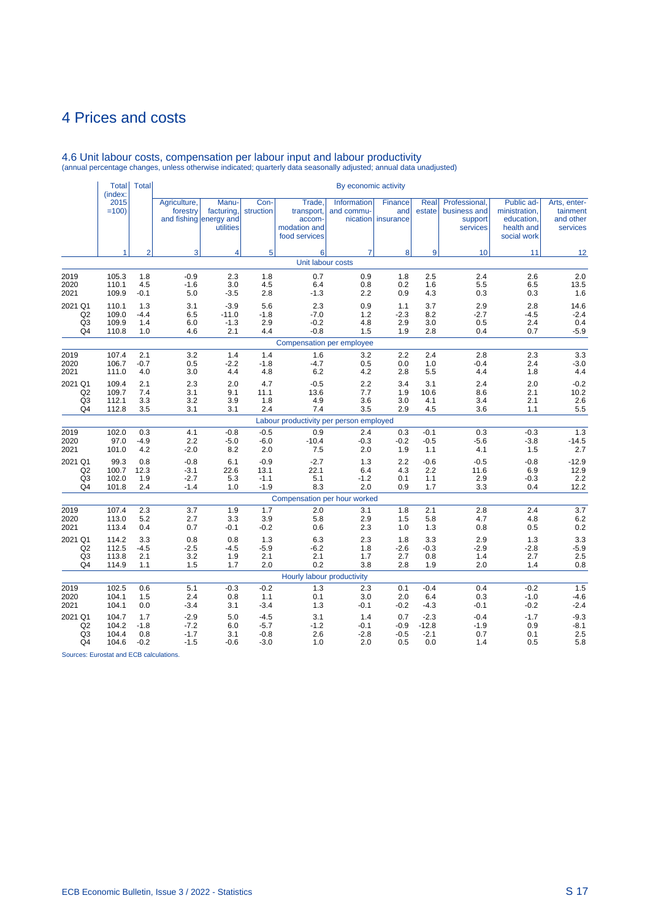| Manu-<br>Con-<br>2015<br>Agriculture,<br>Trade,<br>Information<br>Finance<br>Real<br>Professional,<br>Public ad-<br>Arts, enter-<br>$=100$<br>forestry<br>facturing,<br>struction<br>transport,<br>and commu-<br>and<br>estate<br>business and<br>ministration,<br>tainment<br>education.<br>and fishing energy and<br>accom-<br>nication insurance<br>and other<br>support<br>modation and<br>services<br>health and<br>services<br>utilities<br>food services<br>social work<br>5<br>$\overline{2}$<br>3<br>8<br>10<br>11<br>1<br>4<br>6<br>7<br>9<br>12<br>Unit labour costs<br>1.8<br>0.7<br>2.4<br>2.6<br>2.0<br>2019<br>105.3<br>1.8<br>$-0.9$<br>2.3<br>0.9<br>1.8<br>2.5<br>13.5<br>2020<br>110.1<br>4.5<br>$-1.6$<br>3.0<br>4.5<br>6.4<br>0.8<br>0.2<br>1.6<br>5.5<br>6.5<br>1.6<br>2.8<br>109.9<br>$-0.1$<br>5.0<br>$-1.3$<br>2.2<br>4.3<br>0.3<br>0.3<br>$-3.5$<br>0.9<br>5.6<br>0.9<br>2.9<br>14.6<br>110.1<br>1.3<br>3.1<br>$-3.9$<br>2.3<br>1.1<br>3.7<br>2.8<br>Q2<br>109.0<br>$-4.4$<br>6.5<br>$-11.0$<br>$-1.8$<br>$-7.0$<br>1.2<br>8.2<br>$-2.7$<br>$-4.5$<br>$-2.4$<br>$-2.3$<br>Q <sub>3</sub><br>2.9<br>4.8<br>3.0<br>0.4<br>109.9<br>1.4<br>6.0<br>$-1.3$<br>$-0.2$<br>2.9<br>0.5<br>2.4<br>Q <sub>4</sub><br>110.8<br>4.4<br>1.5<br>1.9<br>2.8<br>0.7<br>$-5.9$<br>1.0<br>4.6<br>2.1<br>$-0.8$<br>0.4<br>Compensation per employee<br>2019<br>107.4<br>2.1<br>3.2<br>1.4<br>1.4<br>2.8<br>2.3<br>3.3<br>1.6<br>3.2<br>2.2<br>2.4<br>106.7<br>$-0.7$<br>$-1.8$<br>0.5<br>2.4<br>$-3.0$<br>0.5<br>$-4.7$<br>0.0<br>1.0<br>$-0.4$<br>$-2.2$<br>4.4<br>111.0<br>3.0<br>4.4<br>4.8<br>6.2<br>4.2<br>2.8<br>5.5<br>4.4<br>1.8<br>4.0<br>4.7<br>2.2<br>2.0<br>$-0.2$<br>109.4<br>2.1<br>2.3<br>2.0<br>$-0.5$<br>3.4<br>3.1<br>2.4<br>10.2<br>Q2<br>109.7<br>7.4<br>3.1<br>9.1<br>11.1<br>13.6<br>7.7<br>1.9<br>10.6<br>8.6<br>2.1<br>2.6<br>1.8<br>4.9<br>3.6<br>4.1<br>Q <sub>3</sub><br>112.1<br>3.3<br>3.2<br>3.9<br>3.0<br>3.4<br>2.1<br>5.5<br>Q <sub>4</sub><br>112.8<br>3.5<br>3.1<br>3.1<br>2.4<br>7.4<br>3.5<br>2.9<br>4.5<br>3.6<br>1.1<br>Labour productivity per person employed<br>2019<br>0.3<br>$-0.8$<br>$-0.5$<br>0.9<br>$-0.1$<br>0.3<br>$-0.3$<br>1.3<br>102.0<br>4.1<br>2.4<br>0.3<br>$-14.5$<br>97.0<br>$-4.9$<br>$-6.0$<br>$-10.4$<br>$-0.5$<br>$-5.6$<br>2.2<br>$-5.0$<br>$-0.3$<br>$-0.2$<br>$-3.8$<br>2.7<br>101.0<br>4.2<br>$-2.0$<br>8.2<br>2.0<br>7.5<br>2.0<br>1.9<br>1.1<br>4.1<br>1.5<br>$-0.6$<br>$-12.9$<br>99.3<br>0.8<br>$-0.8$<br>6.1<br>$-0.9$<br>$-2.7$<br>1.3<br>2.2<br>$-0.5$<br>$-0.8$<br>22.1<br>12.9<br>Q <sub>2</sub><br>100.7<br>12.3<br>$-3.1$<br>22.6<br>13.1<br>6.4<br>4.3<br>2.2<br>11.6<br>6.9<br>2.2<br>Q <sub>3</sub><br>102.0<br>5.1<br>$-1.2$<br>1.1<br>2.9<br>1.9<br>$-2.7$<br>5.3<br>$-1.1$<br>0.1<br>$-0.3$<br>$-1.9$<br>Q4<br>101.8<br>2.4<br>$-1.4$<br>1.0<br>8.3<br>2.0<br>0.9<br>1.7<br>3.3<br>0.4<br>12.2<br>Compensation per hour worked<br>1.7<br>3.7<br>107.4<br>2.3<br>3.7<br>1.9<br>3.1<br>2.1<br>2.8<br>2.4<br>2.0<br>1.8<br>6.2<br>113.0<br>5.2<br>2.7<br>3.3<br>3.9<br>5.8<br>2.9<br>5.8<br>4.7<br>4.8<br>1.5<br>0.2<br>2021<br>113.4<br>0.4<br>0.7<br>$-0.1$<br>$-0.2$<br>0.6<br>2.3<br>1.0<br>1.3<br>0.8<br>0.5<br>1.3<br>2.3<br>3.3<br>114.2<br>3.3<br>0.8<br>0.8<br>6.3<br>1.8<br>3.3<br>2.9<br>1.3<br>$-5.9$<br>Q2<br>112.5<br>$-4.5$<br>$-2.5$<br>$-5.9$<br>$-6.2$<br>1.8<br>$-0.3$<br>$-2.9$<br>$-2.8$<br>$-4.5$<br>$-2.6$<br>2.5<br>Q <sub>3</sub><br>2.1<br>0.8<br>2.7<br>113.8<br>2.1<br>3.2<br>2.1<br>1.7<br>2.7<br>1.4<br>1.9<br>Q4<br>0.2<br>2.0<br>0.8<br>114.9<br>1.1<br>1.5<br>1.7<br>2.0<br>3.8<br>2.8<br>1.9<br>1.4<br>Hourly labour productivity<br>$-0.2$<br>1.5<br>102.5<br>0.6<br>5.1<br>$-0.3$<br>1.3<br>2.3<br>0.1<br>$-0.4$<br>0.4<br>$-0.2$<br>$-4.6$<br>104.1<br>1.5<br>2.4<br>3.0<br>2.0<br>6.4<br>0.3<br>$-1.0$<br>0.8<br>1.1<br>0.1<br>$-2.4$<br>2021<br>104.1<br>0.0<br>$-3.4$<br>3.1<br>$-3.4$<br>1.3<br>$-0.1$<br>$-4.3$<br>$-0.1$<br>$-0.2$<br>$-0.2$<br>$-9.3$<br>104.7<br>1.7<br>$-2.9$<br>5.0<br>$-4.5$<br>3.1<br>1.4<br>0.7<br>$-2.3$<br>$-0.4$<br>$-1.7$<br>104.2<br>$-1.8$<br>$-5.7$<br>$-1.2$<br>$-12.8$<br>$-1.9$<br>$-8.1$<br>Q <sub>2</sub><br>$-7.2$<br>6.0<br>-0.1<br>$-0.9$<br>0.9<br>2.5<br>2.6<br>Q <sub>3</sub><br>104.4<br>0.8<br>$-1.7$<br>$-0.8$<br>$-2.8$<br>$-2.1$<br>0.7<br>3.1<br>$-0.5$<br>0.1 |         | <b>Total</b><br>(index: | <b>Total</b> |        |        |        |     |     |     |     |     |     |     |
|------------------------------------------------------------------------------------------------------------------------------------------------------------------------------------------------------------------------------------------------------------------------------------------------------------------------------------------------------------------------------------------------------------------------------------------------------------------------------------------------------------------------------------------------------------------------------------------------------------------------------------------------------------------------------------------------------------------------------------------------------------------------------------------------------------------------------------------------------------------------------------------------------------------------------------------------------------------------------------------------------------------------------------------------------------------------------------------------------------------------------------------------------------------------------------------------------------------------------------------------------------------------------------------------------------------------------------------------------------------------------------------------------------------------------------------------------------------------------------------------------------------------------------------------------------------------------------------------------------------------------------------------------------------------------------------------------------------------------------------------------------------------------------------------------------------------------------------------------------------------------------------------------------------------------------------------------------------------------------------------------------------------------------------------------------------------------------------------------------------------------------------------------------------------------------------------------------------------------------------------------------------------------------------------------------------------------------------------------------------------------------------------------------------------------------------------------------------------------------------------------------------------------------------------------------------------------------------------------------------------------------------------------------------------------------------------------------------------------------------------------------------------------------------------------------------------------------------------------------------------------------------------------------------------------------------------------------------------------------------------------------------------------------------------------------------------------------------------------------------------------------------------------------------------------------------------------------------------------------------------------------------------------------------------------------------------------------------------------------------------------------------------------------------------------------------------------------------------------------------------------------------------------------------------------------------------------------------------------------------------------------------------------------------------------------------------------------------------------------------------------------------------------------------------------------------------------------------------------------------------------------------------------------------------------------------------------------------------------------------------------------------------------------------------------------------------------------------------------------------------------------------------------------------------------------------------------------------------------------------------------------------------------------------------------------------------------------------------|---------|-------------------------|--------------|--------|--------|--------|-----|-----|-----|-----|-----|-----|-----|
|                                                                                                                                                                                                                                                                                                                                                                                                                                                                                                                                                                                                                                                                                                                                                                                                                                                                                                                                                                                                                                                                                                                                                                                                                                                                                                                                                                                                                                                                                                                                                                                                                                                                                                                                                                                                                                                                                                                                                                                                                                                                                                                                                                                                                                                                                                                                                                                                                                                                                                                                                                                                                                                                                                                                                                                                                                                                                                                                                                                                                                                                                                                                                                                                                                                                                                                                                                                                                                                                                                                                                                                                                                                                                                                                                                                                                                                                                                                                                                                                                                                                                                                                                                                                                                                                                                                                                |         |                         |              |        |        |        |     |     |     |     |     |     |     |
|                                                                                                                                                                                                                                                                                                                                                                                                                                                                                                                                                                                                                                                                                                                                                                                                                                                                                                                                                                                                                                                                                                                                                                                                                                                                                                                                                                                                                                                                                                                                                                                                                                                                                                                                                                                                                                                                                                                                                                                                                                                                                                                                                                                                                                                                                                                                                                                                                                                                                                                                                                                                                                                                                                                                                                                                                                                                                                                                                                                                                                                                                                                                                                                                                                                                                                                                                                                                                                                                                                                                                                                                                                                                                                                                                                                                                                                                                                                                                                                                                                                                                                                                                                                                                                                                                                                                                |         |                         |              |        |        |        |     |     |     |     |     |     |     |
|                                                                                                                                                                                                                                                                                                                                                                                                                                                                                                                                                                                                                                                                                                                                                                                                                                                                                                                                                                                                                                                                                                                                                                                                                                                                                                                                                                                                                                                                                                                                                                                                                                                                                                                                                                                                                                                                                                                                                                                                                                                                                                                                                                                                                                                                                                                                                                                                                                                                                                                                                                                                                                                                                                                                                                                                                                                                                                                                                                                                                                                                                                                                                                                                                                                                                                                                                                                                                                                                                                                                                                                                                                                                                                                                                                                                                                                                                                                                                                                                                                                                                                                                                                                                                                                                                                                                                |         |                         |              |        |        |        |     |     |     |     |     |     |     |
|                                                                                                                                                                                                                                                                                                                                                                                                                                                                                                                                                                                                                                                                                                                                                                                                                                                                                                                                                                                                                                                                                                                                                                                                                                                                                                                                                                                                                                                                                                                                                                                                                                                                                                                                                                                                                                                                                                                                                                                                                                                                                                                                                                                                                                                                                                                                                                                                                                                                                                                                                                                                                                                                                                                                                                                                                                                                                                                                                                                                                                                                                                                                                                                                                                                                                                                                                                                                                                                                                                                                                                                                                                                                                                                                                                                                                                                                                                                                                                                                                                                                                                                                                                                                                                                                                                                                                |         |                         |              |        |        |        |     |     |     |     |     |     |     |
|                                                                                                                                                                                                                                                                                                                                                                                                                                                                                                                                                                                                                                                                                                                                                                                                                                                                                                                                                                                                                                                                                                                                                                                                                                                                                                                                                                                                                                                                                                                                                                                                                                                                                                                                                                                                                                                                                                                                                                                                                                                                                                                                                                                                                                                                                                                                                                                                                                                                                                                                                                                                                                                                                                                                                                                                                                                                                                                                                                                                                                                                                                                                                                                                                                                                                                                                                                                                                                                                                                                                                                                                                                                                                                                                                                                                                                                                                                                                                                                                                                                                                                                                                                                                                                                                                                                                                | 2021    |                         |              |        |        |        |     |     |     |     |     |     |     |
|                                                                                                                                                                                                                                                                                                                                                                                                                                                                                                                                                                                                                                                                                                                                                                                                                                                                                                                                                                                                                                                                                                                                                                                                                                                                                                                                                                                                                                                                                                                                                                                                                                                                                                                                                                                                                                                                                                                                                                                                                                                                                                                                                                                                                                                                                                                                                                                                                                                                                                                                                                                                                                                                                                                                                                                                                                                                                                                                                                                                                                                                                                                                                                                                                                                                                                                                                                                                                                                                                                                                                                                                                                                                                                                                                                                                                                                                                                                                                                                                                                                                                                                                                                                                                                                                                                                                                | 2021 Q1 |                         |              |        |        |        |     |     |     |     |     |     |     |
|                                                                                                                                                                                                                                                                                                                                                                                                                                                                                                                                                                                                                                                                                                                                                                                                                                                                                                                                                                                                                                                                                                                                                                                                                                                                                                                                                                                                                                                                                                                                                                                                                                                                                                                                                                                                                                                                                                                                                                                                                                                                                                                                                                                                                                                                                                                                                                                                                                                                                                                                                                                                                                                                                                                                                                                                                                                                                                                                                                                                                                                                                                                                                                                                                                                                                                                                                                                                                                                                                                                                                                                                                                                                                                                                                                                                                                                                                                                                                                                                                                                                                                                                                                                                                                                                                                                                                |         |                         |              |        |        |        |     |     |     |     |     |     |     |
|                                                                                                                                                                                                                                                                                                                                                                                                                                                                                                                                                                                                                                                                                                                                                                                                                                                                                                                                                                                                                                                                                                                                                                                                                                                                                                                                                                                                                                                                                                                                                                                                                                                                                                                                                                                                                                                                                                                                                                                                                                                                                                                                                                                                                                                                                                                                                                                                                                                                                                                                                                                                                                                                                                                                                                                                                                                                                                                                                                                                                                                                                                                                                                                                                                                                                                                                                                                                                                                                                                                                                                                                                                                                                                                                                                                                                                                                                                                                                                                                                                                                                                                                                                                                                                                                                                                                                |         |                         |              |        |        |        |     |     |     |     |     |     |     |
|                                                                                                                                                                                                                                                                                                                                                                                                                                                                                                                                                                                                                                                                                                                                                                                                                                                                                                                                                                                                                                                                                                                                                                                                                                                                                                                                                                                                                                                                                                                                                                                                                                                                                                                                                                                                                                                                                                                                                                                                                                                                                                                                                                                                                                                                                                                                                                                                                                                                                                                                                                                                                                                                                                                                                                                                                                                                                                                                                                                                                                                                                                                                                                                                                                                                                                                                                                                                                                                                                                                                                                                                                                                                                                                                                                                                                                                                                                                                                                                                                                                                                                                                                                                                                                                                                                                                                |         |                         |              |        |        |        |     |     |     |     |     |     |     |
|                                                                                                                                                                                                                                                                                                                                                                                                                                                                                                                                                                                                                                                                                                                                                                                                                                                                                                                                                                                                                                                                                                                                                                                                                                                                                                                                                                                                                                                                                                                                                                                                                                                                                                                                                                                                                                                                                                                                                                                                                                                                                                                                                                                                                                                                                                                                                                                                                                                                                                                                                                                                                                                                                                                                                                                                                                                                                                                                                                                                                                                                                                                                                                                                                                                                                                                                                                                                                                                                                                                                                                                                                                                                                                                                                                                                                                                                                                                                                                                                                                                                                                                                                                                                                                                                                                                                                |         |                         |              |        |        |        |     |     |     |     |     |     |     |
|                                                                                                                                                                                                                                                                                                                                                                                                                                                                                                                                                                                                                                                                                                                                                                                                                                                                                                                                                                                                                                                                                                                                                                                                                                                                                                                                                                                                                                                                                                                                                                                                                                                                                                                                                                                                                                                                                                                                                                                                                                                                                                                                                                                                                                                                                                                                                                                                                                                                                                                                                                                                                                                                                                                                                                                                                                                                                                                                                                                                                                                                                                                                                                                                                                                                                                                                                                                                                                                                                                                                                                                                                                                                                                                                                                                                                                                                                                                                                                                                                                                                                                                                                                                                                                                                                                                                                | 2020    |                         |              |        |        |        |     |     |     |     |     |     |     |
|                                                                                                                                                                                                                                                                                                                                                                                                                                                                                                                                                                                                                                                                                                                                                                                                                                                                                                                                                                                                                                                                                                                                                                                                                                                                                                                                                                                                                                                                                                                                                                                                                                                                                                                                                                                                                                                                                                                                                                                                                                                                                                                                                                                                                                                                                                                                                                                                                                                                                                                                                                                                                                                                                                                                                                                                                                                                                                                                                                                                                                                                                                                                                                                                                                                                                                                                                                                                                                                                                                                                                                                                                                                                                                                                                                                                                                                                                                                                                                                                                                                                                                                                                                                                                                                                                                                                                | 2021    |                         |              |        |        |        |     |     |     |     |     |     |     |
|                                                                                                                                                                                                                                                                                                                                                                                                                                                                                                                                                                                                                                                                                                                                                                                                                                                                                                                                                                                                                                                                                                                                                                                                                                                                                                                                                                                                                                                                                                                                                                                                                                                                                                                                                                                                                                                                                                                                                                                                                                                                                                                                                                                                                                                                                                                                                                                                                                                                                                                                                                                                                                                                                                                                                                                                                                                                                                                                                                                                                                                                                                                                                                                                                                                                                                                                                                                                                                                                                                                                                                                                                                                                                                                                                                                                                                                                                                                                                                                                                                                                                                                                                                                                                                                                                                                                                | 2021 Q1 |                         |              |        |        |        |     |     |     |     |     |     |     |
|                                                                                                                                                                                                                                                                                                                                                                                                                                                                                                                                                                                                                                                                                                                                                                                                                                                                                                                                                                                                                                                                                                                                                                                                                                                                                                                                                                                                                                                                                                                                                                                                                                                                                                                                                                                                                                                                                                                                                                                                                                                                                                                                                                                                                                                                                                                                                                                                                                                                                                                                                                                                                                                                                                                                                                                                                                                                                                                                                                                                                                                                                                                                                                                                                                                                                                                                                                                                                                                                                                                                                                                                                                                                                                                                                                                                                                                                                                                                                                                                                                                                                                                                                                                                                                                                                                                                                |         |                         |              |        |        |        |     |     |     |     |     |     |     |
|                                                                                                                                                                                                                                                                                                                                                                                                                                                                                                                                                                                                                                                                                                                                                                                                                                                                                                                                                                                                                                                                                                                                                                                                                                                                                                                                                                                                                                                                                                                                                                                                                                                                                                                                                                                                                                                                                                                                                                                                                                                                                                                                                                                                                                                                                                                                                                                                                                                                                                                                                                                                                                                                                                                                                                                                                                                                                                                                                                                                                                                                                                                                                                                                                                                                                                                                                                                                                                                                                                                                                                                                                                                                                                                                                                                                                                                                                                                                                                                                                                                                                                                                                                                                                                                                                                                                                |         |                         |              |        |        |        |     |     |     |     |     |     |     |
|                                                                                                                                                                                                                                                                                                                                                                                                                                                                                                                                                                                                                                                                                                                                                                                                                                                                                                                                                                                                                                                                                                                                                                                                                                                                                                                                                                                                                                                                                                                                                                                                                                                                                                                                                                                                                                                                                                                                                                                                                                                                                                                                                                                                                                                                                                                                                                                                                                                                                                                                                                                                                                                                                                                                                                                                                                                                                                                                                                                                                                                                                                                                                                                                                                                                                                                                                                                                                                                                                                                                                                                                                                                                                                                                                                                                                                                                                                                                                                                                                                                                                                                                                                                                                                                                                                                                                |         |                         |              |        |        |        |     |     |     |     |     |     |     |
|                                                                                                                                                                                                                                                                                                                                                                                                                                                                                                                                                                                                                                                                                                                                                                                                                                                                                                                                                                                                                                                                                                                                                                                                                                                                                                                                                                                                                                                                                                                                                                                                                                                                                                                                                                                                                                                                                                                                                                                                                                                                                                                                                                                                                                                                                                                                                                                                                                                                                                                                                                                                                                                                                                                                                                                                                                                                                                                                                                                                                                                                                                                                                                                                                                                                                                                                                                                                                                                                                                                                                                                                                                                                                                                                                                                                                                                                                                                                                                                                                                                                                                                                                                                                                                                                                                                                                |         |                         |              |        |        |        |     |     |     |     |     |     |     |
|                                                                                                                                                                                                                                                                                                                                                                                                                                                                                                                                                                                                                                                                                                                                                                                                                                                                                                                                                                                                                                                                                                                                                                                                                                                                                                                                                                                                                                                                                                                                                                                                                                                                                                                                                                                                                                                                                                                                                                                                                                                                                                                                                                                                                                                                                                                                                                                                                                                                                                                                                                                                                                                                                                                                                                                                                                                                                                                                                                                                                                                                                                                                                                                                                                                                                                                                                                                                                                                                                                                                                                                                                                                                                                                                                                                                                                                                                                                                                                                                                                                                                                                                                                                                                                                                                                                                                | 2020    |                         |              |        |        |        |     |     |     |     |     |     |     |
|                                                                                                                                                                                                                                                                                                                                                                                                                                                                                                                                                                                                                                                                                                                                                                                                                                                                                                                                                                                                                                                                                                                                                                                                                                                                                                                                                                                                                                                                                                                                                                                                                                                                                                                                                                                                                                                                                                                                                                                                                                                                                                                                                                                                                                                                                                                                                                                                                                                                                                                                                                                                                                                                                                                                                                                                                                                                                                                                                                                                                                                                                                                                                                                                                                                                                                                                                                                                                                                                                                                                                                                                                                                                                                                                                                                                                                                                                                                                                                                                                                                                                                                                                                                                                                                                                                                                                | 2021    |                         |              |        |        |        |     |     |     |     |     |     |     |
|                                                                                                                                                                                                                                                                                                                                                                                                                                                                                                                                                                                                                                                                                                                                                                                                                                                                                                                                                                                                                                                                                                                                                                                                                                                                                                                                                                                                                                                                                                                                                                                                                                                                                                                                                                                                                                                                                                                                                                                                                                                                                                                                                                                                                                                                                                                                                                                                                                                                                                                                                                                                                                                                                                                                                                                                                                                                                                                                                                                                                                                                                                                                                                                                                                                                                                                                                                                                                                                                                                                                                                                                                                                                                                                                                                                                                                                                                                                                                                                                                                                                                                                                                                                                                                                                                                                                                | 2021 Q1 |                         |              |        |        |        |     |     |     |     |     |     |     |
|                                                                                                                                                                                                                                                                                                                                                                                                                                                                                                                                                                                                                                                                                                                                                                                                                                                                                                                                                                                                                                                                                                                                                                                                                                                                                                                                                                                                                                                                                                                                                                                                                                                                                                                                                                                                                                                                                                                                                                                                                                                                                                                                                                                                                                                                                                                                                                                                                                                                                                                                                                                                                                                                                                                                                                                                                                                                                                                                                                                                                                                                                                                                                                                                                                                                                                                                                                                                                                                                                                                                                                                                                                                                                                                                                                                                                                                                                                                                                                                                                                                                                                                                                                                                                                                                                                                                                |         |                         |              |        |        |        |     |     |     |     |     |     |     |
|                                                                                                                                                                                                                                                                                                                                                                                                                                                                                                                                                                                                                                                                                                                                                                                                                                                                                                                                                                                                                                                                                                                                                                                                                                                                                                                                                                                                                                                                                                                                                                                                                                                                                                                                                                                                                                                                                                                                                                                                                                                                                                                                                                                                                                                                                                                                                                                                                                                                                                                                                                                                                                                                                                                                                                                                                                                                                                                                                                                                                                                                                                                                                                                                                                                                                                                                                                                                                                                                                                                                                                                                                                                                                                                                                                                                                                                                                                                                                                                                                                                                                                                                                                                                                                                                                                                                                |         |                         |              |        |        |        |     |     |     |     |     |     |     |
|                                                                                                                                                                                                                                                                                                                                                                                                                                                                                                                                                                                                                                                                                                                                                                                                                                                                                                                                                                                                                                                                                                                                                                                                                                                                                                                                                                                                                                                                                                                                                                                                                                                                                                                                                                                                                                                                                                                                                                                                                                                                                                                                                                                                                                                                                                                                                                                                                                                                                                                                                                                                                                                                                                                                                                                                                                                                                                                                                                                                                                                                                                                                                                                                                                                                                                                                                                                                                                                                                                                                                                                                                                                                                                                                                                                                                                                                                                                                                                                                                                                                                                                                                                                                                                                                                                                                                |         |                         |              |        |        |        |     |     |     |     |     |     |     |
|                                                                                                                                                                                                                                                                                                                                                                                                                                                                                                                                                                                                                                                                                                                                                                                                                                                                                                                                                                                                                                                                                                                                                                                                                                                                                                                                                                                                                                                                                                                                                                                                                                                                                                                                                                                                                                                                                                                                                                                                                                                                                                                                                                                                                                                                                                                                                                                                                                                                                                                                                                                                                                                                                                                                                                                                                                                                                                                                                                                                                                                                                                                                                                                                                                                                                                                                                                                                                                                                                                                                                                                                                                                                                                                                                                                                                                                                                                                                                                                                                                                                                                                                                                                                                                                                                                                                                | 2019    |                         |              |        |        |        |     |     |     |     |     |     |     |
|                                                                                                                                                                                                                                                                                                                                                                                                                                                                                                                                                                                                                                                                                                                                                                                                                                                                                                                                                                                                                                                                                                                                                                                                                                                                                                                                                                                                                                                                                                                                                                                                                                                                                                                                                                                                                                                                                                                                                                                                                                                                                                                                                                                                                                                                                                                                                                                                                                                                                                                                                                                                                                                                                                                                                                                                                                                                                                                                                                                                                                                                                                                                                                                                                                                                                                                                                                                                                                                                                                                                                                                                                                                                                                                                                                                                                                                                                                                                                                                                                                                                                                                                                                                                                                                                                                                                                | 2020    |                         |              |        |        |        |     |     |     |     |     |     |     |
|                                                                                                                                                                                                                                                                                                                                                                                                                                                                                                                                                                                                                                                                                                                                                                                                                                                                                                                                                                                                                                                                                                                                                                                                                                                                                                                                                                                                                                                                                                                                                                                                                                                                                                                                                                                                                                                                                                                                                                                                                                                                                                                                                                                                                                                                                                                                                                                                                                                                                                                                                                                                                                                                                                                                                                                                                                                                                                                                                                                                                                                                                                                                                                                                                                                                                                                                                                                                                                                                                                                                                                                                                                                                                                                                                                                                                                                                                                                                                                                                                                                                                                                                                                                                                                                                                                                                                |         |                         |              |        |        |        |     |     |     |     |     |     |     |
|                                                                                                                                                                                                                                                                                                                                                                                                                                                                                                                                                                                                                                                                                                                                                                                                                                                                                                                                                                                                                                                                                                                                                                                                                                                                                                                                                                                                                                                                                                                                                                                                                                                                                                                                                                                                                                                                                                                                                                                                                                                                                                                                                                                                                                                                                                                                                                                                                                                                                                                                                                                                                                                                                                                                                                                                                                                                                                                                                                                                                                                                                                                                                                                                                                                                                                                                                                                                                                                                                                                                                                                                                                                                                                                                                                                                                                                                                                                                                                                                                                                                                                                                                                                                                                                                                                                                                | 2021 Q1 |                         |              |        |        |        |     |     |     |     |     |     |     |
|                                                                                                                                                                                                                                                                                                                                                                                                                                                                                                                                                                                                                                                                                                                                                                                                                                                                                                                                                                                                                                                                                                                                                                                                                                                                                                                                                                                                                                                                                                                                                                                                                                                                                                                                                                                                                                                                                                                                                                                                                                                                                                                                                                                                                                                                                                                                                                                                                                                                                                                                                                                                                                                                                                                                                                                                                                                                                                                                                                                                                                                                                                                                                                                                                                                                                                                                                                                                                                                                                                                                                                                                                                                                                                                                                                                                                                                                                                                                                                                                                                                                                                                                                                                                                                                                                                                                                |         |                         |              |        |        |        |     |     |     |     |     |     |     |
|                                                                                                                                                                                                                                                                                                                                                                                                                                                                                                                                                                                                                                                                                                                                                                                                                                                                                                                                                                                                                                                                                                                                                                                                                                                                                                                                                                                                                                                                                                                                                                                                                                                                                                                                                                                                                                                                                                                                                                                                                                                                                                                                                                                                                                                                                                                                                                                                                                                                                                                                                                                                                                                                                                                                                                                                                                                                                                                                                                                                                                                                                                                                                                                                                                                                                                                                                                                                                                                                                                                                                                                                                                                                                                                                                                                                                                                                                                                                                                                                                                                                                                                                                                                                                                                                                                                                                |         |                         |              |        |        |        |     |     |     |     |     |     |     |
|                                                                                                                                                                                                                                                                                                                                                                                                                                                                                                                                                                                                                                                                                                                                                                                                                                                                                                                                                                                                                                                                                                                                                                                                                                                                                                                                                                                                                                                                                                                                                                                                                                                                                                                                                                                                                                                                                                                                                                                                                                                                                                                                                                                                                                                                                                                                                                                                                                                                                                                                                                                                                                                                                                                                                                                                                                                                                                                                                                                                                                                                                                                                                                                                                                                                                                                                                                                                                                                                                                                                                                                                                                                                                                                                                                                                                                                                                                                                                                                                                                                                                                                                                                                                                                                                                                                                                |         |                         |              |        |        |        |     |     |     |     |     |     |     |
|                                                                                                                                                                                                                                                                                                                                                                                                                                                                                                                                                                                                                                                                                                                                                                                                                                                                                                                                                                                                                                                                                                                                                                                                                                                                                                                                                                                                                                                                                                                                                                                                                                                                                                                                                                                                                                                                                                                                                                                                                                                                                                                                                                                                                                                                                                                                                                                                                                                                                                                                                                                                                                                                                                                                                                                                                                                                                                                                                                                                                                                                                                                                                                                                                                                                                                                                                                                                                                                                                                                                                                                                                                                                                                                                                                                                                                                                                                                                                                                                                                                                                                                                                                                                                                                                                                                                                | 2019    |                         |              |        |        |        |     |     |     |     |     |     |     |
|                                                                                                                                                                                                                                                                                                                                                                                                                                                                                                                                                                                                                                                                                                                                                                                                                                                                                                                                                                                                                                                                                                                                                                                                                                                                                                                                                                                                                                                                                                                                                                                                                                                                                                                                                                                                                                                                                                                                                                                                                                                                                                                                                                                                                                                                                                                                                                                                                                                                                                                                                                                                                                                                                                                                                                                                                                                                                                                                                                                                                                                                                                                                                                                                                                                                                                                                                                                                                                                                                                                                                                                                                                                                                                                                                                                                                                                                                                                                                                                                                                                                                                                                                                                                                                                                                                                                                | 2020    |                         |              |        |        |        |     |     |     |     |     |     |     |
|                                                                                                                                                                                                                                                                                                                                                                                                                                                                                                                                                                                                                                                                                                                                                                                                                                                                                                                                                                                                                                                                                                                                                                                                                                                                                                                                                                                                                                                                                                                                                                                                                                                                                                                                                                                                                                                                                                                                                                                                                                                                                                                                                                                                                                                                                                                                                                                                                                                                                                                                                                                                                                                                                                                                                                                                                                                                                                                                                                                                                                                                                                                                                                                                                                                                                                                                                                                                                                                                                                                                                                                                                                                                                                                                                                                                                                                                                                                                                                                                                                                                                                                                                                                                                                                                                                                                                |         |                         |              |        |        |        |     |     |     |     |     |     |     |
|                                                                                                                                                                                                                                                                                                                                                                                                                                                                                                                                                                                                                                                                                                                                                                                                                                                                                                                                                                                                                                                                                                                                                                                                                                                                                                                                                                                                                                                                                                                                                                                                                                                                                                                                                                                                                                                                                                                                                                                                                                                                                                                                                                                                                                                                                                                                                                                                                                                                                                                                                                                                                                                                                                                                                                                                                                                                                                                                                                                                                                                                                                                                                                                                                                                                                                                                                                                                                                                                                                                                                                                                                                                                                                                                                                                                                                                                                                                                                                                                                                                                                                                                                                                                                                                                                                                                                | 2021 Q1 |                         |              |        |        |        |     |     |     |     |     |     |     |
|                                                                                                                                                                                                                                                                                                                                                                                                                                                                                                                                                                                                                                                                                                                                                                                                                                                                                                                                                                                                                                                                                                                                                                                                                                                                                                                                                                                                                                                                                                                                                                                                                                                                                                                                                                                                                                                                                                                                                                                                                                                                                                                                                                                                                                                                                                                                                                                                                                                                                                                                                                                                                                                                                                                                                                                                                                                                                                                                                                                                                                                                                                                                                                                                                                                                                                                                                                                                                                                                                                                                                                                                                                                                                                                                                                                                                                                                                                                                                                                                                                                                                                                                                                                                                                                                                                                                                |         |                         |              |        |        |        |     |     |     |     |     |     |     |
|                                                                                                                                                                                                                                                                                                                                                                                                                                                                                                                                                                                                                                                                                                                                                                                                                                                                                                                                                                                                                                                                                                                                                                                                                                                                                                                                                                                                                                                                                                                                                                                                                                                                                                                                                                                                                                                                                                                                                                                                                                                                                                                                                                                                                                                                                                                                                                                                                                                                                                                                                                                                                                                                                                                                                                                                                                                                                                                                                                                                                                                                                                                                                                                                                                                                                                                                                                                                                                                                                                                                                                                                                                                                                                                                                                                                                                                                                                                                                                                                                                                                                                                                                                                                                                                                                                                                                | Q4      | 104.6                   | $-0.2$       | $-1.5$ | $-0.6$ | $-3.0$ | 1.0 | 2.0 | 0.5 | 0.0 | 1.4 | 0.5 | 5.8 |

# 4.6 Unit labour costs, compensation per labour input and labour productivity (annual percentage changes, unless otherwise indicated; quarterly data seasonally adjusted; annual data unadjusted)

Sources: Eurostat and ECB calculations.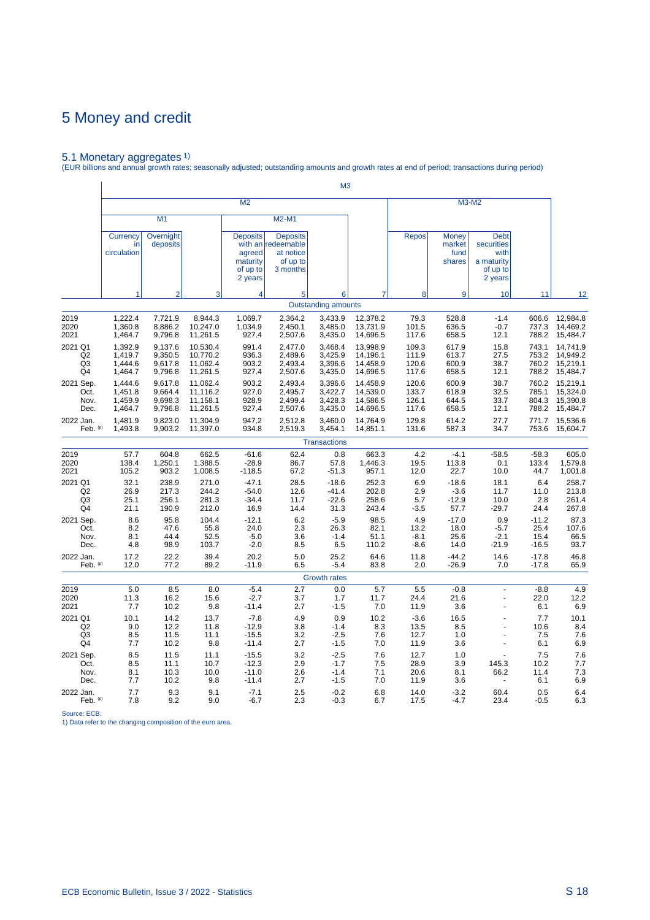5.1 Monetary aggregates 1) (EUR billions and annual growth rates; seasonally adjusted; outstanding amounts and growth rates at end of period; transactions during period)

|                                   |                               |                              |                             |                                                              |                                                                            | M <sub>3</sub>                       |                          |                              |                                          |                                                                        |                            |                          |
|-----------------------------------|-------------------------------|------------------------------|-----------------------------|--------------------------------------------------------------|----------------------------------------------------------------------------|--------------------------------------|--------------------------|------------------------------|------------------------------------------|------------------------------------------------------------------------|----------------------------|--------------------------|
|                                   |                               |                              |                             | M <sub>2</sub>                                               |                                                                            |                                      |                          |                              |                                          | M3-M2                                                                  |                            |                          |
|                                   |                               | M1                           |                             |                                                              | M2-M1                                                                      |                                      |                          |                              |                                          |                                                                        |                            |                          |
|                                   | Currency<br>in<br>circulation | Overnight<br>deposits        |                             | <b>Deposits</b><br>agreed<br>maturity<br>of up to<br>2 years | <b>Deposits</b><br>with an redeemable<br>at notice<br>of up to<br>3 months |                                      |                          | <b>Repos</b>                 | <b>Money</b><br>market<br>fund<br>shares | <b>Debt</b><br>securities<br>with<br>a maturity<br>of up to<br>2 years |                            |                          |
|                                   |                               | $\overline{2}$               | 3                           | 4                                                            | 5                                                                          | 6                                    |                          | 8                            | 9                                        | 10                                                                     | 11                         | 12                       |
|                                   |                               |                              |                             |                                                              |                                                                            | <b>Outstanding amounts</b>           |                          |                              |                                          |                                                                        |                            |                          |
| 2019                              | 1,222.4                       | 7,721.9                      | 8,944.3                     | 1,069.7                                                      | 2,364.2                                                                    | 3,433.9                              | 12,378.2                 | 79.3                         | 528.8                                    | $-1.4$                                                                 | 606.6                      | 12,984.8                 |
| 2020                              | 1,360.8                       | 8,886.2                      | 10,247.0                    | 1,034.9                                                      | 2,450.1                                                                    | 3,485.0                              | 13,731.9                 | 101.5                        | 636.5                                    | $-0.7$                                                                 | 737.3                      | 14,469.2                 |
| 2021                              | 1,464.7                       | 9,796.8                      | 11,261.5                    | 927.4                                                        | 2,507.6                                                                    | 3,435.0                              | 14,696.5                 | 117.6                        | 658.5                                    | 12.1                                                                   | 788.2                      | 15,484.7                 |
| 2021 Q1                           | 1,392.9                       | 9,137.6                      | 10,530.4                    | 991.4                                                        | 2,477.0                                                                    | 3,468.4                              | 13,998.9                 | 109.3                        | 617.9                                    | 15.8                                                                   | 743.1                      | 14,741.9                 |
| Q <sub>2</sub>                    | 1,419.7                       | 9,350.5                      | 10,770.2                    | 936.3                                                        | 2,489.6                                                                    | 3,425.9                              | 14,196.1                 | 111.9                        | 613.7                                    | 27.5                                                                   | 753.2                      | 14,949.2                 |
| Q <sub>3</sub>                    | 1,444.6                       | 9,617.8                      | 11,062.4                    | 903.2                                                        | 2,493.4                                                                    | 3,396.6                              | 14,458.9                 | 120.6                        | 600.9                                    | 38.7                                                                   | 760.2                      | 15,219.1                 |
| Q4                                | 1,464.7                       | 9,796.8                      | 11,261.5                    | 927.4                                                        | 2,507.6                                                                    | 3,435.0                              | 14,696.5                 | 117.6                        | 658.5                                    | 12.1                                                                   | 788.2                      | 15,484.7                 |
| 2021 Sep.                         | 1,444.6                       | 9,617.8                      | 11,062.4                    | 903.2                                                        | 2,493.4                                                                    | 3,396.6                              | 14,458.9                 | 120.6                        | 600.9                                    | 38.7                                                                   | 760.2                      | 15,219.1                 |
| Oct.                              | 1,451.8                       | 9,664.4                      | 11,116.2                    | 927.0                                                        | 2,495.7                                                                    | 3,422.7                              | 14,539.0                 | 133.7                        | 618.9                                    | 32.5                                                                   | 785.1                      | 15,324.0                 |
| Nov.                              | 1,459.9                       | 9,698.3                      | 11,158.1                    | 928.9                                                        | 2,499.4                                                                    | 3,428.3                              | 14,586.5                 | 126.1                        | 644.5                                    | 33.7                                                                   | 804.3                      | 15,390.8                 |
| Dec.                              | 1,464.7                       | 9,796.8                      | 11,261.5                    | 927.4                                                        | 2,507.6                                                                    | 3,435.0                              | 14,696.5                 | 117.6                        | 658.5                                    | 12.1                                                                   | 788.2                      | 15,484.7                 |
| 2022 Jan.                         | 1,481.9                       | 9,823.0                      | 11,304.9                    | 947.2                                                        | 2,512.8                                                                    | 3,460.0                              | 14,764.9                 | 129.8                        | 614.2                                    | 27.7                                                                   | 771.7                      | 15,536.6                 |
| Feb. (p)                          | 1,493.8                       | 9,903.2                      | 11,397.0                    | 934.8                                                        | 2,519.3                                                                    | 3,454.1                              | 14,851.1                 | 131.6                        | 587.3                                    | 34.7                                                                   | 753.6                      | 15,604.7                 |
|                                   |                               |                              |                             |                                                              |                                                                            | <b>Transactions</b>                  |                          |                              |                                          |                                                                        |                            |                          |
| 2019                              | 57.7                          | 604.8                        | 662.5                       | $-61.6$                                                      | 62.4                                                                       | 0.8                                  | 663.3                    | 4.2                          | $-4.1$                                   | $-58.5$                                                                | $-58.3$                    | 605.0                    |
| 2020                              | 138.4                         | 1,250.1                      | 1,388.5                     | $-28.9$                                                      | 86.7                                                                       | 57.8                                 | 1,446.3                  | 19.5                         | 113.8                                    | 0.1                                                                    | 133.4                      | 1,579.8                  |
| 2021                              | 105.2                         | 903.2                        | 1,008.5                     | $-118.5$                                                     | 67.2                                                                       | $-51.3$                              | 957.1                    | 12.0                         | 22.7                                     | 10.0                                                                   | 44.7                       | 1,001.8                  |
| 2021 Q1                           | 32.1                          | 238.9                        | 271.0                       | $-47.1$                                                      | 28.5                                                                       | $-18.6$                              | 252.3                    | 6.9                          | $-18.6$                                  | 18.1                                                                   | 6.4                        | 258.7                    |
| Q2                                | 26.9                          | 217.3                        | 244.2                       | $-54.0$                                                      | 12.6                                                                       | $-41.4$                              | 202.8                    | 2.9                          | $-3.6$                                   | 11.7                                                                   | 11.0                       | 213.8                    |
| Q3                                | 25.1                          | 256.1                        | 281.3                       | $-34.4$                                                      | 11.7                                                                       | $-22.6$                              | 258.6                    | 5.7                          | $-12.9$                                  | 10.0                                                                   | 2.8                        | 261.4                    |
| Q4                                | 21.1                          | 190.9                        | 212.0                       | 16.9                                                         | 14.4                                                                       | 31.3                                 | 243.4                    | $-3.5$                       | 57.7                                     | $-29.7$                                                                | 24.4                       | 267.8                    |
| 2021 Sep.                         | 8.6                           | 95.8                         | 104.4                       | $-12.1$                                                      | 6.2                                                                        | $-5.9$                               | 98.5                     | 4.9                          | $-17.0$                                  | 0.9                                                                    | $-11.2$                    | 87.3                     |
| Oct.                              | 8.2                           | 47.6                         | 55.8                        | 24.0                                                         | 2.3                                                                        | 26.3                                 | 82.1                     | 13.2                         | 18.0                                     | $-5.7$                                                                 | 25.4                       | 107.6                    |
| Nov.                              | 8.1                           | 44.4                         | 52.5                        | $-5.0$                                                       | 3.6                                                                        | $-1.4$                               | 51.1                     | -8.1                         | 25.6                                     | $-2.1$                                                                 | 15.4                       | 66.5                     |
| Dec.                              | 4.8                           | 98.9                         | 103.7                       | $-2.0$                                                       | 8.5                                                                        | 6.5                                  | 110.2                    | -8.6                         | 14.0                                     | -21.9                                                                  | $-16.5$                    | 93.7                     |
| 2022 Jan.                         | 17.2                          | 22.2                         | 39.4                        | 20.2                                                         | 5.0                                                                        | 25.2                                 | 64.6                     | 11.8                         | $-44.2$                                  | 14.6                                                                   | $-17.8$                    | 46.8                     |
| Feb. $(p)$                        | 12.0                          | 77.2                         | 89.2                        | $-11.9$                                                      | 6.5                                                                        | $-5.4$                               | 83.8                     | 2.0                          | $-26.9$                                  | 7.0                                                                    | $-17.8$                    | 65.9                     |
|                                   |                               |                              |                             |                                                              |                                                                            | <b>Growth rates</b>                  |                          |                              |                                          |                                                                        |                            |                          |
| 2019<br>2020<br>2021              | 5.0<br>11.3<br>7.7            | 8.5<br>16.2<br>10.2          | 8.0<br>15.6<br>9.8          | $-5.4$<br>$-2.7$<br>$-11.4$                                  | 2.7<br>3.7<br>2.7                                                          | 0.0<br>1.7<br>$-1.5$                 | 5.7<br>11.7<br>7.0       | 5.5<br>24.4<br>11.9          | $-0.8$<br>21.6<br>3.6                    | ÷.<br>$\overline{a}$                                                   | $-8.8$<br>22.0<br>6.1      | 4.9<br>12.2<br>6.9       |
| 2021 Q1                           | 10.1                          | 14.2                         | 13.7                        | $-7.8$                                                       | 4.9                                                                        | 0.9                                  | 10.2                     | $-3.6$                       | 16.5                                     |                                                                        | 7.7                        | 10.1                     |
| Q <sub>2</sub>                    | 9.0                           | 12.2                         | 11.8                        | $-12.9$                                                      | 3.8                                                                        | $-1.4$                               | 8.3                      | 13.5                         | 8.5                                      |                                                                        | 10.6                       | 8.4                      |
| Q <sub>3</sub>                    | 8.5                           | 11.5                         | 11.1                        | $-15.5$                                                      | 3.2                                                                        | $-2.5$                               | 7.6                      | 12.7                         | 1.0                                      |                                                                        | 7.5                        | 7.6                      |
| Q4                                | 7.7                           | 10.2                         | 9.8                         | $-11.4$                                                      | 2.7                                                                        | $-1.5$                               | 7.0                      | 11.9                         | 3.6                                      |                                                                        | 6.1                        | 6.9                      |
| 2021 Sep.<br>Oct.<br>Nov.<br>Dec. | 8.5<br>8.5<br>8.1<br>7.7      | 11.5<br>11.1<br>10.3<br>10.2 | 11.1<br>10.7<br>10.0<br>9.8 | $-15.5$<br>$-12.3$<br>$-11.0$<br>$-11.4$                     | 3.2<br>2.9<br>2.6<br>2.7                                                   | $-2.5$<br>$-1.7$<br>$-1.4$<br>$-1.5$ | 7.6<br>7.5<br>7.1<br>7.0 | 12.7<br>28.9<br>20.6<br>11.9 | 1.0<br>3.9<br>8.1<br>3.6                 | 145.3<br>66.2                                                          | 7.5<br>10.2<br>11.4<br>6.1 | 7.6<br>7.7<br>7.3<br>6.9 |
| 2022 Jan.                         | 7.7                           | 9.3                          | 9.1                         | $-7.1$                                                       | 2.5                                                                        | $-0.2$                               | 6.8                      | 14.0                         | $-3.2$                                   | 60.4                                                                   | 0.5                        | 6.4                      |
| Feb. (p)                          | 7.8                           | 9.2                          | 9.0                         | $-6.7$                                                       | 2.3                                                                        | $-0.3$                               | 6.7                      | 17.5                         | $-4.7$                                   | 23.4                                                                   | $-0.5$                     | 6.3                      |

Source: ECB. 1) Data refer to the changing composition of the euro area.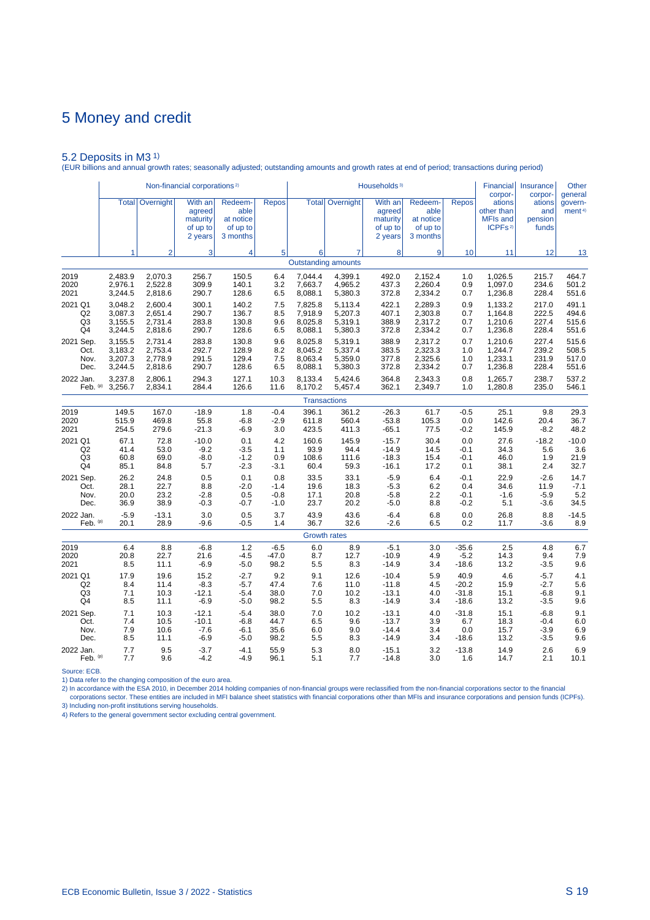5.2 Deposits in M3 1) (EUR billions and annual growth rates; seasonally adjusted; outstanding amounts and growth rates at end of period; transactions during period)

|                |         |                        | Non-financial corporations <sup>2)</sup>             |                                                      |              |         |                                              | Households <sup>3)</sup>                             |                                                      |              | <b>Financial</b><br>corpor-                                    | Insurance<br>corpor-              | Other<br>general              |
|----------------|---------|------------------------|------------------------------------------------------|------------------------------------------------------|--------------|---------|----------------------------------------------|------------------------------------------------------|------------------------------------------------------|--------------|----------------------------------------------------------------|-----------------------------------|-------------------------------|
|                |         | <b>Total</b> Overnight | With an<br>agreed<br>maturity<br>of up to<br>2 years | Redeem-<br>able<br>at notice<br>of up to<br>3 months | <b>Repos</b> |         | <b>Total Overnight</b>                       | With an<br>agreed<br>maturity<br>of up to<br>2 years | Redeem-<br>able<br>at notice<br>of up to<br>3 months | <b>Repos</b> | ations<br>other than<br><b>MFIs and</b><br>ICPFs <sup>2)</sup> | ations<br>and<br>pension<br>funds | govern-<br>ment <sup>4)</sup> |
|                | 1       | $\overline{2}$         | 3                                                    | 4                                                    | 5            | 6       | $\overline{7}$<br><b>Outstanding amounts</b> | 8                                                    | 9                                                    | 10           | 11                                                             | 12                                | 13                            |
|                |         |                        |                                                      |                                                      |              |         |                                              |                                                      |                                                      |              |                                                                |                                   |                               |
| 2019           | 2,483.9 | 2,070.3                | 256.7                                                | 150.5                                                | 6.4          | 7,044.4 | 4,399.1                                      | 492.0                                                | 2,152.4                                              | 1.0          | 1,026.5                                                        | 215.7                             | 464.7                         |
| 2020           | 2,976.1 | 2,522.8                | 309.9                                                | 140.1                                                | 3.2          | 7,663.7 | 4,965.2                                      | 437.3                                                | 2,260.4                                              | 0.9          | 1,097.0                                                        | 234.6                             | 501.2                         |
| 2021           | 3,244.5 | 2,818.6                | 290.7                                                | 128.6                                                | 6.5          | 8,088.1 | 5,380.3                                      | 372.8                                                | 2,334.2                                              | 0.7          | 1,236.8                                                        | 228.4                             | 551.6                         |
| 2021 Q1        | 3,048.2 | 2,600.4                | 300.1                                                | 140.2                                                | 7.5          | 7,825.8 | 5,113.4                                      | 422.1                                                | 2,289.3                                              | 0.9          | 1,133.2                                                        | 217.0                             | 491.1                         |
| Q <sub>2</sub> | 3.087.3 | 2.651.4                | 290.7                                                | 136.7                                                | 8.5          | 7,918.9 | 5,207.3                                      | 407.1                                                | 2.303.8                                              | 0.7          | 1,164.8                                                        | 222.5                             | 494.6                         |
| Q <sub>3</sub> | 3,155.5 | 2,731.4                | 283.8                                                | 130.8                                                | 9.6          | 8,025.8 | 5,319.1                                      | 388.9                                                | 2,317.2                                              | 0.7          | 1,210.6                                                        | 227.4                             | 515.6                         |
| Q4             | 3,244.5 | 2,818.6                | 290.7                                                | 128.6                                                | 6.5          | 8,088.1 | 5,380.3                                      | 372.8                                                | 2,334.2                                              | 0.7          | 1,236.8                                                        | 228.4                             | 551.6                         |
| 2021 Sep.      | 3,155.5 | 2,731.4                | 283.8                                                | 130.8                                                | 9.6          | 8,025.8 | 5,319.1                                      | 388.9                                                | 2,317.2                                              | 0.7          | 1,210.6                                                        | 227.4                             | 515.6                         |
| Oct.           | 3,183.2 | 2,753.4                | 292.7                                                | 128.9                                                | 8.2          | 8,045.2 | 5,337.4                                      | 383.5                                                | 2,323.3                                              | 1.0          | 1,244.7                                                        | 239.2                             | 508.5                         |
| Nov.           | 3,207.3 | 2,778.9                | 291.5                                                | 129.4                                                | 7.5          | 8,063.4 | 5,359.0                                      | 377.8                                                | 2,325.6                                              | 1.0          | 1,233.1                                                        | 231.9                             | 517.0                         |
| Dec.           | 3,244.5 | 2,818.6                | 290.7                                                | 128.6                                                | 6.5          | 8,088.1 | 5,380.3                                      | 372.8                                                | 2,334.2                                              | 0.7          | 1,236.8                                                        | 228.4                             | 551.6                         |
| 2022 Jan.      | 3,237.8 | 2,806.1                | 294.3                                                | 127.1                                                | 10.3         | 8,133.4 | 5,424.6                                      | 364.8                                                | 2,343.3                                              | 0.8          | 1,265.7                                                        | 238.7                             | 537.2                         |
| Feb. (p)       | 3,256.7 | 2,834.1                | 284.4                                                | 126.6                                                | 11.6         | 8,170.2 | 5,457.4                                      | 362.1                                                | 2,349.7                                              | 1.0          | 1,280.8                                                        | 235.0                             | 546.1                         |
|                |         |                        |                                                      |                                                      |              |         | <b>Transactions</b>                          |                                                      |                                                      |              |                                                                |                                   |                               |
| 2019           | 149.5   | 167.0                  | $-18.9$                                              | 1.8                                                  | $-0.4$       | 396.1   | 361.2                                        | $-26.3$                                              | 61.7                                                 | $-0.5$       | 25.1                                                           | 9.8                               | 29.3                          |
| 2020           | 515.9   | 469.8                  | 55.8                                                 | $-6.8$                                               | $-2.9$       | 611.8   | 560.4                                        | $-53.8$                                              | 105.3                                                | 0.0          | 142.6                                                          | 20.4                              | 36.7                          |
| 2021           | 254.5   | 279.6                  | $-21.3$                                              | -6.9                                                 | 3.0          | 423.5   | 411.3                                        | $-65.1$                                              | 77.5                                                 | $-0.2$       | 145.9                                                          | $-8.2$                            | 48.2                          |
| 2021 Q1        | 67.1    | 72.8                   | $-10.0$                                              | 0.1                                                  | 4.2          | 160.6   | 145.9                                        | $-15.7$                                              | 30.4                                                 | 0.0          | 27.6                                                           | $-18.2$                           | $-10.0$                       |
| Q2             | 41.4    | 53.0                   | $-9.2$                                               | $-3.5$                                               | 1.1          | 93.9    | 94.4                                         | $-14.9$                                              | 14.5                                                 | $-0.1$       | 34.3                                                           | 5.6                               | 3.6                           |
| Q3             | 60.8    | 69.0                   | $-8.0$                                               | $-1.2$                                               | 0.9          | 108.6   | 111.6                                        | $-18.3$                                              | 15.4                                                 | $-0.1$       | 46.0                                                           | 1.9                               | 21.9                          |
| Q4             | 85.1    | 84.8                   | 5.7                                                  | $-2.3$                                               | $-3.1$       | 60.4    | 59.3                                         | $-16.1$                                              | 17.2                                                 | 0.1          | 38.1                                                           | 2.4                               | 32.7                          |
| 2021 Sep.      | 26.2    | 24.8                   | 0.5                                                  | 0.1                                                  | 0.8          | 33.5    | 33.1                                         | $-5.9$                                               | 6.4                                                  | $-0.1$       | 22.9                                                           | $-2.6$                            | 14.7                          |
| Oct.           | 28.1    | 22.7                   | 8.8                                                  | $-2.0$                                               | $-1.4$       | 19.6    | 18.3                                         | $-5.3$                                               | 6.2                                                  | 0.4          | 34.6                                                           | 11.9                              | $-7.1$                        |
| Nov.           | 20.0    | 23.2                   | $-2.8$                                               | 0.5                                                  | $-0.8$       | 17.1    | 20.8                                         | $-5.8$                                               | 2.2                                                  | $-0.1$       | $-1.6$                                                         | $-5.9$                            | 5.2                           |
| Dec.           | 36.9    | 38.9                   | $-0.3$                                               | $-0.7$                                               | $-1.0$       | 23.7    | 20.2                                         | $-5.0$                                               | 8.8                                                  | $-0.2$       | 5.1                                                            | $-3.6$                            | 34.5                          |
| 2022 Jan.      | $-5.9$  | $-13.1$                | 3.0                                                  | 0.5                                                  | 3.7          | 43.9    | 43.6                                         | $-6.4$                                               | 6.8                                                  | 0.0          | 26.8                                                           | 8.8                               | $-14.5$                       |
| Feb. $(p)$     | 20.1    | 28.9                   | $-9.6$                                               | $-0.5$                                               | 1.4          | 36.7    | 32.6                                         | $-2.6$                                               | 6.5                                                  | 0.2          | 11.7                                                           | $-3.6$                            | 8.9                           |
|                |         |                        |                                                      |                                                      |              |         | <b>Growth rates</b>                          |                                                      |                                                      |              |                                                                |                                   |                               |
| 2019           | 6.4     | 8.8                    | $-6.8$                                               | 1.2                                                  | $-6.5$       | 6.0     | 8.9                                          | $-5.1$                                               | 3.0                                                  | $-35.6$      | 2.5                                                            | 4.8                               | 6.7                           |
| 2020           | 20.8    | 22.7                   | 21.6                                                 | $-4.5$                                               | $-47.0$      | 8.7     | 12.7                                         | $-10.9$                                              | 4.9                                                  | $-5.2$       | 14.3                                                           | 9.4                               | 7.9                           |
| 2021           | 8.5     | 11.1                   | $-6.9$                                               | $-5.0$                                               | 98.2         | 5.5     | 8.3                                          | $-14.9$                                              | 3.4                                                  | $-18.6$      | 13.2                                                           | $-3.5$                            | 9.6                           |
| 2021 Q1        | 17.9    | 19.6                   | 15.2                                                 | $-2.7$                                               | 9.2          | 9.1     | 12.6                                         | $-10.4$                                              | 5.9                                                  | 40.9         | 4.6                                                            | $-5.7$                            | 4.1                           |
| Q2             | 8.4     | 11.4                   | $-8.3$                                               | $-5.7$                                               | 47.4         | 7.6     | 11.0                                         | $-11.8$                                              | 4.5                                                  | $-20.2$      | 15.9                                                           | $-2.7$                            | 5.6                           |
| Q <sub>3</sub> | 7.1     | 10.3                   | $-12.1$                                              | $-5.4$                                               | 38.0         | 7.0     | 10.2                                         | $-13.1$                                              | 4.0                                                  | $-31.8$      | 15.1                                                           | $-6.8$                            | 9.1                           |
| Q4             | 8.5     | 11.1                   | $-6.9$                                               | $-5.0$                                               | 98.2         | 5.5     | 8.3                                          | $-14.9$                                              | 3.4                                                  | $-18.6$      | 13.2                                                           | $-3.5$                            | 9.6                           |
| 2021 Sep.      | 7.1     | 10.3                   | $-12.1$                                              | $-5.4$                                               | 38.0         | 7.0     | 10.2                                         | $-13.1$                                              | 4.0                                                  | $-31.8$      | 15.1                                                           | $-6.8$                            | 9.1                           |
| Oct.           | 7.4     | 10.5                   | $-10.1$                                              | $-6.8$                                               | 44.7         | 6.5     | 9.6                                          | $-13.7$                                              | 3.9                                                  | 6.7          | 18.3                                                           | $-0.4$                            | 6.0                           |
| Nov.           | 7.9     | 10.6                   | $-7.6$                                               | $-6.1$                                               | 35.6         | 6.0     | 9.0                                          | $-14.4$                                              | 3.4                                                  | 0.0          | 15.7                                                           | $-3.9$                            | 6.9                           |
| Dec.           | 8.5     | 11.1                   | $-6.9$                                               | $-5.0$                                               | 98.2         | 5.5     | 8.3                                          | $-14.9$                                              | 3.4                                                  | $-18.6$      | 13.2                                                           | $-3.5$                            | 9.6                           |
| 2022 Jan.      | 7.7     | 9.5                    | $-3.7$                                               | $-4.1$                                               | 55.9         | 5.3     | 8.0                                          | $-15.1$                                              | 3.2                                                  | $-13.8$      | 14.9                                                           | 2.6                               | 6.9                           |
| Feb. (p)       | 7.7     | 9.6                    | $-4.2$                                               | $-4.9$                                               | 96.1         | 5.1     | 7.7                                          | $-14.8$                                              | 3.0                                                  | 1.6          | 14.7                                                           | 2.1                               | 10.1                          |

Source: ECB.

1) Data refer to the changing composition of the euro area.

2) In accordance with the ESA 2010, in December 2014 holding companies of non-financial groups were reclassified from the non-financial corporations sector to the financial<br>- corporations sector. These entities are include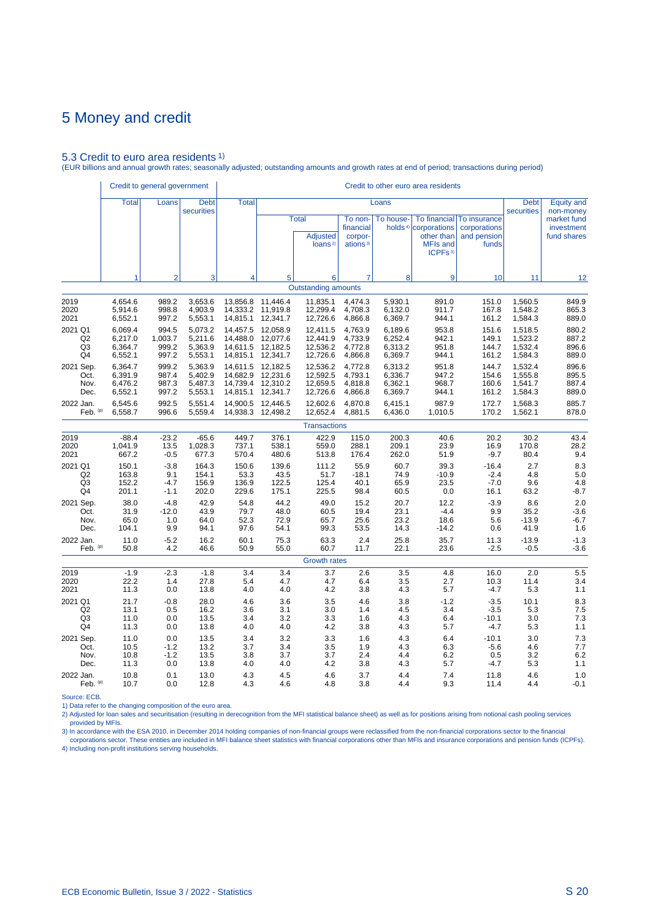#### 5.3 Credit to euro area residents 1)

(EUR billions and annual growth rates; seasonally adjusted; outstanding amounts and growth rates at end of period; transactions during period)

|                | Credit to general government |                |                           |              |          |                                                        |                                                         |           | Credit to other euro area residents                                                                      |                                                      |                           |                                          |
|----------------|------------------------------|----------------|---------------------------|--------------|----------|--------------------------------------------------------|---------------------------------------------------------|-----------|----------------------------------------------------------------------------------------------------------|------------------------------------------------------|---------------------------|------------------------------------------|
|                | <b>Total</b>                 | Loans          | <b>Debt</b><br>securities | <b>Total</b> |          |                                                        |                                                         | Loans     |                                                                                                          |                                                      | <b>Debt</b><br>securities | <b>Equity and</b><br>non-money           |
|                |                              |                |                           |              |          | <b>Total</b><br><b>Adjusted</b><br>loans <sup>2)</sup> | To non-<br>financial<br>corpor-<br>ations <sup>3)</sup> | To house- | To financial<br>holds <sup>4)</sup> corporations<br>other than<br><b>MFIs and</b><br>ICPFs <sup>3)</sup> | To insurance<br>corporations<br>and pension<br>funds |                           | market fund<br>investment<br>fund shares |
|                | 1                            | $\overline{2}$ | 3                         | 4            | 5        | 6                                                      | 7                                                       | 8         | 9                                                                                                        | 10                                                   | 11                        | 12                                       |
|                |                              |                |                           |              |          | <b>Outstanding amounts</b>                             |                                                         |           |                                                                                                          |                                                      |                           |                                          |
| 2019           | 4,654.6                      | 989.2          | 3,653.6                   | 13,856.8     | 11,446.4 | 11,835.1                                               | 4,474.3                                                 | 5,930.1   | 891.0                                                                                                    | 151.0                                                | 1,560.5                   | 849.9                                    |
| 2020           | 5,914.6                      | 998.8          | 4,903.9                   | 14,333.2     | 11,919.8 | 12,299.4                                               | 4,708.3                                                 | 6,132.0   | 911.7                                                                                                    | 167.8                                                | 1,548.2                   | 865.3                                    |
| 2021           | 6,552.1                      | 997.2          | 5,553.1                   | 14,815.1     | 12,341.7 | 12,726.6                                               | 4,866.8                                                 | 6,369.7   | 944.1                                                                                                    | 161.2                                                | 1,584.3                   | 889.0                                    |
| 2021 Q1        | 6,069.4                      | 994.5          | 5,073.2                   | 14,457.5     | 12,058.9 | 12,411.5                                               | 4,763.9                                                 | 6,189.6   | 953.8                                                                                                    | 151.6                                                | 1,518.5                   | 880.2                                    |
| Q <sub>2</sub> | 6,217.0                      | 1,003.7        | 5,211.6                   | 14,488.0     | 12,077.6 | 12,441.9                                               | 4,733.9                                                 | 6,252.4   | 942.1                                                                                                    | 149.1                                                | 1,523.2                   | 887.2                                    |
| Q3             | 6,364.7                      | 999.2          | 5,363.9                   | 14,611.5     | 12,182.5 | 12,536.2                                               | 4,772.8                                                 | 6,313.2   | 951.8                                                                                                    | 144.7                                                | 1,532.4                   | 896.6                                    |
| Q4             | 6,552.1                      | 997.2          | 5,553.1                   | 14,815.1     | 12,341.7 | 12,726.6                                               | 4,866.8                                                 | 6,369.7   | 944.1                                                                                                    | 161.2                                                | 1,584.3                   | 889.0                                    |
| 2021 Sep.      | 6.364.7                      | 999.2          | 5.363.9                   | 14,611.5     | 12,182.5 | 12,536.2                                               | 4.772.8                                                 | 6,313.2   | 951.8                                                                                                    | 144.7                                                | 1,532.4                   | 896.6                                    |
| Oct.           | 6,391.9                      | 987.4          | 5,402.9                   | 14,682.9     | 12,231.6 | 12,592.5                                               | 4,793.1                                                 | 6,336.7   | 947.2                                                                                                    | 154.6                                                | 1,555.8                   | 895.5                                    |
| Nov.           | 6,476.2                      | 987.3          | 5,487.3                   | 14,739.4     | 12,310.2 | 12,659.5                                               | 4,818.8                                                 | 6,362.1   | 968.7                                                                                                    | 160.6                                                | 1,541.7                   | 887.4                                    |
| Dec.           | 6,552.1                      | 997.2          | 5,553.1                   | 14,815.1     | 12,341.7 | 12,726.6                                               | 4,866.8                                                 | 6,369.7   | 944.1                                                                                                    | 161.2                                                | 1,584.3                   | 889.0                                    |
| 2022 Jan.      | 6,545.6                      | 992.5          | 5,551.4                   | 14.900.5     | 12.446.5 | 12,602.6                                               | 4.870.8                                                 | 6.415.1   | 987.9                                                                                                    | 172.7                                                | 1,568.3                   | 885.7                                    |
| Feb. (p)       | 6,558.7                      | 996.6          | 5,559.4                   | 14,938.3     | 12,498.2 | 12,652.4                                               | 4,881.5                                                 | 6,436.0   | 1,010.5                                                                                                  | 170.2                                                | 1,562.1                   | 878.0                                    |
|                |                              |                |                           |              |          | <b>Transactions</b>                                    |                                                         |           |                                                                                                          |                                                      |                           |                                          |
| 2019           | $-88.4$                      | $-23.2$        | $-65.6$                   | 449.7        | 376.1    | 422.9                                                  | 115.0                                                   | 200.3     | 40.6                                                                                                     | 20.2                                                 | 30.2                      | 43.4                                     |
| 2020           | 1,041.9                      | 13.5           | 1,028.3                   | 737.1        | 538.1    | 559.0                                                  | 288.1                                                   | 209.1     | 23.9                                                                                                     | 16.9                                                 | 170.8                     | 28.2                                     |
| 2021           | 667.2                        | $-0.5$         | 677.3                     | 570.4        | 480.6    | 513.8                                                  | 176.4                                                   | 262.0     | 51.9                                                                                                     | $-9.7$                                               | 80.4                      | 9.4                                      |
| 2021 Q1        | 150.1                        | $-3.8$         | 164.3                     | 150.6        | 139.6    | 111.2                                                  | 55.9                                                    | 60.7      | 39.3                                                                                                     | $-16.4$                                              | 2.7                       | 8.3                                      |
| Q <sub>2</sub> | 163.8                        | 9.1            | 154.1                     | 53.3         | 43.5     | 51.7                                                   | $-18.1$                                                 | 74.9      | $-10.9$                                                                                                  | $-2.4$                                               | 4.8                       | 5.0                                      |
| Q3             | 152.2                        | $-4.7$         | 156.9                     | 136.9        | 122.5    | 125.4                                                  | 40.1                                                    | 65.9      | 23.5                                                                                                     | $-7.0$                                               | 9.6                       | 4.8                                      |
| Q4             | 201.1                        | $-1.1$         | 202.0                     | 229.6        | 175.1    | 225.5                                                  | 98.4                                                    | 60.5      | 0.0                                                                                                      | 16.1                                                 | 63.2                      | $-8.7$                                   |
| 2021 Sep.      | 38.0                         | $-4.8$         | 42.9                      | 54.8         | 44.2     | 49.0                                                   | 15.2                                                    | 20.7      | 12.2                                                                                                     | $-3.9$                                               | 8.6                       | 2.0                                      |
| Oct.           | 31.9                         | $-12.0$        | 43.9                      | 79.7         | 48.0     | 60.5                                                   | 19.4                                                    | 23.1      | $-4.4$                                                                                                   | 9.9                                                  | 35.2                      | $-3.6$                                   |
| Nov.           | 65.0                         | 1.0            | 64.0                      | 52.3         | 72.9     | 65.7                                                   | 25.6                                                    | 23.2      | 18.6                                                                                                     | 5.6                                                  | $-13.9$                   | $-6.7$                                   |
| Dec.           | 104.1                        | 9.9            | 94.1                      | 97.6         | 54.1     | 99.3                                                   | 53.5                                                    | 14.3      | $-14.2$                                                                                                  | 0.6                                                  | 41.9                      | 1.6                                      |
| 2022 Jan.      | 11.0                         | $-5.2$         | 16.2                      | 60.1         | 75.3     | 63.3                                                   | 2.4                                                     | 25.8      | 35.7                                                                                                     | 11.3                                                 | $-13.9$                   | $-1.3$                                   |
| Feb. (p)       | 50.8                         | 4.2            | 46.6                      | 50.9         | 55.0     | 60.7                                                   | 11.7                                                    | 22.1      | 23.6                                                                                                     | $-2.5$                                               | $-0.5$                    | $-3.6$                                   |
|                |                              |                |                           |              |          | <b>Growth rates</b>                                    |                                                         |           |                                                                                                          |                                                      |                           |                                          |
| 2019           | $-1.9$                       | $-2.3$         | $-1.8$                    | 3.4          | 3.4      | 3.7                                                    | 2.6                                                     | 3.5       | 4.8                                                                                                      | 16.0                                                 | 2.0                       | 5.5                                      |
| 2020           | 22.2                         | 1.4            | 27.8                      | 5.4          | 4.7      | 4.7                                                    | 6.4                                                     | 3.5       | 2.7                                                                                                      | 10.3                                                 | 11.4                      | 3.4                                      |
| 2021           | 11.3                         | 0.0            | 13.8                      | 4.0          | 4.0      | 4.2                                                    | 3.8                                                     | 4.3       | 5.7                                                                                                      | $-4.7$                                               | 5.3                       | 1.1                                      |
| 2021 Q1        | 21.7                         | $-0.8$         | 28.0                      | 4.6          | 3.6      | 3.5                                                    | 4.6                                                     | 3.8       | $-1.2$                                                                                                   | $-3.5$                                               | 10.1                      | 8.3                                      |
| Q <sub>2</sub> | 13.1                         | 0.5            | 16.2                      | 3.6          | 3.1      | 3.0                                                    | 1.4                                                     | 4.5       | 3.4                                                                                                      | $-3.5$                                               | 5.3                       | 7.5                                      |
| Q3             | 11.0                         | 0.0            | 13.5                      | 3.4          | 3.2      | 3.3                                                    | 1.6                                                     | 4.3       | 6.4                                                                                                      | $-10.1$                                              | 3.0                       | 7.3                                      |
| Q4             | 11.3                         | 0.0            | 13.8                      | 4.0          | 4.0      | 4.2                                                    | 3.8                                                     | 4.3       | 5.7                                                                                                      | $-4.7$                                               | 5.3                       | 1.1                                      |
| 2021 Sep.      | 11.0                         | 0.0            | 13.5                      | 3.4          | 3.2      | 3.3                                                    | 1.6                                                     | 4.3       | 6.4                                                                                                      | $-10.1$                                              | 3.0                       | 7.3                                      |
| Oct.           | 10.5                         | $-1.2$         | 13.2                      | 3.7          | 3.4      | 3.5                                                    | 1.9                                                     | 4.3       | 6.3                                                                                                      | $-5.6$                                               | 4.6                       | 7.7                                      |
| Nov.           | 10.8                         | $-1.2$         | 13.5                      | 3.8          | 3.7      | 3.7                                                    | 2.4                                                     | 4.4       | 6.2                                                                                                      | 0.5                                                  | 3.2                       | 6.2                                      |
| Dec.           | 11.3                         | 0.0            | 13.8                      | 4.0          | 4.0      | 4.2                                                    | 3.8                                                     | 4.3       | 5.7                                                                                                      | $-4.7$                                               | 5.3                       | 1.1                                      |
| 2022 Jan.      | 10.8                         | 0.1            | 13.0                      | 4.3          | 4.5      | 4.6                                                    | 3.7                                                     | 4.4       | 7.4                                                                                                      | 11.8                                                 | 4.6                       | 1.0                                      |
| Feb. (p)       | 10.7                         | 0.0            | 12.8                      | 4.3          | 4.6      | 4.8                                                    | 3.8                                                     | 4.4       | 9.3                                                                                                      | 11.4                                                 | 4.4                       | $-0.1$                                   |

Source: ECB.

1) Data refer to the changing composition of the euro area.

2) Adjusted for loan sales and securitisation (resulting in derecognition from the MFI statistical balance sheet) as well as for positions arising from notional cash pooling services provided by MFIs.

3) In accordance with the ESA 2010, in December 2014 holding companies of non-financial groups were reclassified from the non-financial corporations sector to the financial<br>Corporations sector. These entities are included 4) Including non-profit institutions serving households.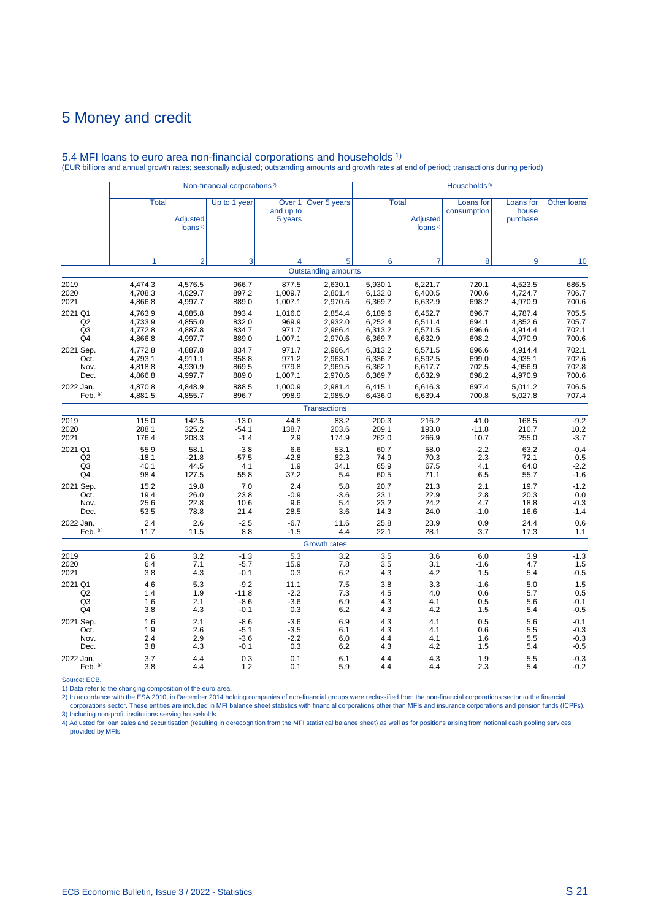|                |              |                                        | Non-financial corporations <sup>2)</sup> |                                           |                            |         |                                                        | Households <sup>3)</sup> |                                |                    |
|----------------|--------------|----------------------------------------|------------------------------------------|-------------------------------------------|----------------------------|---------|--------------------------------------------------------|--------------------------|--------------------------------|--------------------|
|                | <b>Total</b> | <b>Adjusted</b><br>loans <sup>4)</sup> | Up to 1 year                             | Over <sub>1</sub><br>and up to<br>5 years | Over 5 years               |         | <b>Total</b><br><b>Adjusted</b><br>loans <sup>4)</sup> | Loans for<br>consumption | Loans for<br>house<br>purchase | <b>Other loans</b> |
|                | 1            | $\overline{2}$                         | 3                                        | $\overline{4}$                            | 5                          | 6       | $\overline{7}$                                         | 8                        | 9                              | 10                 |
|                |              |                                        |                                          |                                           | <b>Outstanding amounts</b> |         |                                                        |                          |                                |                    |
| 2019           | 4,474.3      | 4,576.5                                | 966.7                                    | 877.5                                     | 2,630.1                    | 5,930.1 | 6,221.7                                                | 720.1                    | 4,523.5                        | 686.5              |
| 2020           | 4,708.3      | 4,829.7                                | 897.2                                    | 1,009.7                                   | 2,801.4                    | 6,132.0 | 6,400.5                                                | 700.6                    | 4,724.7                        | 706.7              |
| 2021           | 4,866.8      | 4,997.7                                | 889.0                                    | 1,007.1                                   | 2,970.6                    | 6,369.7 | 6,632.9                                                | 698.2                    | 4,970.9                        | 700.6              |
| 2021 Q1        | 4,763.9      | 4,885.8                                | 893.4                                    | 1,016.0                                   | 2,854.4                    | 6,189.6 | 6,452.7                                                | 696.7                    | 4,787.4                        | 705.5              |
| Q2             | 4,733.9      | 4,855.0                                | 832.0                                    | 969.9                                     | 2,932.0                    | 6,252.4 | 6,511.4                                                | 694.1                    | 4,852.6                        | 705.7              |
| Q <sub>3</sub> | 4,772.8      | 4,887.8                                | 834.7                                    | 971.7                                     | 2,966.4                    | 6,313.2 | 6,571.5                                                | 696.6                    | 4,914.4                        | 702.1              |
| Q4             | 4,866.8      | 4,997.7                                | 889.0                                    | 1,007.1                                   | 2,970.6                    | 6,369.7 | 6,632.9                                                | 698.2                    | 4,970.9                        | 700.6              |
| 2021 Sep.      | 4,772.8      | 4,887.8                                | 834.7                                    | 971.7                                     | 2,966.4                    | 6,313.2 | 6,571.5                                                | 696.6                    | 4,914.4                        | 702.1              |
| Oct.           | 4,793.1      | 4,911.1                                | 858.8                                    | 971.2                                     | 2,963.1                    | 6,336.7 | 6,592.5                                                | 699.0                    | 4,935.1                        | 702.6              |
| Nov.           | 4,818.8      | 4,930.9                                | 869.5                                    | 979.8                                     | 2,969.5                    | 6,362.1 | 6,617.7                                                | 702.5                    | 4,956.9                        | 702.8              |
| Dec.           | 4,866.8      | 4,997.7                                | 889.0                                    | 1,007.1                                   | 2,970.6                    | 6,369.7 | 6,632.9                                                | 698.2                    | 4,970.9                        | 700.6              |
| 2022 Jan.      | 4,870.8      | 4,848.9                                | 888.5                                    | 1,000.9                                   | 2,981.4                    | 6,415.1 | 6,616.3                                                | 697.4                    | 5,011.2                        | 706.5              |
| Feb. (p)       | 4,881.5      | 4,855.7                                | 896.7                                    | 998.9                                     | 2,985.9                    | 6,436.0 | 6,639.4                                                | 700.8                    | 5,027.8                        | 707.4              |
|                |              |                                        |                                          |                                           | <b>Transactions</b>        |         |                                                        |                          |                                |                    |
| 2019           | 115.0        | 142.5                                  | $-13.0$                                  | 44.8                                      | 83.2                       | 200.3   | 216.2                                                  | 41.0                     | 168.5                          | $-9.2$             |
| 2020           | 288.1        | 325.2                                  | $-54.1$                                  | 138.7                                     | 203.6                      | 209.1   | 193.0                                                  | $-11.8$                  | 210.7                          | 10.2               |
| 2021           | 176.4        | 208.3                                  | $-1.4$                                   | 2.9                                       | 174.9                      | 262.0   | 266.9                                                  | 10.7                     | 255.0                          | $-3.7$             |
| 2021 Q1        | 55.9         | 58.1                                   | $-3.8$                                   | 6.6                                       | 53.1                       | 60.7    | 58.0                                                   | $-2.2$                   | 63.2                           | $-0.4$             |
| Q2             | $-18.1$      | $-21.8$                                | $-57.5$                                  | $-42.8$                                   | 82.3                       | 74.9    | 70.3                                                   | 2.3                      | 72.1                           | 0.5                |
| Q <sub>3</sub> | 40.1         | 44.5                                   | 4.1                                      | 1.9                                       | 34.1                       | 65.9    | 67.5                                                   | 4.1                      | 64.0                           | $-2.2$             |
| Q4             | 98.4         | 127.5                                  | 55.8                                     | 37.2                                      | 5.4                        | 60.5    | 71.1                                                   | 6.5                      | 55.7                           | $-1.6$             |
| 2021 Sep.      | 15.2         | 19.8                                   | 7.0                                      | 2.4                                       | 5.8                        | 20.7    | 21.3                                                   | 2.1                      | 19.7                           | $-1.2$             |
| Oct.           | 19.4         | 26.0                                   | 23.8                                     | $-0.9$                                    | $-3.6$                     | 23.1    | 22.9                                                   | 2.8                      | 20.3                           | 0.0                |
| Nov.           | 25.6         | 22.8                                   | 10.6                                     | 9.6                                       | 5.4                        | 23.2    | 24.2                                                   | 4.7                      | 18.8                           | $-0.3$             |
| Dec.           | 53.5         | 78.8                                   | 21.4                                     | 28.5                                      | 3.6                        | 14.3    | 24.0                                                   | $-1.0$                   | 16.6                           | $-1.4$             |
| 2022 Jan.      | 2.4          | 2.6                                    | $-2.5$                                   | $-6.7$                                    | 11.6                       | 25.8    | 23.9                                                   | 0.9                      | 24.4                           | 0.6                |
| Feb. $(p)$     | 11.7         | 11.5                                   | 8.8                                      | $-1.5$                                    | 4.4                        | 22.1    | 28.1                                                   | 3.7                      | 17.3                           | 1.1                |
|                |              |                                        |                                          |                                           | <b>Growth rates</b>        |         |                                                        |                          |                                |                    |
| 2019           | 2.6          | 3.2                                    | $-1.3$                                   | 5.3                                       | 3.2                        | 3.5     | 3.6                                                    | 6.0                      | 3.9                            | $-1.3$             |
| 2020           | 6.4          | 7.1                                    | $-5.7$                                   | 15.9                                      | 7.8                        | 3.5     | 3.1                                                    | $-1.6$                   | 4.7                            | 1.5                |
| 2021           | 3.8          | 4.3                                    | $-0.1$                                   | 0.3                                       | 6.2                        | 4.3     | 4.2                                                    | 1.5                      | 5.4                            | $-0.5$             |
| 2021 Q1        | 4.6          | 5.3                                    | $-9.2$                                   | 11.1                                      | 7.5                        | 3.8     | 3.3                                                    | $-1.6$                   | 5.0                            | 1.5                |
| Q2             | 1.4          | 1.9                                    | $-11.8$                                  | $-2.2$                                    | 7.3                        | 4.5     | 4.0                                                    | 0.6                      | 5.7                            | 0.5                |
| Q3             | 1.6          | 2.1                                    | $-8.6$                                   | $-3.6$                                    | 6.9                        | 4.3     | 4.1                                                    | 0.5                      | 5.6                            | $-0.1$             |
| Q4             | 3.8          | 4.3                                    | $-0.1$                                   | 0.3                                       | 6.2                        | 4.3     | 4.2                                                    | 1.5                      | 5.4                            | $-0.5$             |
| 2021 Sep.      | 1.6          | 2.1                                    | $-8.6$                                   | $-3.6$                                    | 6.9                        | 4.3     | 4.1                                                    | 0.5                      | 5.6                            | $-0.1$             |
| Oct.           | 1.9          | 2.6                                    | $-5.1$                                   | $-3.5$                                    | 6.1                        | 4.3     | 4.1                                                    | 0.6                      | 5.5                            | $-0.3$             |
| Nov.           | 2.4          | 2.9                                    | $-3.6$                                   | $-2.2$                                    | 6.0                        | 4.4     | 4.1                                                    | 1.6                      | 5.5                            | $-0.3$             |
| Dec.           | 3.8          | 4.3                                    | $-0.1$                                   | 0.3                                       | 6.2                        | 4.3     | 4.2                                                    | 1.5                      | 5.4                            | $-0.5$             |
| 2022 Jan.      | 3.7          | 4.4                                    | 0.3                                      | 0.1                                       | 6.1                        | 4.4     | 4.3                                                    | 1.9                      | 5.5                            | $-0.3$             |
| Feb. (p)       | 3.8          | 4.4                                    | 1.2                                      | 0.1                                       | 5.9                        | 4.4     | 4.4                                                    | 2.3                      | 5.4                            | $-0.2$             |

#### 5.4 MFI loans to euro area non-financial corporations and households 1) (EUR billions and annual growth rates; seasonally adjusted; outstanding amounts and growth rates at end of period; transactions during period)

Source: ECB.<br>2) Data refer to the changing composition of the euro area.<br>2) In accordance with the ESA 2010, in December 2014 holding companies of non-financial groups were reclassified from the non-financial corporations 3) Including non-profit institutions serving households.

4) Adjusted for loan sales and securitisation (resulting in derecognition from the MFI statistical balance sheet) as well as for positions arising from notional cash pooling services provided by MFIs.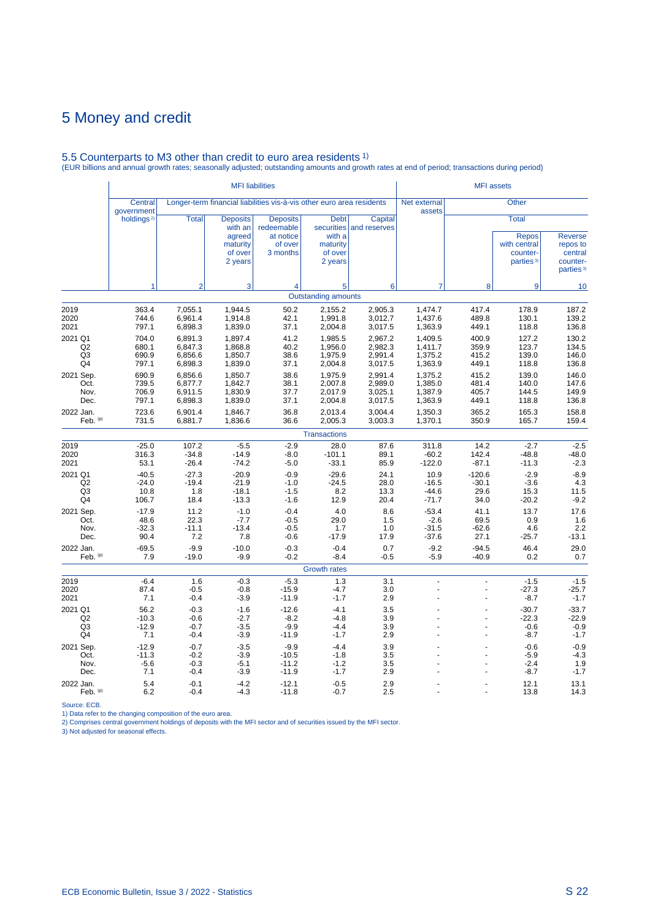# 5.5 Counterparts to M3 other than credit to euro area residents 1) (EUR billions and annual growth rates; seasonally adjusted; outstanding amounts and growth rates at end of period; transactions during period)

|                                       |                                     |                                          | <b>MFI</b> liabilities                                                 |                                                                       |                                                                       |                                          |                                          | <b>MFI</b> assets                   |                                                                                   |                                                                            |
|---------------------------------------|-------------------------------------|------------------------------------------|------------------------------------------------------------------------|-----------------------------------------------------------------------|-----------------------------------------------------------------------|------------------------------------------|------------------------------------------|-------------------------------------|-----------------------------------------------------------------------------------|----------------------------------------------------------------------------|
|                                       | Central<br>government               |                                          |                                                                        | Longer-term financial liabilities vis-à-vis other euro area residents |                                                                       |                                          | Net external<br>assets                   |                                     | <b>Other</b>                                                                      |                                                                            |
|                                       | holdings <sup>2)</sup>              | <b>Total</b>                             | <b>Deposits</b><br>with an<br>agreed<br>maturity<br>of over<br>2 years | <b>Deposits</b><br>redeemable<br>at notice<br>of over<br>3 months     | <b>Debt</b><br>securities<br>with a<br>maturity<br>of over<br>2 years | Capital<br>and reserves                  |                                          |                                     | <b>Total</b><br><b>Repos</b><br>with central<br>counter-<br>parties <sup>3)</sup> | <b>Reverse</b><br>repos to<br>central<br>counter-<br>parties <sup>3)</sup> |
|                                       | 1                                   | $\overline{2}$                           | 3                                                                      | $\overline{4}$                                                        | 5                                                                     | 6                                        | $\overline{7}$                           | 8                                   | 9                                                                                 | 10                                                                         |
|                                       |                                     |                                          |                                                                        |                                                                       | <b>Outstanding amounts</b>                                            |                                          |                                          |                                     |                                                                                   |                                                                            |
| 2019<br>2020<br>2021                  | 363.4<br>744.6<br>797.1             | 7,055.1<br>6,961.4<br>6,898.3            | 1,944.5<br>1,914.8<br>1,839.0                                          | 50.2<br>42.1<br>37.1                                                  | 2,155.2<br>1,991.8<br>2,004.8                                         | 2,905.3<br>3,012.7<br>3,017.5            | 1,474.7<br>1,437.6<br>1,363.9            | 417.4<br>489.8<br>449.1             | 178.9<br>130.1<br>118.8                                                           | 187.2<br>139.2<br>136.8                                                    |
| 2021 Q1<br>Q2<br>Q <sub>3</sub><br>Q4 | 704.0<br>680.1<br>690.9<br>797.1    | 6,891.3<br>6,847.3<br>6,856.6<br>6,898.3 | 1,897.4<br>1,868.8<br>1,850.7<br>1,839.0                               | 41.2<br>40.2<br>38.6<br>37.1                                          | 1,985.5<br>1,956.0<br>1,975.9<br>2,004.8                              | 2,967.2<br>2,982.3<br>2,991.4<br>3,017.5 | 1,409.5<br>1,411.7<br>1,375.2<br>1,363.9 | 400.9<br>359.9<br>415.2<br>449.1    | 127.2<br>123.7<br>139.0<br>118.8                                                  | 130.2<br>134.5<br>146.0<br>136.8                                           |
| 2021 Sep.<br>Oct.<br>Nov.<br>Dec.     | 690.9<br>739.5<br>706.9<br>797.1    | 6,856.6<br>6,877.7<br>6,911.5<br>6,898.3 | 1,850.7<br>1,842.7<br>1,830.9<br>1,839.0                               | 38.6<br>38.1<br>37.7<br>37.1                                          | 1,975.9<br>2,007.8<br>2,017.9<br>2,004.8                              | 2,991.4<br>2,989.0<br>3,025.1<br>3,017.5 | 1,375.2<br>1,385.0<br>1,387.9<br>1,363.9 | 415.2<br>481.4<br>405.7<br>449.1    | 139.0<br>140.0<br>144.5<br>118.8                                                  | 146.0<br>147.6<br>149.9<br>136.8                                           |
| 2022 Jan.<br>Feb. (p)                 | 723.6<br>731.5                      | 6,901.4<br>6,881.7                       | 1,846.7<br>1,836.6                                                     | 36.8<br>36.6                                                          | 2,013.4<br>2,005.3                                                    | 3,004.4<br>3,003.3                       | 1,350.3<br>1,370.1                       | 365.2<br>350.9                      | 165.3<br>165.7                                                                    | 158.8<br>159.4                                                             |
|                                       |                                     |                                          |                                                                        |                                                                       | <b>Transactions</b>                                                   |                                          |                                          |                                     |                                                                                   |                                                                            |
| 2019<br>2020<br>2021                  | $-25.0$<br>316.3<br>53.1            | 107.2<br>$-34.8$<br>$-26.4$              | $-5.5$<br>$-14.9$<br>$-74.2$                                           | $-2.9$<br>$-8.0$<br>$-5.0$                                            | 28.0<br>$-101.1$<br>$-33.1$                                           | 87.6<br>89.1<br>85.9                     | 311.8<br>$-60.2$<br>$-122.0$             | 14.2<br>142.4<br>$-87.1$            | $-2.7$<br>$-48.8$<br>$-11.3$                                                      | $-2.5$<br>$-48.0$<br>$-2.3$                                                |
| 2021 Q1<br>Q2<br>Q <sub>3</sub><br>Q4 | $-40.5$<br>$-24.0$<br>10.8<br>106.7 | $-27.3$<br>$-19.4$<br>1.8<br>18.4        | $-20.9$<br>$-21.9$<br>$-18.1$<br>$-13.3$                               | $-0.9$<br>$-1.0$<br>$-1.5$<br>$-1.6$                                  | $-29.6$<br>$-24.5$<br>8.2<br>12.9                                     | 24.1<br>28.0<br>13.3<br>20.4             | 10.9<br>$-16.5$<br>$-44.6$<br>$-71.7$    | $-120.6$<br>$-30.1$<br>29.6<br>34.0 | $-2.9$<br>$-3.6$<br>15.3<br>$-20.2$                                               | $-8.9$<br>4.3<br>11.5<br>$-9.2$                                            |
| 2021 Sep.<br>Oct.<br>Nov.<br>Dec.     | $-17.9$<br>48.6<br>$-32.3$<br>90.4  | 11.2<br>22.3<br>$-11.1$<br>7.2           | $-1.0$<br>$-7.7$<br>$-13.4$<br>7.8                                     | $-0.4$<br>$-0.5$<br>$-0.5$<br>$-0.6$                                  | 4.0<br>29.0<br>1.7<br>$-17.9$                                         | 8.6<br>1.5<br>1.0<br>17.9                | $-53.4$<br>$-2.6$<br>$-31.5$<br>$-37.6$  | 41.1<br>69.5<br>$-62.6$<br>27.1     | 13.7<br>0.9<br>4.6<br>$-25.7$                                                     | 17.6<br>1.6<br>2.2<br>$-13.1$                                              |
| 2022 Jan.<br>Feb. (p)                 | $-69.5$<br>7.9                      | $-9.9$<br>$-19.0$                        | $-10.0$<br>$-9.9$                                                      | $-0.3$<br>$-0.2$                                                      | $-0.4$<br>$-8.4$                                                      | 0.7<br>$-0.5$                            | $-9.2$<br>$-5.9$                         | $-94.5$<br>$-40.9$                  | 46.4<br>0.2                                                                       | 29.0<br>0.7                                                                |
|                                       |                                     |                                          |                                                                        |                                                                       | <b>Growth rates</b>                                                   |                                          |                                          |                                     |                                                                                   |                                                                            |
| 2019<br>2020<br>2021                  | $-6.4$<br>87.4<br>7.1               | 1.6<br>$-0.5$<br>$-0.4$                  | $-0.3$<br>$-0.8$<br>$-3.9$                                             | $-5.3$<br>$-15.9$<br>$-11.9$                                          | 1.3<br>$-4.7$<br>$-1.7$                                               | 3.1<br>3.0<br>2.9                        | $\overline{a}$<br>L                      | ÷.<br>L.                            | $-1.5$<br>-27.3<br>$-8.7$                                                         | $-1.5$<br>$-25.7$<br>$-1.7$                                                |
| 2021 Q1<br>Q2<br>Q <sub>3</sub><br>Q4 | 56.2<br>$-10.3$<br>$-12.9$<br>7.1   | $-0.3$<br>$-0.6$<br>$-0.7$<br>$-0.4$     | $-1.6$<br>$-2.7$<br>$-3.5$<br>$-3.9$                                   | $-12.6$<br>$-8.2$<br>$-9.9$<br>$-11.9$                                | $-4.1$<br>$-4.8$<br>$-4.4$<br>$-1.7$                                  | 3.5<br>3.9<br>3.9<br>2.9                 |                                          |                                     | $-30.7$<br>$-22.3$<br>$-0.6$<br>$-8.7$                                            | $-33.7$<br>$-22.9$<br>$-0.9$<br>$-1.7$                                     |
| 2021 Sep.<br>Oct.<br>Nov.<br>Dec.     | $-12.9$<br>$-11.3$<br>$-5.6$<br>7.1 | $-0.7$<br>$-0.2$<br>$-0.3$<br>$-0.4$     | $-3.5$<br>$-3.9$<br>$-5.1$<br>$-3.9$                                   | $-9.9$<br>$-10.5$<br>$-11.2$<br>$-11.9$                               | $-4.4$<br>$-1.8$<br>$-1.2$<br>$-1.7$                                  | 3.9<br>3.5<br>3.5<br>2.9                 |                                          |                                     | $-0.6$<br>$-5.9$<br>$-2.4$<br>-8.7                                                | $-0.9$<br>$-4.3$<br>1.9<br>$-1.7$                                          |
| 2022 Jan.<br>Feb. (p)                 | 5.4<br>6.2                          | $-0.1$<br>$-0.4$                         | $-4.2$<br>$-4.3$                                                       | $-12.1$<br>$-11.8$                                                    | $-0.5$<br>$-0.7$                                                      | 2.9<br>2.5                               |                                          |                                     | 12.1<br>13.8                                                                      | 13.1<br>14.3                                                               |

Source: ECB.<br>1) Data refer to the changing composition of the euro area.<br>2) Comprises central government holdings of deposits with the MFI sector and of securities issued by the MFI sector.<br>3) Not adjusted for seasonal eff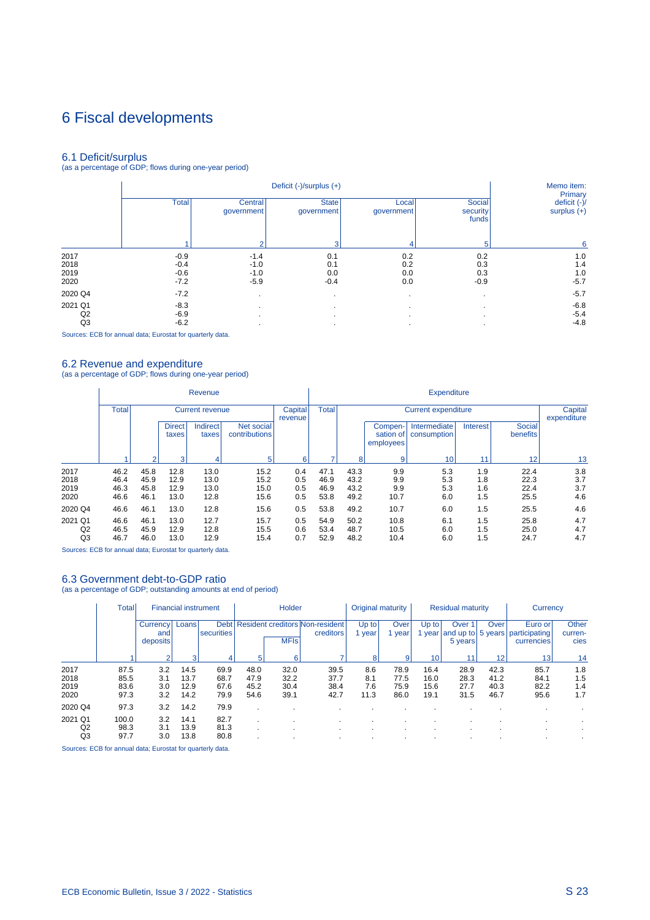# 6 Fiscal developments

6.1 Deficit/surplus (as a percentage of GDP; flows during one-year period)

|         |              |                       | Memo item:<br>Primary      |                     |                             |                                 |
|---------|--------------|-----------------------|----------------------------|---------------------|-----------------------------|---------------------------------|
|         | <b>Total</b> | Central<br>qovernment | <b>State</b><br>government | Local<br>government | Social<br>security<br>funds | deficit $(-)/$<br>surplus $(+)$ |
|         |              | $\overline{2}$        | з                          |                     | 5                           | 6                               |
| 2017    | $-0.9$       | $-1.4$                | 0.1                        | 0.2                 | 0.2                         | 1.0                             |
| 2018    | $-0.4$       | $-1.0$                | 0.1                        | 0.2                 | 0.3                         | 1.4                             |
| 2019    | $-0.6$       | $-1.0$                | 0.0                        | 0.0                 | 0.3                         | 1.0                             |
| 2020    | $-7.2$       | $-5.9$                | $-0.4$                     | 0.0                 | $-0.9$                      | $-5.7$                          |
| 2020 Q4 | $-7.2$       | $\cdot$               |                            |                     |                             | $-5.7$                          |
| 2021 Q1 | $-8.3$       |                       |                            |                     |                             | $-6.8$                          |
| Q2      | $-6.9$       |                       |                            | $\cdot$             |                             | $-5.4$                          |
| Q3      | $-6.2$       |                       |                            |                     |                             | $-4.8$                          |

Sources: ECB for annual data; Eurostat for quarterly data.

i.

6.2 Revenue and expenditure (as a percentage of GDP; flows during one-year period)

|                                 |                                        |                      |                        | Revenue                  |                             |                    | <b>Expenditure</b>   |                            |                                   |                             |                   |                           |                   |  |
|---------------------------------|----------------------------------------|----------------------|------------------------|--------------------------|-----------------------------|--------------------|----------------------|----------------------------|-----------------------------------|-----------------------------|-------------------|---------------------------|-------------------|--|
|                                 | <b>Total</b><br><b>Current revenue</b> |                      |                        |                          |                             | Capital<br>revenue | <b>Total</b>         | <b>Current expenditure</b> |                                   |                             |                   |                           |                   |  |
|                                 |                                        |                      | <b>Direct</b><br>taxes | <b>Indirect</b><br>taxes | Net social<br>contributions |                    |                      |                            | Compen-<br>sation of<br>employees | Intermediate<br>consumption | Interest          | <b>Social</b><br>benefits |                   |  |
|                                 |                                        |                      | 3                      |                          | 5                           | 6                  |                      | 8                          | 9                                 | 10 <sub>1</sub>             | 11                | 12 <sub>1</sub>           | 13                |  |
| 2017                            | 46.2                                   | 45.8                 | 12.8                   | 13.0                     | 15.2                        | 0.4                | 47.1                 | 43.3                       | 9.9                               | 5.3                         | 1.9               | 22.4                      | 3.8               |  |
| 2018                            | 46.4                                   | 45.9                 | 12.9                   | 13.0                     | 15.2                        | 0.5                | 46.9                 | 43.2                       | 9.9                               | 5.3                         | 1.8               | 22.3                      | 3.7               |  |
| 2019<br>2020                    | 46.3<br>46.6                           | 45.8<br>46.1         | 12.9<br>13.0           | 13.0<br>12.8             | 15.0<br>15.6                | 0.5<br>0.5         | 46.9<br>53.8         | 43.2<br>49.2               | 9.9<br>10.7                       | 5.3<br>6.0                  | 1.6<br>1.5        | 22.4<br>25.5              | 3.7<br>4.6        |  |
| 2020 Q4                         | 46.6                                   | 46.1                 | 13.0                   | 12.8                     | 15.6                        | 0.5                | 53.8                 | 49.2                       | 10.7                              | 6.0                         | 1.5               | 25.5                      | 4.6               |  |
| 2021 Q1<br>Q <sub>2</sub><br>Q3 | 46.6<br>46.5<br>46.7                   | 46.1<br>45.9<br>46.0 | 13.0<br>12.9<br>13.0   | 12.7<br>12.8<br>12.9     | 15.7<br>15.5<br>15.4        | 0.5<br>0.6<br>0.7  | 54.9<br>53.4<br>52.9 | 50.2<br>48.7<br>48.2       | 10.8<br>10.5<br>10.4              | 6.1<br>6.0<br>6.0           | 1.5<br>1.5<br>1.5 | 25.8<br>25.0<br>24.7      | 4.7<br>4.7<br>4.7 |  |

Sources: ECB for annual data; Eurostat for quarterly data.

#### 6.3 Government debt-to-GDP ratio

(as a percentage of GDP; outstanding amounts at end of period)

|                              | <b>Total</b>                 |                             | <b>Financial instrument</b>  |                              |                              | Holder                       |                                                     |                           | Original maturity            |                              | <b>Residual maturity</b>               |                              | Currency                                |                          |
|------------------------------|------------------------------|-----------------------------|------------------------------|------------------------------|------------------------------|------------------------------|-----------------------------------------------------|---------------------------|------------------------------|------------------------------|----------------------------------------|------------------------------|-----------------------------------------|--------------------------|
|                              |                              | Currency<br>and<br>deposits | Loans                        | <b>Debt</b><br>securities    |                              | <b>MFIs</b>                  | <b>Resident creditors Non-resident</b><br>creditors | Up to<br>year             | Over<br>year                 | Up to<br>year                | Over 1<br>and up to 5 years<br>5 years | Over                         | Euro or'<br>participating<br>currencies | Other<br>curren-<br>cies |
|                              |                              | ົ                           | 3                            | 4                            | 5                            | 6                            |                                                     | 8                         | 9                            | 10                           |                                        | 12                           | 13                                      | 14                       |
| 2017<br>2018<br>2019<br>2020 | 87.5<br>85.5<br>83.6<br>97.3 | 3.2<br>3.1<br>3.0<br>3.2    | 14.5<br>13.7<br>12.9<br>14.2 | 69.9<br>68.7<br>67.6<br>79.9 | 48.0<br>47.9<br>45.2<br>54.6 | 32.0<br>32.2<br>30.4<br>39.1 | 39.5<br>37.7<br>38.4<br>42.7                        | 8.6<br>8.1<br>7.6<br>11.3 | 78.9<br>77.5<br>75.9<br>86.0 | 16.4<br>16.0<br>15.6<br>19.1 | 28.9<br>28.3<br>27.7<br>31.5           | 42.3<br>41.2<br>40.3<br>46.7 | 85.7<br>84.1<br>82.2<br>95.6            | 1.8<br>1.5<br>1.4<br>1.7 |
| 2020 Q4                      | 97.3                         | 3.2                         | 14.2                         | 79.9                         |                              |                              |                                                     |                           |                              |                              |                                        |                              |                                         |                          |
| 2021 Q1<br>Q2<br>Q3          | 100.0<br>98.3<br>97.7        | 3.2<br>3.1<br>3.0           | 14.1<br>13.9<br>13.8         | 82.7<br>81.3<br>80.8         |                              |                              | $\cdot$<br>$\cdot$                                  |                           |                              |                              |                                        |                              |                                         |                          |

Sources: ECB for annual data; Eurostat for quarterly data.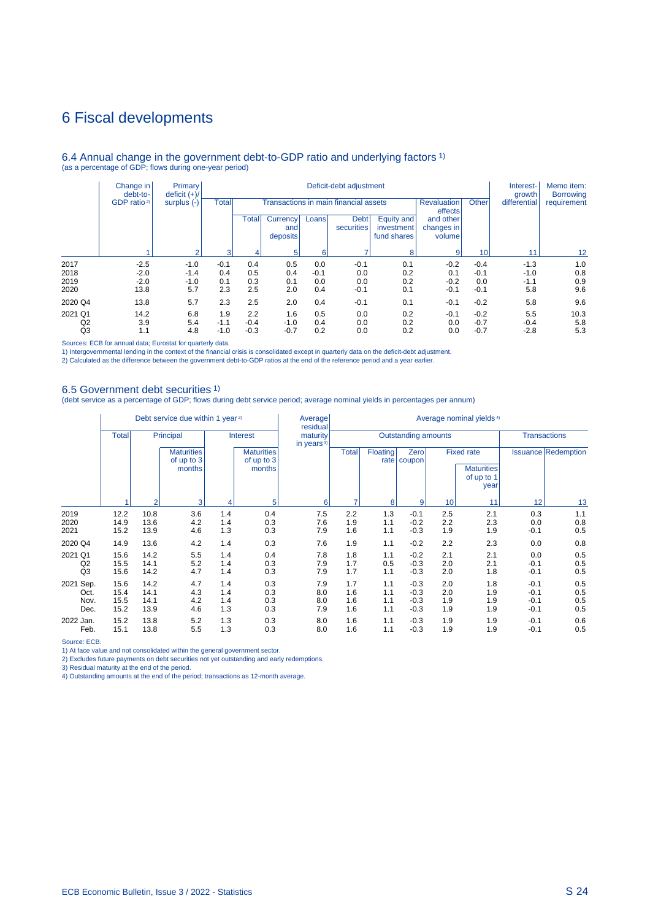### 6 Fiscal developments

#### 6.4 Annual change in the government debt-to-GDP ratio and underlying factors 1) (as a percentage of GDP; flows during one-year period)

|                | Change in<br>debt-to-   | <b>Primary</b><br>deficit $(+)/$ |        |        |        | Interest-<br>growth | Memo item:<br><b>Borrowing</b> |     |        |                             |        |                           |                                         |                                       |  |                               |       |              |             |
|----------------|-------------------------|----------------------------------|--------|--------|--------|---------------------|--------------------------------|-----|--------|-----------------------------|--------|---------------------------|-----------------------------------------|---------------------------------------|--|-------------------------------|-------|--------------|-------------|
|                | GDP ratio <sup>2)</sup> | surplus $(-)$<br>$\overline{ }$  |        |        |        |                     |                                |     |        | Total                       |        |                           |                                         | Transactions in main financial assets |  | <b>Revaluation</b><br>effects | Other | differential | requirement |
|                |                         |                                  |        |        |        |                     |                                |     | Total  | Currency<br>and<br>deposits | Loans  | <b>Debt</b><br>securities | Equity and<br>investment<br>fund shares | and other<br>changes in<br>volume     |  |                               |       |              |             |
|                |                         |                                  |        |        | 3      |                     |                                | 6   |        | 8                           | 9      | 10                        | 11                                      | $12 \overline{ }$                     |  |                               |       |              |             |
| 2017           | $-2.5$                  | $-1.0$                           | $-0.1$ | 0.4    | 0.5    | 0.0                 | $-0.1$                         | 0.1 | $-0.2$ | $-0.4$                      | $-1.3$ | 1.0                       |                                         |                                       |  |                               |       |              |             |
| 2018           | $-2.0$                  | $-1.4$                           | 0.4    | 0.5    | 0.4    | $-0.1$              | 0.0                            | 0.2 | 0.1    | $-0.1$                      | $-1.0$ | 0.8                       |                                         |                                       |  |                               |       |              |             |
| 2019           | $-2.0$                  | $-1.0$                           | 0.1    | 0.3    | 0.1    | 0.0                 | 0.0                            | 0.2 | $-0.2$ | 0.0                         | $-1.1$ | 0.9                       |                                         |                                       |  |                               |       |              |             |
| 2020           | 13.8                    | 5.7                              | 2.3    | 2.5    | 2.0    | 0.4                 | $-0.1$                         | 0.1 | $-0.1$ | $-0.1$                      | 5.8    | 9.6                       |                                         |                                       |  |                               |       |              |             |
| 2020 Q4        | 13.8                    | 5.7                              | 2.3    | 2.5    | 2.0    | 0.4                 | $-0.1$                         | 0.1 | $-0.1$ | $-0.2$                      | 5.8    | 9.6                       |                                         |                                       |  |                               |       |              |             |
| 2021 Q1        | 14.2                    | 6.8                              | 1.9    | 2.2    | 1.6    | 0.5                 | 0.0                            | 0.2 | $-0.1$ | $-0.2$                      | 5.5    | 10.3                      |                                         |                                       |  |                               |       |              |             |
| Q <sub>2</sub> | 3.9                     | 5.4                              | $-1.1$ | $-0.4$ | $-1.0$ | 0.4                 | 0.0                            | 0.2 | 0.0    | $-0.7$                      | $-0.4$ | 5.8                       |                                         |                                       |  |                               |       |              |             |
| Q3             | 1.1                     | 4.8                              | $-1.0$ | $-0.3$ | $-0.7$ | 0.2                 | 0.0                            | 0.2 | 0.0    | $-0.7$                      | $-2.8$ | 5.3                       |                                         |                                       |  |                               |       |              |             |

Sources: ECB for annual data; Eurostat for quarterly data.

1) Intergovernmental lending in the context of the financial crisis is consolidated except in quarterly data on the deficit-debt adjustment.<br>2) Calculated as the difference between the government debt-to-GDP ratios at the

#### 6.5 Government debt securities 1)

(debt service as a percentage of GDP; flows during debt service period; average nominal yields in percentages per annum)

|                                      |                              |                              | Debt service due within 1 year <sup>2)</sup> |                          |                                           | Average<br>residual                | Average nominal yields <sup>4)</sup> |                            |                                      |                          |                                                              |                                      |                            |  |
|--------------------------------------|------------------------------|------------------------------|----------------------------------------------|--------------------------|-------------------------------------------|------------------------------------|--------------------------------------|----------------------------|--------------------------------------|--------------------------|--------------------------------------------------------------|--------------------------------------|----------------------------|--|
|                                      | <b>Total</b>                 |                              | Principal                                    |                          | Interest                                  | maturity<br>in years <sup>3)</sup> |                                      | <b>Outstanding amounts</b> |                                      | <b>Transactions</b>      |                                                              |                                      |                            |  |
|                                      |                              |                              | <b>Maturities</b><br>of up to 3<br>months    |                          | <b>Maturities</b><br>of up to 3<br>months |                                    | <b>Total</b>                         | Floating                   | Zero<br>rate   coupon                |                          | <b>Fixed rate</b><br><b>Maturities</b><br>of up to 1<br>year |                                      | <b>Issuance Redemption</b> |  |
|                                      |                              | $\overline{2}$               | 3                                            | 4                        | 5                                         | 6                                  |                                      | 8                          | 9                                    | 10                       | 11                                                           | 12                                   | 13                         |  |
| 2019<br>2020<br>2021                 | 12.2<br>14.9<br>15.2         | 10.8<br>13.6<br>13.9         | 3.6<br>4.2<br>4.6                            | 1.4<br>1.4<br>1.3        | 0.4<br>0.3<br>0.3                         | 7.5<br>7.6<br>7.9                  | 2.2<br>1.9<br>1.6                    | 1.3<br>1.1<br>1.1          | $-0.1$<br>$-0.2$<br>$-0.3$           | 2.5<br>2.2<br>1.9        | 2.1<br>2.3<br>1.9                                            | 0.3<br>0.0<br>$-0.1$                 | 1.1<br>0.8<br>0.5          |  |
| 2020 Q4                              | 14.9                         | 13.6                         | 4.2                                          | 1.4                      | 0.3                                       | 7.6                                | 1.9                                  | 1.1                        | $-0.2$                               | 2.2                      | 2.3                                                          | 0.0                                  | 0.8                        |  |
| 2021 Q1<br>Q2<br>Q3                  | 15.6<br>15.5<br>15.6         | 14.2<br>14.1<br>14.2         | 5.5<br>5.2<br>4.7                            | 1.4<br>1.4<br>1.4        | 0.4<br>0.3<br>0.3                         | 7.8<br>7.9<br>7.9                  | 1.8<br>1.7<br>1.7                    | 1.1<br>0.5<br>1.1          | $-0.2$<br>$-0.3$<br>$-0.3$           | 2.1<br>2.0<br>2.0        | 2.1<br>2.1<br>1.8                                            | 0.0<br>$-0.1$<br>$-0.1$              | 0.5<br>0.5<br>0.5          |  |
| Sep.<br>2021<br>Oct.<br>Nov.<br>Dec. | 15.6<br>15.4<br>15.5<br>15.2 | 14.2<br>14.1<br>14.1<br>13.9 | 4.7<br>4.3<br>4.2<br>4.6                     | 1.4<br>1.4<br>1.4<br>1.3 | 0.3<br>0.3<br>0.3<br>0.3                  | 7.9<br>8.0<br>8.0<br>7.9           | 1.7<br>1.6<br>1.6<br>1.6             | 1.1<br>1.1<br>1.1<br>1.1   | $-0.3$<br>$-0.3$<br>$-0.3$<br>$-0.3$ | 2.0<br>2.0<br>1.9<br>1.9 | 1.8<br>1.9<br>1.9<br>1.9                                     | $-0.1$<br>$-0.1$<br>$-0.1$<br>$-0.1$ | 0.5<br>0.5<br>0.5<br>0.5   |  |
| 2022 Jan.<br>Feb.                    | 15.2<br>15.1                 | 13.8<br>13.8                 | 5.2<br>5.5                                   | 1.3<br>1.3               | 0.3<br>0.3                                | 8.0<br>8.0                         | 1.6<br>1.6                           | 1.1<br>1.1                 | $-0.3$<br>$-0.3$                     | 1.9<br>1.9               | 1.9<br>1.9                                                   | $-0.1$<br>$-0.1$                     | 0.6<br>0.5                 |  |

Source: ECB.

1) At face value and not consolidated within the general government sector.

2) Excludes future payments on debt securities not yet outstanding and early redemptions.

3) Residual maturity at the end of the period.

4) Outstanding amounts at the end of the period; transactions as 12-month average.